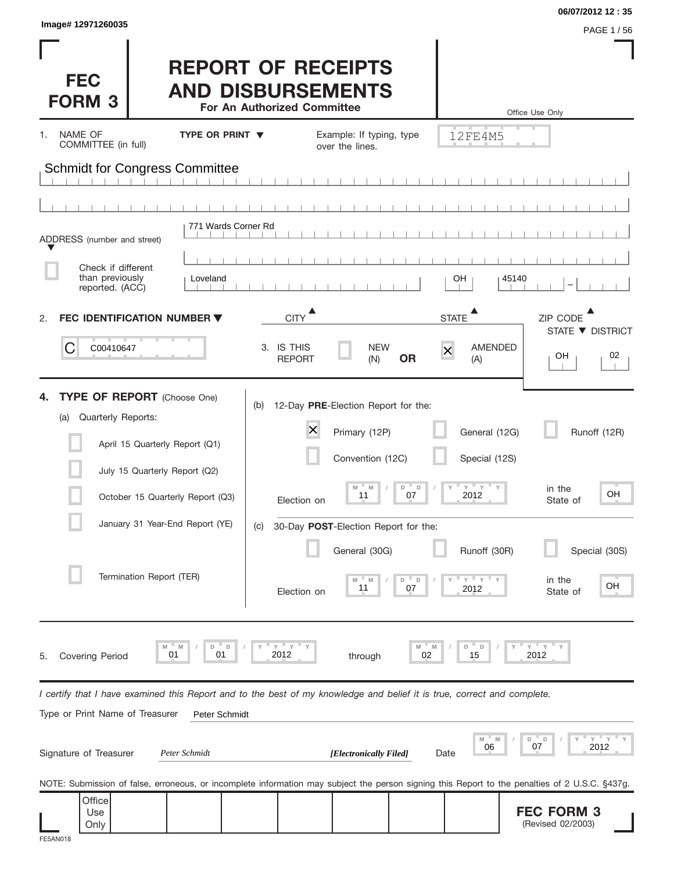| Image# 12971260035                                                                                                                                                                                                                    |                                                       |                                                      |                                                                                                                                                         |                                   |                                                                                             | 06/07/2012 12:35                                                                      |
|---------------------------------------------------------------------------------------------------------------------------------------------------------------------------------------------------------------------------------------|-------------------------------------------------------|------------------------------------------------------|---------------------------------------------------------------------------------------------------------------------------------------------------------|-----------------------------------|---------------------------------------------------------------------------------------------|---------------------------------------------------------------------------------------|
| <b>FEC</b><br><b>FORM 3</b>                                                                                                                                                                                                           | <b>REPORT OF RECEIPTS</b><br><b>AND DISBURSEMENTS</b> | For An Authorized Committee                          |                                                                                                                                                         |                                   |                                                                                             | PAGE 1/56<br>Office Use Only                                                          |
| NAME OF<br>1.<br>COMMITTEE (in full)                                                                                                                                                                                                  | <b>TYPE OR PRINT ▼</b>                                |                                                      | Example: If typing, type<br>over the lines.                                                                                                             |                                   | 12FE4M5                                                                                     |                                                                                       |
| <b>Schmidt for Congress Committee</b>                                                                                                                                                                                                 |                                                       |                                                      |                                                                                                                                                         |                                   |                                                                                             |                                                                                       |
| ADDRESS (number and street)                                                                                                                                                                                                           | 771 Wards Corner Rd                                   |                                                      |                                                                                                                                                         |                                   |                                                                                             |                                                                                       |
| Check if different<br>than previously<br>reported. (ACC)                                                                                                                                                                              | Loveland                                              |                                                      |                                                                                                                                                         |                                   | OН                                                                                          | 45140                                                                                 |
| FEC IDENTIFICATION NUMBER ▼<br>2.                                                                                                                                                                                                     |                                                       | <b>CITY</b>                                          |                                                                                                                                                         |                                   | <b>STATE</b>                                                                                | ZIP CODE                                                                              |
| C<br>C00410647                                                                                                                                                                                                                        |                                                       | 3. IS THIS<br><b>REPORT</b>                          | <b>NEW</b><br>(N)                                                                                                                                       | <b>OR</b>                         | AMENDED<br>$\overline{\mathsf{x}}$<br>(A)                                                   | STATE ▼ DISTRICT<br>02<br>OН                                                          |
| <b>TYPE OF REPORT</b> (Choose One)<br>Quarterly Reports:<br>(a)<br>April 15 Quarterly Report (Q1)<br>July 15 Quarterly Report (Q2)<br>October 15 Quarterly Report (Q3)<br>January 31 Year-End Report (YE)<br>Termination Report (TER) |                                                       | (b)<br>$\times$<br>Election on<br>(C)<br>Election on | 12-Day PRE-Election Report for the:<br>Primary (12P)<br>Convention (12C)<br>M<br>M<br>11<br>30-Day POST-Election Report for the:<br>General (30G)<br>11 | D<br>$\Box$<br>07<br>D<br>D<br>07 | General (12G)<br>Special (12S)<br>$Y = Y = Y$<br>2012<br>Runoff (30R)<br>Y<br>$Y =$<br>2012 | Runoff (12R)<br>in the<br>OH<br>State of<br>Special (30S)<br>in the<br>OН<br>State of |
| M<br>M<br>01<br><b>Covering Period</b><br>5.                                                                                                                                                                                          | D<br>$\mathsf D$<br>01                                | $Y$ $Y$ $Y$<br>2012                                  | through                                                                                                                                                 | M<br>M<br>02                      | D<br>D<br>15                                                                                | $Y$ $Y$ $Y$<br>2012                                                                   |
| I certify that I have examined this Report and to the best of my knowledge and belief it is true, correct and complete.<br>Type or Print Name of Treasurer                                                                            | Peter Schmidt                                         |                                                      |                                                                                                                                                         |                                   |                                                                                             |                                                                                       |
| Signature of Treasurer                                                                                                                                                                                                                | Peter Schmidt                                         |                                                      | [Electronically Filed]                                                                                                                                  |                                   | M<br>06<br>Date                                                                             | Υ<br>D<br>D<br>07<br>2012                                                             |
| NOTE: Submission of false, erroneous, or incomplete information may subject the person signing this Report to the penalties of 2 U.S.C. §437g.                                                                                        |                                                       |                                                      |                                                                                                                                                         |                                   |                                                                                             |                                                                                       |
| Office<br>Use<br>Only<br>FE5AN018                                                                                                                                                                                                     |                                                       |                                                      |                                                                                                                                                         |                                   |                                                                                             | <b>FEC FORM 3</b><br>(Revised 02/2003)                                                |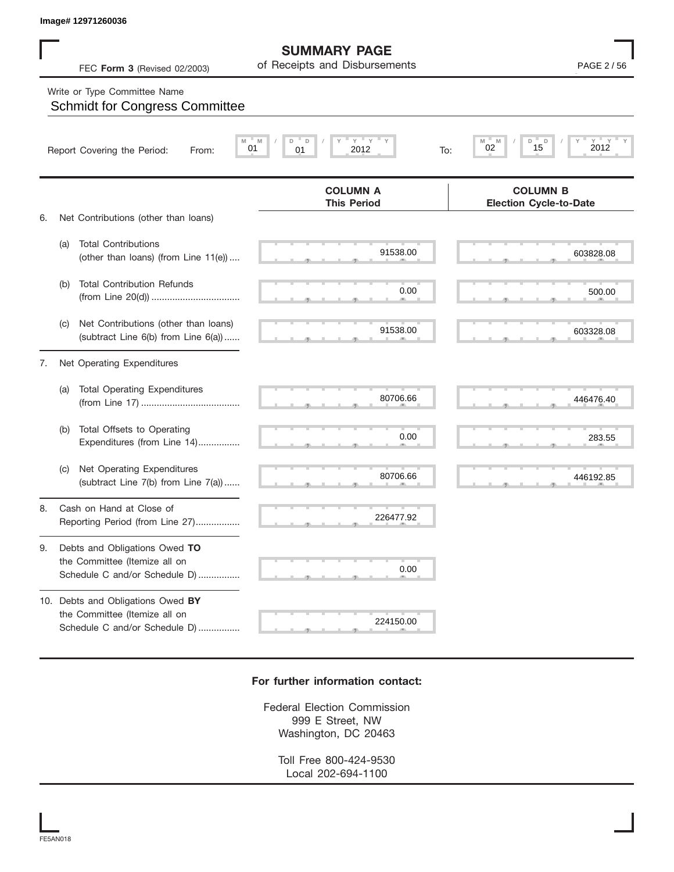## Write or Type Committee Name

|    | Image# 12971260036                                                                                  |                                                      |                                                          |
|----|-----------------------------------------------------------------------------------------------------|------------------------------------------------------|----------------------------------------------------------|
|    | FEC Form 3 (Revised 02/2003)                                                                        | <b>SUMMARY PAGE</b><br>of Receipts and Disbursements | PAGE 2/56                                                |
|    | Write or Type Committee Name<br><b>Schmidt for Congress Committee</b>                               |                                                      |                                                          |
|    | Report Covering the Period:<br>From:                                                                | $Y = Y$<br>D<br>D<br>M<br>01<br>01<br>2012<br>To:    | $Y = Y$<br>D<br>D<br>$Y =$<br>M<br>M<br>2012<br>02<br>15 |
|    |                                                                                                     | <b>COLUMN A</b><br><b>This Period</b>                | <b>COLUMN B</b><br><b>Election Cycle-to-Date</b>         |
| 6. | Net Contributions (other than loans)                                                                |                                                      |                                                          |
|    | <b>Total Contributions</b><br>(a)<br>(other than loans) (from Line 11(e))                           | 91538.00                                             | 603828.08                                                |
|    | <b>Total Contribution Refunds</b><br>(b)                                                            | 0.00                                                 | 500.00                                                   |
|    | Net Contributions (other than loans)<br>(C)<br>(subtract Line 6(b) from Line 6(a))                  | 91538.00                                             | 603328.08                                                |
| 7. | Net Operating Expenditures                                                                          |                                                      |                                                          |
|    | <b>Total Operating Expenditures</b><br>(a)                                                          | 80706.66                                             | 446476.40                                                |
|    | Total Offsets to Operating<br>(b)<br>Expenditures (from Line 14)                                    | 0.00                                                 | 283.55                                                   |
|    | Net Operating Expenditures<br>(C)<br>(subtract Line 7(b) from Line 7(a))                            | 80706.66                                             | 446192.85                                                |
| 8. | Cash on Hand at Close of<br>Reporting Period (from Line 27)                                         | 226477.92                                            |                                                          |
| 9. | Debts and Obligations Owed TO<br>the Committee (Itemize all on                                      | 0.00                                                 |                                                          |
|    | Schedule C and/or Schedule D)                                                                       |                                                      |                                                          |
|    | 10. Debts and Obligations Owed BY<br>the Committee (Itemize all on<br>Schedule C and/or Schedule D) | 224150.00                                            |                                                          |
|    |                                                                                                     |                                                      |                                                          |

## **For further information contact:**

Federal Election Commission 999 E Street, NW Washington, DC 20463

> Toll Free 800-424-9530 Local 202-694-1100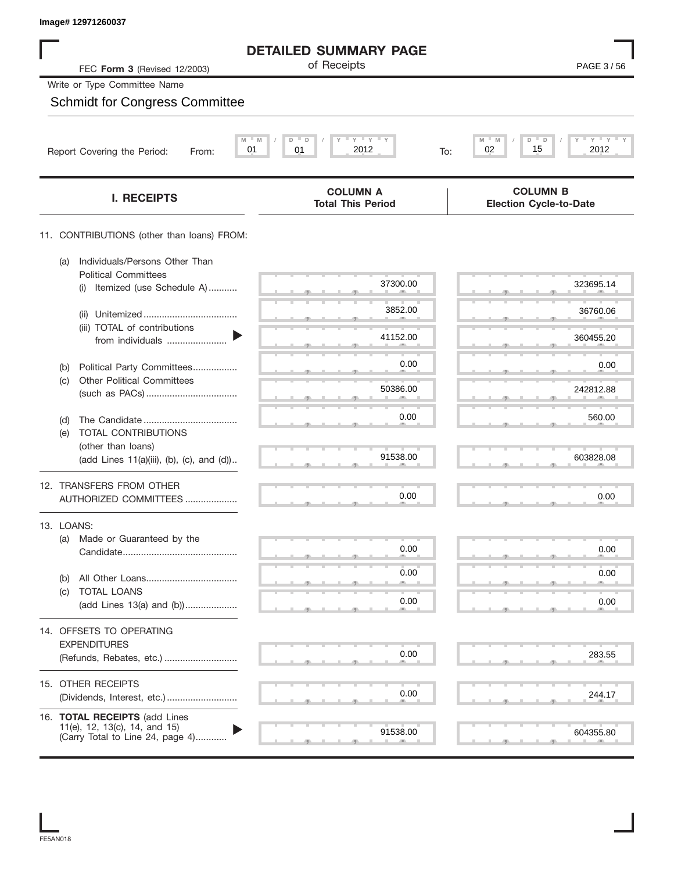| Image# 12971260037                                                                                 |                                                       |                                                  |
|----------------------------------------------------------------------------------------------------|-------------------------------------------------------|--------------------------------------------------|
|                                                                                                    | <b>DETAILED SUMMARY PAGE</b>                          |                                                  |
| FEC Form 3 (Revised 12/2003)                                                                       | of Receipts                                           | PAGE 3/56                                        |
| Write or Type Committee Name                                                                       |                                                       |                                                  |
| <b>Schmidt for Congress Committee</b>                                                              |                                                       |                                                  |
| M<br>Report Covering the Period:<br>From:                                                          | $Y$ $Y$ $Y$<br>M<br>D<br>D<br>01<br>01<br>2012<br>To: | $Y'$ $Y'$ $Y$<br>M<br>D<br>02<br>15<br>2012      |
|                                                                                                    |                                                       |                                                  |
| <b>I. RECEIPTS</b>                                                                                 | <b>COLUMN A</b><br><b>Total This Period</b>           | <b>COLUMN B</b><br><b>Election Cycle-to-Date</b> |
| 11. CONTRIBUTIONS (other than loans) FROM:                                                         |                                                       |                                                  |
| Individuals/Persons Other Than<br>(a)<br><b>Political Committees</b>                               |                                                       |                                                  |
| Itemized (use Schedule A)<br>(i)                                                                   | 37300.00                                              | 323695.14                                        |
| (ii)                                                                                               | 3852.00                                               | 36760.06                                         |
| (iii) TOTAL of contributions<br>from individuals                                                   | 41152.00                                              | 360455.20                                        |
| Political Party Committees<br>(b)                                                                  | 0.00                                                  | 0.00                                             |
| <b>Other Political Committees</b><br>(c)                                                           | 50386.00                                              | 242812.88                                        |
|                                                                                                    | 0.00                                                  | 560.00                                           |
| (d)<br>TOTAL CONTRIBUTIONS<br>(e)                                                                  |                                                       |                                                  |
| (other than loans)<br>(add Lines 11(a)(iii), (b), (c), and (d))                                    | 91538.00                                              | 603828.08                                        |
| 12. TRANSFERS FROM OTHER                                                                           |                                                       |                                                  |
| AUTHORIZED COMMITTEES                                                                              | 0.00                                                  | 0.00                                             |
| 13. LOANS:                                                                                         |                                                       |                                                  |
| Made or Guaranteed by the<br>(a)                                                                   | 0.00                                                  | 0.00                                             |
| (b)                                                                                                | 0.00                                                  | 0.00                                             |
| <b>TOTAL LOANS</b><br>(C)<br>(add Lines 13(a) and (b))                                             | 0.00                                                  | 0.00                                             |
|                                                                                                    |                                                       |                                                  |
| 14. OFFSETS TO OPERATING<br><b>EXPENDITURES</b>                                                    |                                                       |                                                  |
| (Refunds, Rebates, etc.)                                                                           | 0.00                                                  | 283.55                                           |
| 15. OTHER RECEIPTS                                                                                 | 0.00                                                  |                                                  |
|                                                                                                    |                                                       | 244.17                                           |
| 16. TOTAL RECEIPTS (add Lines<br>11(e), 12, 13(c), 14, and 15)<br>(Carry Total to Line 24, page 4) | 91538.00                                              | 604355.80                                        |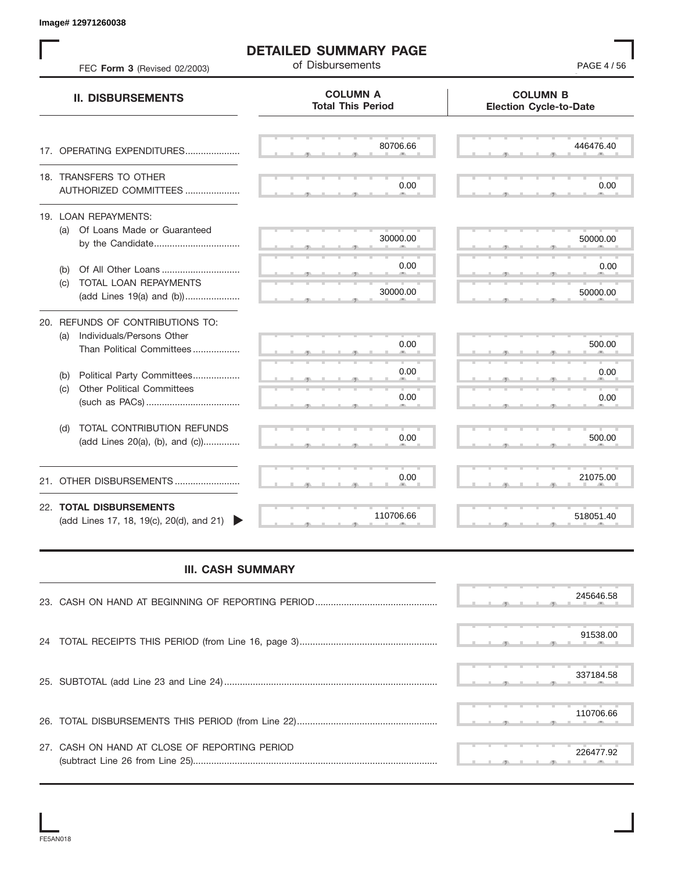$80706.66$   $446476.$  S S S , , . S S S , , . S S S , , . S S S , , .  $\overline{S}$  s  $\overline{S}$  ,  $\overline{S}$  ,  $\overline{S}$  ,  $\overline{S}$  ,  $\overline{S}$  ,  $\overline{S}$  ,  $\overline{S}$  ,  $\overline{S}$  ,  $\overline{S}$  ,  $\overline{S}$  ,  $\overline{S}$  ,  $\overline{S}$  ,  $\overline{S}$  ,  $\overline{S}$  ,  $\overline{S}$  ,  $\overline{S}$  ,  $\overline{S}$  ,  $\overline{S}$  ,  $\overline{S}$  , S S S , , . S S S , , . S S S , , . S S S , , . S S S , , . S S S , , . S S S , , . S S S , , . S S S , , . S S S , , . S S S , , . S S S , , . S S S S S S **COLUMN B Election Cycle-to-Date COLUMN A Total This Period** 17. OPERATING EXPENDITURES.................... 18. TRANSFERS TO OTHER AUTHORIZED COMMITTEES ..................... 19. LOAN REPAYMENTS: (a) Of Loans Made or Guaranteed by the Candidate ................................. (b) Of All Other Loans .............................. (c) TOTAL LOAN REPAYMENTS (add Lines 19(a) and (b)) ..................... 20. REFUNDS OF CONTRIBUTIONS TO: (a) Individuals/Persons Other Than Political Committees ................. (b) Political Party Committees.................. (c) Other Political Committees (such as PACs) .................................... (d) TOTAL CONTRIBUTION REFUNDS (add Lines 20(a), (b), and (c)).............. 21. OTHER DISBURSEMENTS ......................... 22. **TOTAL DISBURSEMENTS**   $(\text{add Lines 17}, 18, 19(c), 20(d), \text{and } 21)$ **II. DISBURSEMENTS** FEC **Form 3** (Revised 02/2003) **page 12** of Disbursements **PAGE 4** / 56 , , . , , . Example 12717606311<br>
FIED EVAIL BO SUMMARY PAGE<br>
FIED EVAIL BO SURVEY AND COLUMN AT COLUMN AT COLUMN AT COLUMN AT COLUMN AT COLUMN AT COLUMN AT COLUMN AT COLUMN AT COLUMN AT COLUMN AT COLUMN AT COLUMN AT COLUMN AT COLUMN

**DETAILED SUMMARY PAGE**

## **III. CASH SUMMARY**

|                                               |  |  |  | 245646.58 |
|-----------------------------------------------|--|--|--|-----------|
|                                               |  |  |  | 91538.00  |
|                                               |  |  |  | 337184.58 |
|                                               |  |  |  | 110706.66 |
| 27. CASH ON HAND AT CLOSE OF REPORTING PERIOD |  |  |  | 226477.92 |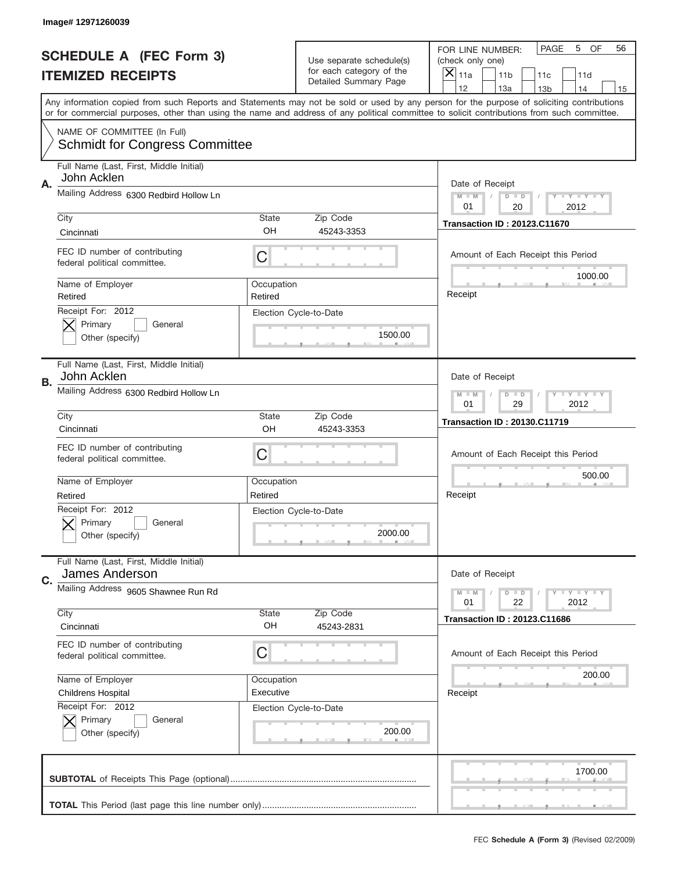|    | Image# 12971260039                                                   |                                                                   |                                                   |                                                                                                                                                                                                                                                                                         |  |
|----|----------------------------------------------------------------------|-------------------------------------------------------------------|---------------------------------------------------|-----------------------------------------------------------------------------------------------------------------------------------------------------------------------------------------------------------------------------------------------------------------------------------------|--|
|    | <b>SCHEDULE A (FEC Form 3)</b>                                       |                                                                   | Use separate schedule(s)                          | PAGE<br>5<br>OF<br>56<br>FOR LINE NUMBER:<br>(check only one)                                                                                                                                                                                                                           |  |
|    | <b>ITEMIZED RECEIPTS</b>                                             |                                                                   | for each category of the<br>Detailed Summary Page | ×<br>11a<br>11 <sub>b</sub><br>11c<br>11d                                                                                                                                                                                                                                               |  |
|    |                                                                      |                                                                   |                                                   | 12<br>13a<br>14<br>13 <sub>b</sub><br>15                                                                                                                                                                                                                                                |  |
|    |                                                                      |                                                                   |                                                   | Any information copied from such Reports and Statements may not be sold or used by any person for the purpose of soliciting contributions<br>or for commercial purposes, other than using the name and address of any political committee to solicit contributions from such committee. |  |
|    | NAME OF COMMITTEE (In Full)<br><b>Schmidt for Congress Committee</b> |                                                                   |                                                   |                                                                                                                                                                                                                                                                                         |  |
| Α. | Full Name (Last, First, Middle Initial)<br>John Acklen               |                                                                   |                                                   |                                                                                                                                                                                                                                                                                         |  |
|    | Mailing Address 6300 Redbird Hollow Ln                               |                                                                   |                                                   | Date of Receipt<br>$M - M$<br>Y I Y I Y I Y<br>$D$ $D$<br>20<br>01<br>2012                                                                                                                                                                                                              |  |
|    | City                                                                 | <b>State</b>                                                      | Zip Code                                          | <b>Transaction ID: 20123.C11670</b>                                                                                                                                                                                                                                                     |  |
|    | Cincinnati                                                           | OH                                                                | 45243-3353                                        |                                                                                                                                                                                                                                                                                         |  |
|    | FEC ID number of contributing<br>federal political committee.        | C                                                                 |                                                   | Amount of Each Receipt this Period<br>1000.00                                                                                                                                                                                                                                           |  |
|    | Name of Employer<br>Retired                                          | Occupation<br>Retired                                             |                                                   | Receipt                                                                                                                                                                                                                                                                                 |  |
|    | Receipt For: 2012<br>Primary<br>General<br>Other (specify)           |                                                                   | Election Cycle-to-Date<br>1500.00                 |                                                                                                                                                                                                                                                                                         |  |
| В. | Full Name (Last, First, Middle Initial)<br>John Acklen               |                                                                   |                                                   | Date of Receipt                                                                                                                                                                                                                                                                         |  |
|    | Mailing Address 6300 Redbird Hollow Ln                               | $T$ $Y$ $T$ $Y$ $T$ $Y$<br>$M - M$<br>$D$ $D$<br>01<br>29<br>2012 |                                                   |                                                                                                                                                                                                                                                                                         |  |
|    | City                                                                 | <b>State</b>                                                      | Zip Code                                          | <b>Transaction ID: 20130.C11719</b>                                                                                                                                                                                                                                                     |  |
|    | Cincinnati                                                           | OH                                                                | 45243-3353                                        |                                                                                                                                                                                                                                                                                         |  |
|    | FEC ID number of contributing<br>federal political committee.        | C                                                                 |                                                   | Amount of Each Receipt this Period                                                                                                                                                                                                                                                      |  |
|    | Name of Employer                                                     | Occupation                                                        |                                                   | 500.00                                                                                                                                                                                                                                                                                  |  |
|    | Retired                                                              | Retired                                                           |                                                   | Receipt                                                                                                                                                                                                                                                                                 |  |
|    | Receipt For: 2012<br>General<br>Primary<br>Other (specify)           |                                                                   | Election Cycle-to-Date<br>2000.00                 |                                                                                                                                                                                                                                                                                         |  |
| C. | Full Name (Last, First, Middle Initial)<br>James Anderson            |                                                                   |                                                   | Date of Receipt                                                                                                                                                                                                                                                                         |  |
|    | Mailing Address 9605 Shawnee Run Rd                                  |                                                                   |                                                   | <b>TEY TEY TEY</b><br>$M - M$<br>$D$ $D$<br>22<br>2012<br>01                                                                                                                                                                                                                            |  |
|    | City<br>Cincinnati                                                   | <b>State</b><br>OH                                                | Zip Code<br>45243-2831                            | <b>Transaction ID: 20123.C11686</b>                                                                                                                                                                                                                                                     |  |
|    | FEC ID number of contributing<br>federal political committee.        | C                                                                 |                                                   | Amount of Each Receipt this Period                                                                                                                                                                                                                                                      |  |
|    | Name of Employer                                                     | Occupation                                                        |                                                   | 200.00                                                                                                                                                                                                                                                                                  |  |
|    | <b>Childrens Hospital</b>                                            | Executive                                                         |                                                   | Receipt                                                                                                                                                                                                                                                                                 |  |
|    | Receipt For: 2012<br>Primary<br>General<br>Other (specify)           |                                                                   | Election Cycle-to-Date<br>200.00                  |                                                                                                                                                                                                                                                                                         |  |
|    |                                                                      |                                                                   |                                                   | 1700.00                                                                                                                                                                                                                                                                                 |  |
|    |                                                                      |                                                                   |                                                   |                                                                                                                                                                                                                                                                                         |  |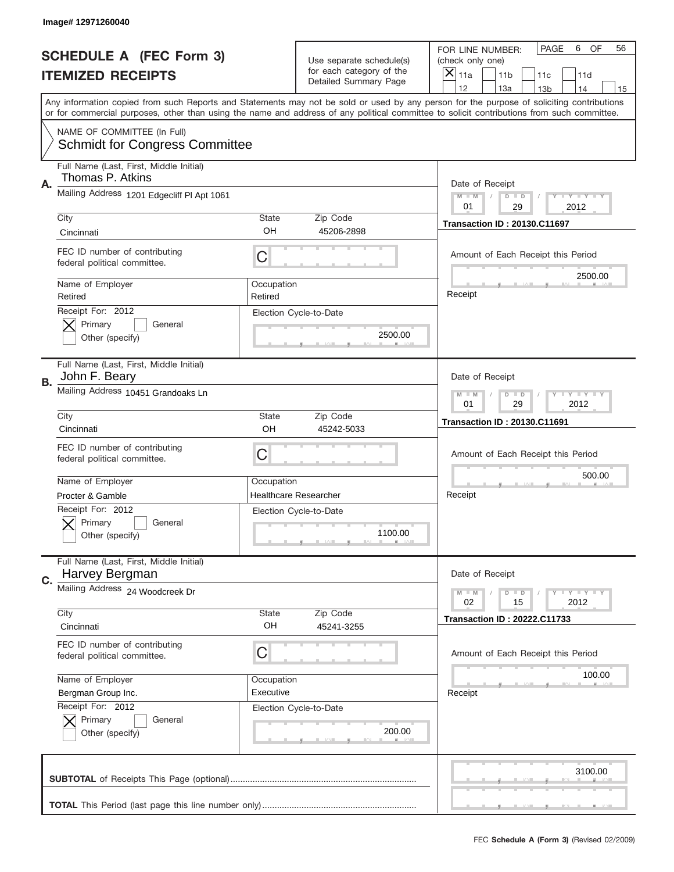|    | Image# 12971260040                                                   |                                                      |                                                   |                                                                                                                                                                                                                                                                                         |  |
|----|----------------------------------------------------------------------|------------------------------------------------------|---------------------------------------------------|-----------------------------------------------------------------------------------------------------------------------------------------------------------------------------------------------------------------------------------------------------------------------------------------|--|
|    | <b>SCHEDULE A (FEC Form 3)</b>                                       |                                                      | Use separate schedule(s)                          | PAGE<br>6<br>OF<br>56<br>FOR LINE NUMBER:<br>(check only one)                                                                                                                                                                                                                           |  |
|    | <b>ITEMIZED RECEIPTS</b>                                             |                                                      | for each category of the<br>Detailed Summary Page | ×<br>11a<br>11 <sub>b</sub><br>11c<br>11d                                                                                                                                                                                                                                               |  |
|    |                                                                      |                                                      |                                                   | 12<br>13a<br>14<br>13 <sub>b</sub><br>15                                                                                                                                                                                                                                                |  |
|    |                                                                      |                                                      |                                                   | Any information copied from such Reports and Statements may not be sold or used by any person for the purpose of soliciting contributions<br>or for commercial purposes, other than using the name and address of any political committee to solicit contributions from such committee. |  |
|    | NAME OF COMMITTEE (In Full)<br><b>Schmidt for Congress Committee</b> |                                                      |                                                   |                                                                                                                                                                                                                                                                                         |  |
| Α. | Full Name (Last, First, Middle Initial)<br>Thomas P. Atkins          |                                                      |                                                   | Date of Receipt                                                                                                                                                                                                                                                                         |  |
|    | Mailing Address 1201 Edgecliff PI Apt 1061                           |                                                      |                                                   | $M - M$<br>Y FY FY FY<br>$D$ $D$<br>01<br>29<br>2012                                                                                                                                                                                                                                    |  |
|    | City                                                                 | State                                                | Zip Code                                          | <b>Transaction ID: 20130.C11697</b>                                                                                                                                                                                                                                                     |  |
|    | Cincinnati                                                           | OH                                                   | 45206-2898                                        |                                                                                                                                                                                                                                                                                         |  |
|    | FEC ID number of contributing<br>federal political committee.        | C                                                    |                                                   | Amount of Each Receipt this Period<br>2500.00                                                                                                                                                                                                                                           |  |
|    | Name of Employer<br>Retired                                          | Occupation<br>Retired                                |                                                   | Receipt                                                                                                                                                                                                                                                                                 |  |
|    | Receipt For: 2012<br>Primary<br>General                              |                                                      | Election Cycle-to-Date                            |                                                                                                                                                                                                                                                                                         |  |
|    | Other (specify)                                                      |                                                      | 2500.00                                           |                                                                                                                                                                                                                                                                                         |  |
| В. | Full Name (Last, First, Middle Initial)<br>John F. Beary             |                                                      |                                                   | Date of Receipt                                                                                                                                                                                                                                                                         |  |
|    | Mailing Address 10451 Grandoaks Ln                                   | Y TYTTYTTY<br>$M$ $M$<br>$D$ $D$<br>01<br>29<br>2012 |                                                   |                                                                                                                                                                                                                                                                                         |  |
|    | City                                                                 | State                                                | Zip Code                                          | <b>Transaction ID: 20130.C11691</b>                                                                                                                                                                                                                                                     |  |
|    | Cincinnati                                                           | OH                                                   | 45242-5033                                        |                                                                                                                                                                                                                                                                                         |  |
|    | FEC ID number of contributing<br>federal political committee.        | C                                                    |                                                   | Amount of Each Receipt this Period                                                                                                                                                                                                                                                      |  |
|    | Name of Employer                                                     | Occupation                                           |                                                   | 500.00                                                                                                                                                                                                                                                                                  |  |
|    | Procter & Gamble                                                     |                                                      | <b>Healthcare Researcher</b>                      | Receipt                                                                                                                                                                                                                                                                                 |  |
|    | Receipt For: 2012<br>General<br>Primary<br>Other (specify)           |                                                      | Election Cycle-to-Date<br>1100.00                 |                                                                                                                                                                                                                                                                                         |  |
|    | Full Name (Last, First, Middle Initial)<br>Harvey Bergman            |                                                      |                                                   | Date of Receipt                                                                                                                                                                                                                                                                         |  |
| C. | Mailing Address 24 Woodcreek Dr                                      |                                                      |                                                   | $T$ $Y$ $Y$ $Y$ $Y$<br>$M - M$<br>$D$ $D$<br>02<br>2012<br>15                                                                                                                                                                                                                           |  |
|    | City<br>Cincinnati                                                   | State<br>OH                                          | Zip Code                                          | <b>Transaction ID: 20222.C11733</b>                                                                                                                                                                                                                                                     |  |
|    |                                                                      |                                                      | 45241-3255                                        |                                                                                                                                                                                                                                                                                         |  |
|    | FEC ID number of contributing<br>federal political committee.        | C                                                    |                                                   | Amount of Each Receipt this Period                                                                                                                                                                                                                                                      |  |
|    | Name of Employer                                                     | Occupation                                           |                                                   | 100.00                                                                                                                                                                                                                                                                                  |  |
|    | Bergman Group Inc.                                                   | Executive                                            |                                                   | Receipt                                                                                                                                                                                                                                                                                 |  |
|    | Receipt For: 2012<br>Primary<br>General                              |                                                      | Election Cycle-to-Date                            |                                                                                                                                                                                                                                                                                         |  |
|    | Other (specify)                                                      |                                                      | 200.00                                            |                                                                                                                                                                                                                                                                                         |  |
|    |                                                                      |                                                      |                                                   | 3100.00                                                                                                                                                                                                                                                                                 |  |
|    |                                                                      |                                                      |                                                   |                                                                                                                                                                                                                                                                                         |  |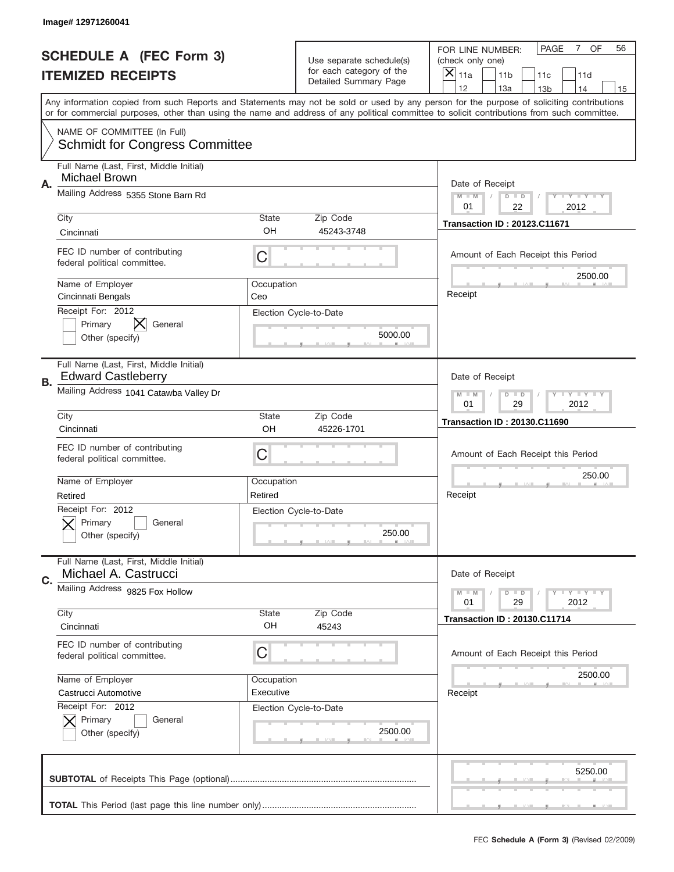|    | Image# 12971260041                                                   |                                                           |                                                   |                                                                                                                                                                                                                                                                                         |  |
|----|----------------------------------------------------------------------|-----------------------------------------------------------|---------------------------------------------------|-----------------------------------------------------------------------------------------------------------------------------------------------------------------------------------------------------------------------------------------------------------------------------------------|--|
|    | <b>SCHEDULE A (FEC Form 3)</b>                                       |                                                           | Use separate schedule(s)                          | PAGE<br>7 OF<br>56<br>FOR LINE NUMBER:<br>(check only one)                                                                                                                                                                                                                              |  |
|    | <b>ITEMIZED RECEIPTS</b>                                             |                                                           | for each category of the<br>Detailed Summary Page | ×<br>11a<br>11 <sub>b</sub><br>11c<br>11d                                                                                                                                                                                                                                               |  |
|    |                                                                      |                                                           |                                                   | 12<br>13a<br>14<br>13 <sub>b</sub><br>15                                                                                                                                                                                                                                                |  |
|    |                                                                      |                                                           |                                                   | Any information copied from such Reports and Statements may not be sold or used by any person for the purpose of soliciting contributions<br>or for commercial purposes, other than using the name and address of any political committee to solicit contributions from such committee. |  |
|    | NAME OF COMMITTEE (In Full)<br><b>Schmidt for Congress Committee</b> |                                                           |                                                   |                                                                                                                                                                                                                                                                                         |  |
|    | Full Name (Last, First, Middle Initial)<br>Michael Brown             |                                                           |                                                   |                                                                                                                                                                                                                                                                                         |  |
| Α. | Mailing Address 5355 Stone Barn Rd                                   |                                                           |                                                   | Date of Receipt<br>$M - M$<br>Y I Y I Y I Y<br>$D$ $D$<br>22<br>01<br>2012                                                                                                                                                                                                              |  |
|    | City                                                                 | <b>State</b>                                              | Zip Code                                          |                                                                                                                                                                                                                                                                                         |  |
|    | Cincinnati                                                           | OH                                                        | 45243-3748                                        | <b>Transaction ID: 20123.C11671</b>                                                                                                                                                                                                                                                     |  |
|    | FEC ID number of contributing<br>federal political committee.        | C                                                         |                                                   | Amount of Each Receipt this Period<br>2500.00                                                                                                                                                                                                                                           |  |
|    | Name of Employer<br>Cincinnati Bengals                               | Occupation<br>Ceo                                         |                                                   | Receipt                                                                                                                                                                                                                                                                                 |  |
|    | Receipt For: 2012<br>IХ<br>Primary<br>General<br>Other (specify)     |                                                           | Election Cycle-to-Date<br>5000.00                 |                                                                                                                                                                                                                                                                                         |  |
| В. | Full Name (Last, First, Middle Initial)<br><b>Edward Castleberry</b> |                                                           |                                                   | Date of Receipt                                                                                                                                                                                                                                                                         |  |
|    | Mailing Address 1041 Catawba Valley Dr                               | <b>LY LY LY</b><br>$M - M$<br>$D$ $D$<br>01<br>29<br>2012 |                                                   |                                                                                                                                                                                                                                                                                         |  |
|    | City                                                                 | <b>State</b>                                              | Zip Code                                          | <b>Transaction ID: 20130.C11690</b>                                                                                                                                                                                                                                                     |  |
|    | Cincinnati                                                           | OH                                                        | 45226-1701                                        |                                                                                                                                                                                                                                                                                         |  |
|    | FEC ID number of contributing<br>federal political committee.        | C                                                         |                                                   | Amount of Each Receipt this Period                                                                                                                                                                                                                                                      |  |
|    | Name of Employer                                                     | Occupation                                                |                                                   | 250.00                                                                                                                                                                                                                                                                                  |  |
|    | Retired                                                              | Retired                                                   |                                                   | Receipt                                                                                                                                                                                                                                                                                 |  |
|    | Receipt For: 2012<br>General<br>Primary<br>Other (specify)           |                                                           | Election Cycle-to-Date<br>250.00                  |                                                                                                                                                                                                                                                                                         |  |
| C. | Full Name (Last, First, Middle Initial)<br>Michael A. Castrucci      |                                                           |                                                   | Date of Receipt                                                                                                                                                                                                                                                                         |  |
|    | Mailing Address 9825 Fox Hollow                                      |                                                           |                                                   | <b>TEY TEY TEY</b><br>$M - M$<br>$D$ $D$<br>29<br>2012<br>01                                                                                                                                                                                                                            |  |
|    | City<br>Cincinnati                                                   | State<br>OH                                               | Zip Code<br>45243                                 | <b>Transaction ID: 20130.C11714</b>                                                                                                                                                                                                                                                     |  |
|    | FEC ID number of contributing<br>federal political committee.        | C                                                         |                                                   | Amount of Each Receipt this Period                                                                                                                                                                                                                                                      |  |
|    | Name of Employer                                                     | Occupation                                                |                                                   | 2500.00                                                                                                                                                                                                                                                                                 |  |
|    | Castrucci Automotive                                                 | Executive                                                 |                                                   | Receipt                                                                                                                                                                                                                                                                                 |  |
|    | Receipt For: 2012<br>Primary<br>General<br>Other (specify)           |                                                           | Election Cycle-to-Date<br>2500.00                 |                                                                                                                                                                                                                                                                                         |  |
|    |                                                                      |                                                           |                                                   | 5250.00                                                                                                                                                                                                                                                                                 |  |
|    |                                                                      |                                                           |                                                   |                                                                                                                                                                                                                                                                                         |  |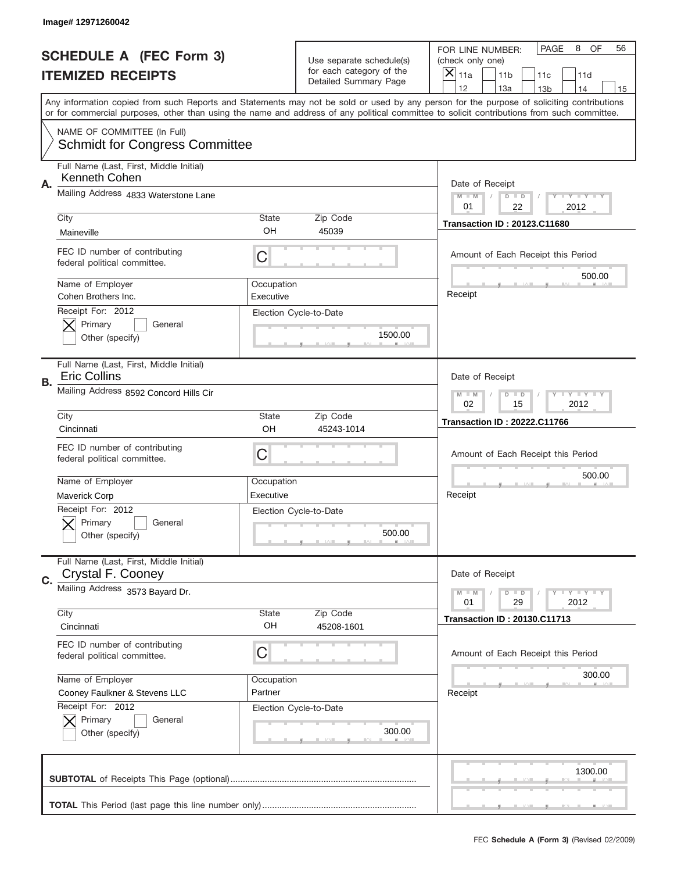|    | Image# 12971260042                                                   |                                  |                                                   |                                                                                                                                                                                                                                                                                         |
|----|----------------------------------------------------------------------|----------------------------------|---------------------------------------------------|-----------------------------------------------------------------------------------------------------------------------------------------------------------------------------------------------------------------------------------------------------------------------------------------|
|    | <b>SCHEDULE A (FEC Form 3)</b>                                       |                                  | Use separate schedule(s)                          | PAGE<br>8<br>OF<br>56<br>FOR LINE NUMBER:<br>(check only one)                                                                                                                                                                                                                           |
|    | <b>ITEMIZED RECEIPTS</b>                                             |                                  | for each category of the<br>Detailed Summary Page | ×<br>11a<br>11 <sub>b</sub><br>11c<br>11d                                                                                                                                                                                                                                               |
|    |                                                                      |                                  |                                                   | 12<br>13a<br>14<br>13 <sub>b</sub><br>15                                                                                                                                                                                                                                                |
|    |                                                                      |                                  |                                                   | Any information copied from such Reports and Statements may not be sold or used by any person for the purpose of soliciting contributions<br>or for commercial purposes, other than using the name and address of any political committee to solicit contributions from such committee. |
|    | NAME OF COMMITTEE (In Full)<br><b>Schmidt for Congress Committee</b> |                                  |                                                   |                                                                                                                                                                                                                                                                                         |
|    | Full Name (Last, First, Middle Initial)<br>Kenneth Cohen             |                                  |                                                   |                                                                                                                                                                                                                                                                                         |
| Α. | Mailing Address 4833 Waterstone Lane                                 |                                  |                                                   | Date of Receipt<br>$M - M$<br>Y FY FY FY<br>$D$ $D$<br>01<br>22<br>2012                                                                                                                                                                                                                 |
|    | City                                                                 | State                            | Zip Code                                          | <b>Transaction ID: 20123.C11680</b>                                                                                                                                                                                                                                                     |
|    | Maineville                                                           | OH                               | 45039                                             |                                                                                                                                                                                                                                                                                         |
|    | FEC ID number of contributing<br>federal political committee.        | C                                |                                                   | Amount of Each Receipt this Period<br>500.00                                                                                                                                                                                                                                            |
|    | Name of Employer<br>Cohen Brothers Inc.                              | Occupation<br>Executive          |                                                   | Receipt                                                                                                                                                                                                                                                                                 |
|    | Receipt For: 2012                                                    |                                  | Election Cycle-to-Date                            |                                                                                                                                                                                                                                                                                         |
|    | Primary<br>General                                                   |                                  |                                                   |                                                                                                                                                                                                                                                                                         |
|    | Other (specify)                                                      |                                  | 1500.00                                           |                                                                                                                                                                                                                                                                                         |
|    | Full Name (Last, First, Middle Initial)<br><b>Eric Collins</b>       |                                  |                                                   | Date of Receipt                                                                                                                                                                                                                                                                         |
| В. | Mailing Address 8592 Concord Hills Cir                               | Y TY TY TY<br>$M - M$<br>$D$ $D$ |                                                   |                                                                                                                                                                                                                                                                                         |
|    | City                                                                 | Zip Code                         | 02<br>15<br>2012                                  |                                                                                                                                                                                                                                                                                         |
|    | Cincinnati                                                           | State<br>OH                      | 45243-1014                                        | <b>Transaction ID: 20222.C11766</b>                                                                                                                                                                                                                                                     |
|    | FEC ID number of contributing<br>federal political committee.        | C                                |                                                   | Amount of Each Receipt this Period                                                                                                                                                                                                                                                      |
|    |                                                                      |                                  |                                                   | 500.00                                                                                                                                                                                                                                                                                  |
|    |                                                                      |                                  |                                                   |                                                                                                                                                                                                                                                                                         |
|    | Name of Employer                                                     | Occupation<br>Executive          |                                                   | Receipt                                                                                                                                                                                                                                                                                 |
|    | Maverick Corp                                                        |                                  | Election Cycle-to-Date                            |                                                                                                                                                                                                                                                                                         |
|    | Receipt For: 2012<br>General<br>Primary                              |                                  |                                                   |                                                                                                                                                                                                                                                                                         |
|    | Other (specify)                                                      |                                  | 500.00                                            |                                                                                                                                                                                                                                                                                         |
|    | Full Name (Last, First, Middle Initial)<br>Crystal F. Cooney         |                                  |                                                   | Date of Receipt                                                                                                                                                                                                                                                                         |
| C. | Mailing Address 3573 Bayard Dr.                                      |                                  |                                                   | <b>TEY TEY TEY</b><br>$M - M$<br>$D$ $D$<br>01                                                                                                                                                                                                                                          |
|    | City                                                                 | State                            | Zip Code                                          | 29<br>2012                                                                                                                                                                                                                                                                              |
|    | Cincinnati                                                           | OH                               | 45208-1601                                        | <b>Transaction ID: 20130.C11713</b>                                                                                                                                                                                                                                                     |
|    | FEC ID number of contributing<br>federal political committee.        | C                                |                                                   | Amount of Each Receipt this Period                                                                                                                                                                                                                                                      |
|    | Name of Employer                                                     | Occupation                       |                                                   | 300.00                                                                                                                                                                                                                                                                                  |
|    | Cooney Faulkner & Stevens LLC                                        | Partner                          |                                                   | Receipt                                                                                                                                                                                                                                                                                 |
|    | Receipt For: 2012                                                    |                                  | Election Cycle-to-Date                            |                                                                                                                                                                                                                                                                                         |
|    | Primary<br>General                                                   |                                  |                                                   |                                                                                                                                                                                                                                                                                         |
|    | Other (specify)                                                      |                                  | 300.00                                            |                                                                                                                                                                                                                                                                                         |
|    |                                                                      |                                  |                                                   | 1300.00                                                                                                                                                                                                                                                                                 |
|    |                                                                      |                                  |                                                   |                                                                                                                                                                                                                                                                                         |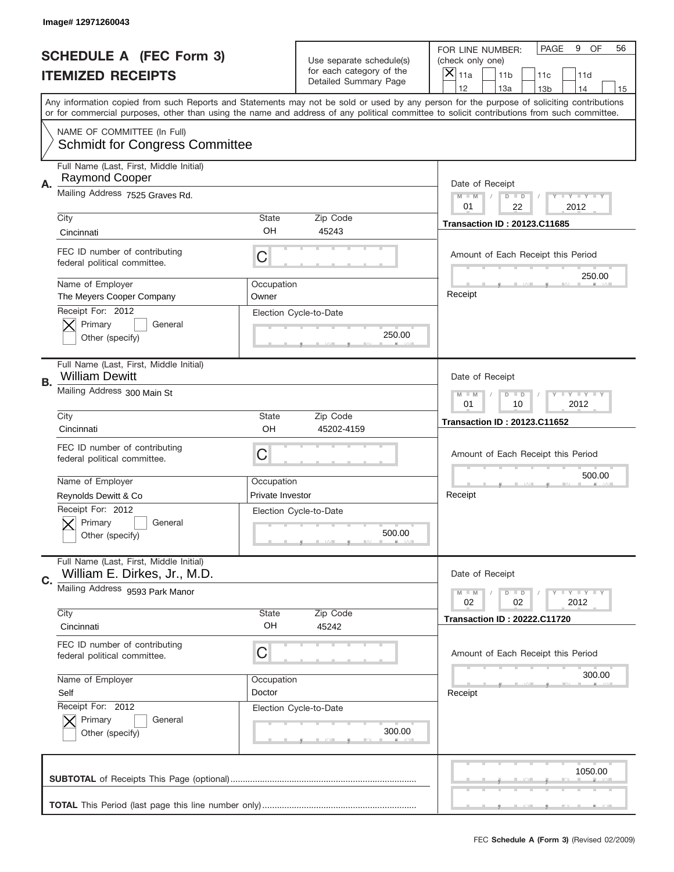|    | Image# 12971260043                                                      |                                                      |                                                   |                                                                                                                                                                                       |
|----|-------------------------------------------------------------------------|------------------------------------------------------|---------------------------------------------------|---------------------------------------------------------------------------------------------------------------------------------------------------------------------------------------|
|    | <b>SCHEDULE A (FEC Form 3)</b>                                          |                                                      | Use separate schedule(s)                          | PAGE<br>9<br>OF<br>56<br>FOR LINE NUMBER:<br>(check only one)                                                                                                                         |
|    | <b>ITEMIZED RECEIPTS</b>                                                |                                                      | for each category of the<br>Detailed Summary Page | ×<br>11a<br>11 <sub>b</sub><br>11c<br>11d                                                                                                                                             |
|    |                                                                         |                                                      |                                                   | 12<br>13a<br>14<br>13 <sub>b</sub><br>15<br>Any information copied from such Reports and Statements may not be sold or used by any person for the purpose of soliciting contributions |
|    |                                                                         |                                                      |                                                   | or for commercial purposes, other than using the name and address of any political committee to solicit contributions from such committee.                                            |
|    | NAME OF COMMITTEE (In Full)<br><b>Schmidt for Congress Committee</b>    |                                                      |                                                   |                                                                                                                                                                                       |
| А. | Full Name (Last, First, Middle Initial)<br><b>Raymond Cooper</b>        |                                                      |                                                   | Date of Receipt                                                                                                                                                                       |
|    | Mailing Address 7525 Graves Rd.                                         |                                                      |                                                   | $M$ M<br>Y I Y I Y I Y<br>$D$ $D$<br>01<br>22<br>2012                                                                                                                                 |
|    | City                                                                    | State                                                | Zip Code                                          | <b>Transaction ID: 20123.C11685</b>                                                                                                                                                   |
|    | Cincinnati                                                              | OH                                                   | 45243                                             |                                                                                                                                                                                       |
|    | FEC ID number of contributing<br>federal political committee.           | C                                                    |                                                   | Amount of Each Receipt this Period<br>250.00                                                                                                                                          |
|    | Name of Employer<br>The Meyers Cooper Company                           | Occupation<br>Owner                                  |                                                   | Receipt                                                                                                                                                                               |
|    | Receipt For: 2012                                                       |                                                      | Election Cycle-to-Date                            |                                                                                                                                                                                       |
|    | Primary<br>General                                                      |                                                      | 250.00                                            |                                                                                                                                                                                       |
|    | Other (specify)                                                         |                                                      |                                                   |                                                                                                                                                                                       |
| В. | Full Name (Last, First, Middle Initial)<br><b>William Dewitt</b>        |                                                      |                                                   | Date of Receipt                                                                                                                                                                       |
|    | Mailing Address 300 Main St                                             | Y TY TY TY<br>$M - M$<br>$D$ $D$<br>01<br>10<br>2012 |                                                   |                                                                                                                                                                                       |
|    | City                                                                    | Zip Code                                             | <b>Transaction ID: 20123.C11652</b>               |                                                                                                                                                                                       |
|    | Cincinnati                                                              | OH                                                   | 45202-4159                                        |                                                                                                                                                                                       |
|    | FEC ID number of contributing                                           | C                                                    |                                                   | Amount of Each Receipt this Period                                                                                                                                                    |
|    | federal political committee.                                            |                                                      |                                                   |                                                                                                                                                                                       |
|    | Name of Employer                                                        | Occupation                                           |                                                   | 500.00                                                                                                                                                                                |
|    | Reynolds Dewitt & Co                                                    | Private Investor                                     |                                                   | Receipt                                                                                                                                                                               |
|    | Receipt For: 2012<br>Primary<br>General                                 |                                                      | Election Cycle-to-Date                            |                                                                                                                                                                                       |
|    | Other (specify)                                                         |                                                      | 500.00                                            |                                                                                                                                                                                       |
|    |                                                                         |                                                      |                                                   |                                                                                                                                                                                       |
| C. | Full Name (Last, First, Middle Initial)<br>William E. Dirkes, Jr., M.D. |                                                      |                                                   | Date of Receipt                                                                                                                                                                       |
|    | Mailing Address 9593 Park Manor                                         |                                                      |                                                   | Y TY TY TY<br>$M - M$<br>$D$ $D$<br>02<br>2012<br>02                                                                                                                                  |
|    | City                                                                    | State                                                | Zip Code                                          | <b>Transaction ID: 20222.C11720</b>                                                                                                                                                   |
|    | Cincinnati                                                              | OH                                                   | 45242                                             |                                                                                                                                                                                       |
|    | FEC ID number of contributing<br>federal political committee.           | C                                                    |                                                   | Amount of Each Receipt this Period                                                                                                                                                    |
|    | Name of Employer                                                        | Occupation                                           |                                                   | 300.00                                                                                                                                                                                |
|    | Self                                                                    | Doctor                                               |                                                   | Receipt                                                                                                                                                                               |
|    |                                                                         |                                                      |                                                   |                                                                                                                                                                                       |
|    | Receipt For: 2012                                                       | Election Cycle-to-Date                               |                                                   |                                                                                                                                                                                       |
|    | Primary<br>General                                                      |                                                      | 300.00                                            |                                                                                                                                                                                       |
|    | Other (specify)                                                         |                                                      |                                                   |                                                                                                                                                                                       |
|    |                                                                         |                                                      |                                                   | 1050.00                                                                                                                                                                               |
|    |                                                                         |                                                      |                                                   |                                                                                                                                                                                       |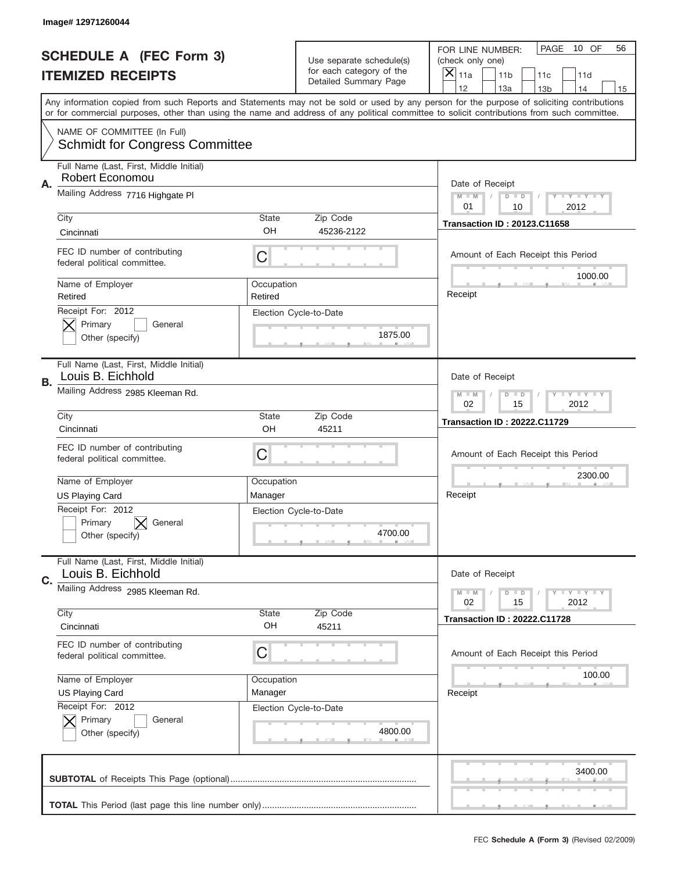|    | Image#12971260044                                                    |                                                                   |                                                   |                                                                                                                                                                                       |
|----|----------------------------------------------------------------------|-------------------------------------------------------------------|---------------------------------------------------|---------------------------------------------------------------------------------------------------------------------------------------------------------------------------------------|
|    | <b>SCHEDULE A (FEC Form 3)</b>                                       |                                                                   | Use separate schedule(s)                          | PAGE<br>10 OF<br>56<br>FOR LINE NUMBER:<br>(check only one)                                                                                                                           |
|    | <b>ITEMIZED RECEIPTS</b>                                             |                                                                   | for each category of the<br>Detailed Summary Page | $\overline{\mathsf{x}}$<br>11a<br>11 <sub>b</sub><br>11c<br>11d                                                                                                                       |
|    |                                                                      |                                                                   |                                                   | 12<br>13a<br>14<br>13 <sub>b</sub><br>15<br>Any information copied from such Reports and Statements may not be sold or used by any person for the purpose of soliciting contributions |
|    |                                                                      |                                                                   |                                                   | or for commercial purposes, other than using the name and address of any political committee to solicit contributions from such committee.                                            |
|    | NAME OF COMMITTEE (In Full)<br><b>Schmidt for Congress Committee</b> |                                                                   |                                                   |                                                                                                                                                                                       |
| Α. | Full Name (Last, First, Middle Initial)<br>Robert Economou           |                                                                   |                                                   | Date of Receipt                                                                                                                                                                       |
|    | Mailing Address 7716 Highgate PI                                     |                                                                   |                                                   | Y TY TY TY<br>$M - M$<br>$D$ $D$<br>01<br>10<br>2012                                                                                                                                  |
|    | City<br>Cincinnati                                                   | <b>State</b><br>OH                                                | Zip Code<br>45236-2122                            | <b>Transaction ID: 20123.C11658</b>                                                                                                                                                   |
|    | FEC ID number of contributing<br>federal political committee.        | C                                                                 |                                                   | Amount of Each Receipt this Period                                                                                                                                                    |
|    | Name of Employer<br>Retired                                          | Occupation<br>Retired                                             |                                                   | 1000.00<br>Receipt                                                                                                                                                                    |
|    | Receipt For: 2012<br>Primary<br>General<br>Other (specify)           |                                                                   | Election Cycle-to-Date<br>1875.00                 |                                                                                                                                                                                       |
| В. | Full Name (Last, First, Middle Initial)<br>Louis B. Eichhold         |                                                                   |                                                   | Date of Receipt                                                                                                                                                                       |
|    | Mailing Address 2985 Kleeman Rd.                                     | $T$ $Y$ $T$ $Y$ $T$ $Y$<br>$M - M$<br>$D$ $D$<br>02<br>15<br>2012 |                                                   |                                                                                                                                                                                       |
|    | City<br>Cincinnati                                                   | <b>State</b><br>OH                                                | Zip Code<br>45211                                 | <b>Transaction ID: 20222.C11729</b>                                                                                                                                                   |
|    |                                                                      |                                                                   |                                                   |                                                                                                                                                                                       |
|    | FEC ID number of contributing<br>federal political committee.        | C                                                                 |                                                   | Amount of Each Receipt this Period                                                                                                                                                    |
|    | Name of Employer                                                     | Occupation                                                        |                                                   | 2300.00                                                                                                                                                                               |
|    | <b>US Playing Card</b>                                               | Manager                                                           |                                                   | Receipt                                                                                                                                                                               |
|    | Receipt For: 2012<br>General<br>Primary<br>Other (specify)           |                                                                   | Election Cycle-to-Date<br>4700.00                 |                                                                                                                                                                                       |
| C. | Full Name (Last, First, Middle Initial)<br>Louis B. Eichhold         |                                                                   |                                                   | Date of Receipt                                                                                                                                                                       |
|    | Mailing Address 2985 Kleeman Rd.                                     |                                                                   |                                                   | Y FY FY FY<br>$M - M$<br>$D$ $D$<br>02<br>2012<br>15                                                                                                                                  |
|    | City<br>Cincinnati                                                   | State<br>OH                                                       | Zip Code<br>45211                                 | <b>Transaction ID: 20222.C11728</b>                                                                                                                                                   |
|    | FEC ID number of contributing<br>federal political committee.        | C                                                                 |                                                   | Amount of Each Receipt this Period                                                                                                                                                    |
|    | Name of Employer                                                     | Occupation                                                        |                                                   | 100.00                                                                                                                                                                                |
|    | <b>US Playing Card</b>                                               | Manager                                                           |                                                   | Receipt                                                                                                                                                                               |
|    | Receipt For: 2012<br>Primary<br>General<br>Other (specify)           |                                                                   | Election Cycle-to-Date<br>4800.00                 |                                                                                                                                                                                       |
|    |                                                                      |                                                                   |                                                   | 3400.00                                                                                                                                                                               |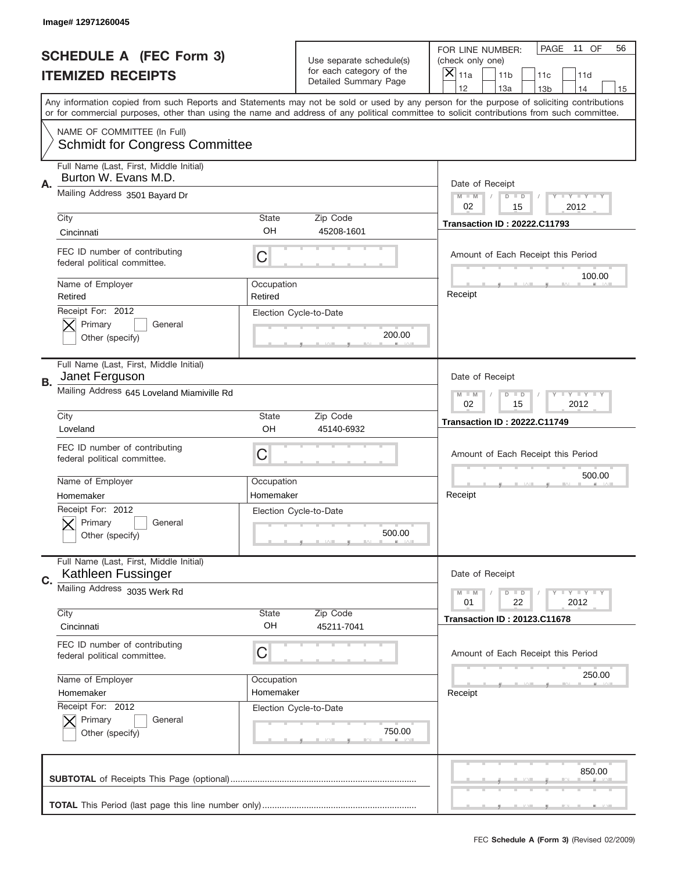|    | Image# 12971260045                                                   |                                                                   |                                                   |                                                                                                                                                                                       |
|----|----------------------------------------------------------------------|-------------------------------------------------------------------|---------------------------------------------------|---------------------------------------------------------------------------------------------------------------------------------------------------------------------------------------|
|    | <b>SCHEDULE A (FEC Form 3)</b>                                       |                                                                   | Use separate schedule(s)                          | PAGE<br>11 OF<br>56<br>FOR LINE NUMBER:<br>(check only one)                                                                                                                           |
|    | <b>ITEMIZED RECEIPTS</b>                                             |                                                                   | for each category of the<br>Detailed Summary Page | ×<br>11a<br>11 <sub>b</sub><br>11c<br>11d                                                                                                                                             |
|    |                                                                      |                                                                   |                                                   | 12<br>13a<br>14<br>13 <sub>b</sub><br>15<br>Any information copied from such Reports and Statements may not be sold or used by any person for the purpose of soliciting contributions |
|    |                                                                      |                                                                   |                                                   | or for commercial purposes, other than using the name and address of any political committee to solicit contributions from such committee.                                            |
|    | NAME OF COMMITTEE (In Full)<br><b>Schmidt for Congress Committee</b> |                                                                   |                                                   |                                                                                                                                                                                       |
| Α. | Full Name (Last, First, Middle Initial)<br>Burton W. Evans M.D.      |                                                                   |                                                   | Date of Receipt                                                                                                                                                                       |
|    | Mailing Address 3501 Bayard Dr                                       |                                                                   |                                                   | $M - M$<br>Y I Y I Y I Y<br>$D$ $D$<br>02<br>15<br>2012                                                                                                                               |
|    | City<br>Cincinnati                                                   | <b>State</b><br>OH                                                | Zip Code<br>45208-1601                            | <b>Transaction ID: 20222.C11793</b>                                                                                                                                                   |
|    | FEC ID number of contributing<br>federal political committee.        | C                                                                 |                                                   | Amount of Each Receipt this Period                                                                                                                                                    |
|    | Name of Employer<br>Retired                                          | Occupation<br>Retired                                             |                                                   | 100.00<br>Receipt                                                                                                                                                                     |
|    | Receipt For: 2012<br>Primary<br>General<br>Other (specify)           |                                                                   | Election Cycle-to-Date<br>200.00                  |                                                                                                                                                                                       |
| В. | Full Name (Last, First, Middle Initial)<br>Janet Ferguson            |                                                                   |                                                   | Date of Receipt                                                                                                                                                                       |
|    | Mailing Address 645 Loveland Miamiville Rd                           | $T$ $Y$ $T$ $Y$ $T$ $Y$<br>$M - M$<br>$D$ $D$<br>02<br>15<br>2012 |                                                   |                                                                                                                                                                                       |
|    | City<br>Loveland                                                     | <b>State</b><br>OH                                                | Zip Code<br>45140-6932                            | <b>Transaction ID: 20222.C11749</b>                                                                                                                                                   |
|    | FEC ID number of contributing<br>federal political committee.        | C                                                                 |                                                   | Amount of Each Receipt this Period                                                                                                                                                    |
|    | Name of Employer                                                     | Occupation                                                        |                                                   | 500.00                                                                                                                                                                                |
|    | Homemaker                                                            | Homemaker                                                         |                                                   | Receipt                                                                                                                                                                               |
|    | Receipt For: 2012<br>General<br>Primary<br>Other (specify)           |                                                                   | Election Cycle-to-Date<br>500.00                  |                                                                                                                                                                                       |
| C. | Full Name (Last, First, Middle Initial)<br>Kathleen Fussinger        |                                                                   |                                                   | Date of Receipt                                                                                                                                                                       |
|    | Mailing Address 3035 Werk Rd<br>City                                 |                                                                   | Zip Code                                          | Y FY FY FY<br>$M - M$<br>$D$ $D$<br>22<br>2012<br>01                                                                                                                                  |
|    | Cincinnati                                                           | State<br>OH                                                       | 45211-7041                                        | <b>Transaction ID: 20123.C11678</b>                                                                                                                                                   |
|    | FEC ID number of contributing<br>federal political committee.        | C                                                                 |                                                   | Amount of Each Receipt this Period                                                                                                                                                    |
|    | Name of Employer                                                     | Occupation                                                        |                                                   | 250.00                                                                                                                                                                                |
|    | Homemaker                                                            | Homemaker                                                         |                                                   | Receipt                                                                                                                                                                               |
|    | Receipt For: 2012<br>Primary<br>General<br>Other (specify)           |                                                                   | Election Cycle-to-Date<br>750.00                  |                                                                                                                                                                                       |
|    |                                                                      |                                                                   |                                                   | 850.00                                                                                                                                                                                |
|    |                                                                      |                                                                   |                                                   |                                                                                                                                                                                       |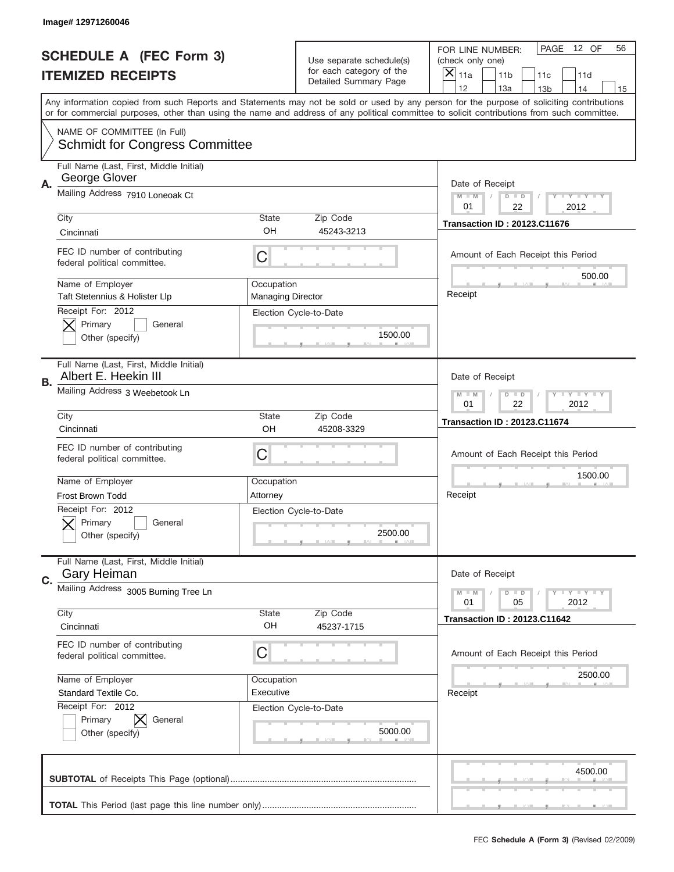|    | Image# 12971260046                                                   |                                                      |                                                   |                                                                                                                                                                                                                                                                                         |
|----|----------------------------------------------------------------------|------------------------------------------------------|---------------------------------------------------|-----------------------------------------------------------------------------------------------------------------------------------------------------------------------------------------------------------------------------------------------------------------------------------------|
|    | <b>SCHEDULE A (FEC Form 3)</b>                                       |                                                      | Use separate schedule(s)                          | PAGE<br>12 OF<br>56<br>FOR LINE NUMBER:<br>(check only one)                                                                                                                                                                                                                             |
|    | <b>ITEMIZED RECEIPTS</b>                                             |                                                      | for each category of the<br>Detailed Summary Page | ×<br>11a<br>11 <sub>b</sub><br>11c<br>11d                                                                                                                                                                                                                                               |
|    |                                                                      |                                                      |                                                   | 12<br>13a<br>14<br>13 <sub>b</sub><br>15                                                                                                                                                                                                                                                |
|    |                                                                      |                                                      |                                                   | Any information copied from such Reports and Statements may not be sold or used by any person for the purpose of soliciting contributions<br>or for commercial purposes, other than using the name and address of any political committee to solicit contributions from such committee. |
|    | NAME OF COMMITTEE (In Full)<br><b>Schmidt for Congress Committee</b> |                                                      |                                                   |                                                                                                                                                                                                                                                                                         |
| А. | Full Name (Last, First, Middle Initial)<br>George Glover             |                                                      |                                                   | Date of Receipt                                                                                                                                                                                                                                                                         |
|    | Mailing Address 7910 Loneoak Ct                                      |                                                      |                                                   | $M - M$<br>Y I Y I Y I Y<br>$D$ $D$<br>01<br>22<br>2012                                                                                                                                                                                                                                 |
|    | City                                                                 | State                                                | Zip Code                                          | <b>Transaction ID: 20123.C11676</b>                                                                                                                                                                                                                                                     |
|    | Cincinnati                                                           | OH                                                   | 45243-3213                                        |                                                                                                                                                                                                                                                                                         |
|    | FEC ID number of contributing<br>federal political committee.        | C                                                    |                                                   | Amount of Each Receipt this Period<br>500.00                                                                                                                                                                                                                                            |
|    | Name of Employer<br>Taft Stetennius & Holister Llp                   | Occupation<br><b>Managing Director</b>               |                                                   | Receipt                                                                                                                                                                                                                                                                                 |
|    | Receipt For: 2012<br>Primary<br>General<br>Other (specify)           |                                                      | Election Cycle-to-Date<br>1500.00                 |                                                                                                                                                                                                                                                                                         |
|    | Full Name (Last, First, Middle Initial)<br>Albert E. Heekin III      |                                                      |                                                   | Date of Receipt                                                                                                                                                                                                                                                                         |
| В. | Mailing Address 3 Weebetook Ln                                       | Y TYTTYTTY<br>$M$ $M$<br>$D$ $D$<br>01<br>22<br>2012 |                                                   |                                                                                                                                                                                                                                                                                         |
|    | City                                                                 | State                                                | Zip Code                                          | <b>Transaction ID: 20123.C11674</b>                                                                                                                                                                                                                                                     |
|    | Cincinnati                                                           | OH                                                   | 45208-3329                                        |                                                                                                                                                                                                                                                                                         |
|    | FEC ID number of contributing<br>federal political committee.        | C                                                    |                                                   | Amount of Each Receipt this Period                                                                                                                                                                                                                                                      |
|    | Name of Employer                                                     | Occupation                                           |                                                   | 1500.00                                                                                                                                                                                                                                                                                 |
|    | <b>Frost Brown Todd</b>                                              | Attorney                                             |                                                   | Receipt                                                                                                                                                                                                                                                                                 |
|    | Receipt For: 2012<br>General<br>Primary<br>Other (specify)           |                                                      | Election Cycle-to-Date<br>2500.00                 |                                                                                                                                                                                                                                                                                         |
| C. | Full Name (Last, First, Middle Initial)<br><b>Gary Heiman</b>        |                                                      |                                                   | Date of Receipt                                                                                                                                                                                                                                                                         |
|    | Mailing Address 3005 Burning Tree Ln                                 |                                                      |                                                   | $T$ $Y$ $Y$ $Y$ $Y$<br>$M - M$<br>$D$ $D$<br>05<br>2012<br>01                                                                                                                                                                                                                           |
|    | City<br>Cincinnati                                                   | State<br>OH                                          | Zip Code<br>45237-1715                            | <b>Transaction ID: 20123.C11642</b>                                                                                                                                                                                                                                                     |
|    | FEC ID number of contributing<br>federal political committee.        | C                                                    |                                                   | Amount of Each Receipt this Period                                                                                                                                                                                                                                                      |
|    | Name of Employer                                                     | Occupation                                           |                                                   | 2500.00                                                                                                                                                                                                                                                                                 |
|    | Standard Textile Co.                                                 | Executive                                            |                                                   | Receipt                                                                                                                                                                                                                                                                                 |
|    | Receipt For: 2012<br>Primary<br>General<br>Other (specify)           |                                                      | Election Cycle-to-Date<br>5000.00                 |                                                                                                                                                                                                                                                                                         |
|    |                                                                      |                                                      |                                                   | 4500.00                                                                                                                                                                                                                                                                                 |
|    |                                                                      |                                                      |                                                   |                                                                                                                                                                                                                                                                                         |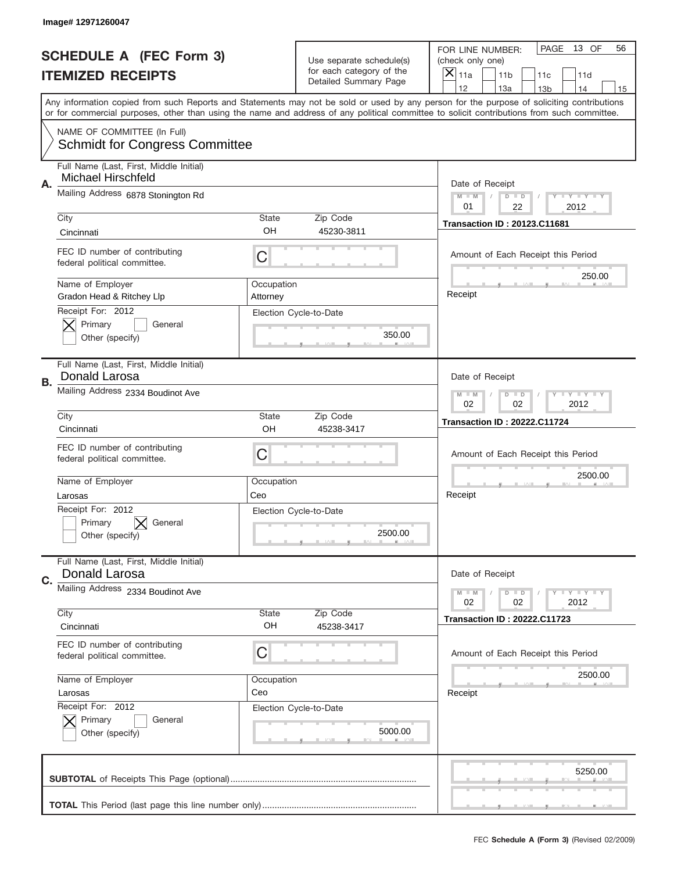|    | Image# 12971260047                                                   |                        |                                                   |                                                                                                                                                                                       |
|----|----------------------------------------------------------------------|------------------------|---------------------------------------------------|---------------------------------------------------------------------------------------------------------------------------------------------------------------------------------------|
|    | <b>SCHEDULE A (FEC Form 3)</b>                                       |                        | Use separate schedule(s)                          | PAGE<br>13 OF<br>56<br>FOR LINE NUMBER:<br>(check only one)                                                                                                                           |
|    | <b>ITEMIZED RECEIPTS</b>                                             |                        | for each category of the<br>Detailed Summary Page | ×<br>11a<br>11 <sub>b</sub><br>11c<br>11d                                                                                                                                             |
|    |                                                                      |                        |                                                   | 12<br>13a<br>14<br>13 <sub>b</sub><br>15<br>Any information copied from such Reports and Statements may not be sold or used by any person for the purpose of soliciting contributions |
|    |                                                                      |                        |                                                   | or for commercial purposes, other than using the name and address of any political committee to solicit contributions from such committee.                                            |
|    | NAME OF COMMITTEE (In Full)<br><b>Schmidt for Congress Committee</b> |                        |                                                   |                                                                                                                                                                                       |
| Α. | Full Name (Last, First, Middle Initial)<br>Michael Hirschfeld        |                        |                                                   | Date of Receipt                                                                                                                                                                       |
|    | Mailing Address 6878 Stonington Rd                                   |                        |                                                   | $M - M$<br>Y I Y I Y I Y<br>$D$ $D$<br>22<br>01<br>2012                                                                                                                               |
|    | City<br>Cincinnati                                                   | <b>State</b><br>OH     | Zip Code<br>45230-3811                            | <b>Transaction ID: 20123.C11681</b>                                                                                                                                                   |
|    | FEC ID number of contributing<br>federal political committee.        | C                      |                                                   | Amount of Each Receipt this Period                                                                                                                                                    |
|    | Name of Employer<br>Gradon Head & Ritchey Llp                        | Occupation<br>Attorney |                                                   | 250.00<br>Receipt                                                                                                                                                                     |
|    | Receipt For: 2012<br>Primary<br>General<br>Other (specify)           |                        | Election Cycle-to-Date<br>350.00                  |                                                                                                                                                                                       |
| В. | Full Name (Last, First, Middle Initial)<br>Donald Larosa             |                        |                                                   | Date of Receipt                                                                                                                                                                       |
|    | Mailing Address 2334 Boudinot Ave                                    |                        |                                                   | $T$ $Y$ $T$ $Y$ $T$ $Y$<br>$M - M$<br>$D$ $D$<br>02<br>02<br>2012                                                                                                                     |
|    | City<br>Cincinnati                                                   | <b>State</b><br>OH     | Zip Code<br>45238-3417                            | <b>Transaction ID: 20222.C11724</b>                                                                                                                                                   |
|    | FEC ID number of contributing<br>federal political committee.        | C                      |                                                   | Amount of Each Receipt this Period                                                                                                                                                    |
|    | Name of Employer                                                     | Occupation             |                                                   | 2500.00                                                                                                                                                                               |
|    | Larosas<br>Receipt For: 2012                                         | Ceo                    |                                                   | Receipt                                                                                                                                                                               |
|    | General<br>Primary<br>Other (specify)                                |                        | Election Cycle-to-Date<br>2500.00                 |                                                                                                                                                                                       |
| C. | Full Name (Last, First, Middle Initial)<br>Donald Larosa             |                        |                                                   | Date of Receipt                                                                                                                                                                       |
|    | Mailing Address 2334 Boudinot Ave                                    |                        |                                                   | Y FY FY FY<br>$M - M$<br>$D$ $D$<br>02<br>02<br>2012                                                                                                                                  |
|    | City<br>Cincinnati                                                   | State<br>OH            | Zip Code<br>45238-3417                            | <b>Transaction ID: 20222.C11723</b>                                                                                                                                                   |
|    | FEC ID number of contributing<br>federal political committee.        | C                      |                                                   | Amount of Each Receipt this Period                                                                                                                                                    |
|    | Name of Employer                                                     | Occupation             |                                                   | 2500.00                                                                                                                                                                               |
|    | Larosas<br>Receipt For: 2012                                         | Ceo                    | Election Cycle-to-Date                            | Receipt                                                                                                                                                                               |
|    | Primary<br>General<br>Other (specify)                                |                        | 5000.00                                           |                                                                                                                                                                                       |
|    |                                                                      |                        |                                                   | 5250.00                                                                                                                                                                               |
|    |                                                                      |                        |                                                   |                                                                                                                                                                                       |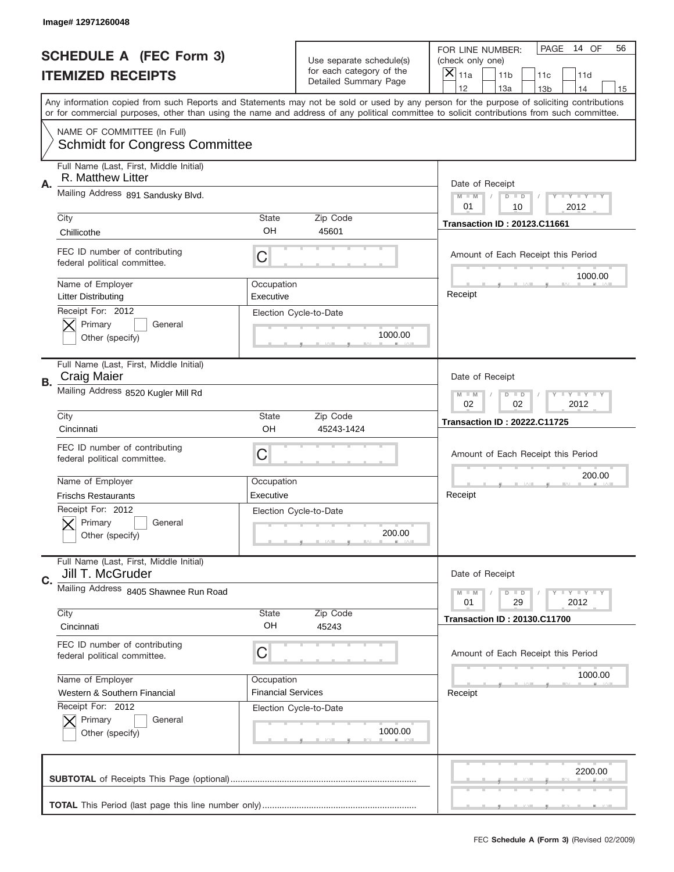|    | Image# 12971260048                                                   |                           |                                                   |                                                                                                                                                                                       |
|----|----------------------------------------------------------------------|---------------------------|---------------------------------------------------|---------------------------------------------------------------------------------------------------------------------------------------------------------------------------------------|
|    | <b>SCHEDULE A (FEC Form 3)</b>                                       |                           | Use separate schedule(s)                          | PAGE<br>14 OF<br>56<br>FOR LINE NUMBER:<br>(check only one)                                                                                                                           |
|    | <b>ITEMIZED RECEIPTS</b>                                             |                           | for each category of the<br>Detailed Summary Page | ×<br>11a<br>11 <sub>b</sub><br>11c<br>11d                                                                                                                                             |
|    |                                                                      |                           |                                                   | 12<br>13a<br>14<br>13 <sub>b</sub><br>15<br>Any information copied from such Reports and Statements may not be sold or used by any person for the purpose of soliciting contributions |
|    |                                                                      |                           |                                                   | or for commercial purposes, other than using the name and address of any political committee to solicit contributions from such committee.                                            |
|    | NAME OF COMMITTEE (In Full)<br><b>Schmidt for Congress Committee</b> |                           |                                                   |                                                                                                                                                                                       |
| Α. | Full Name (Last, First, Middle Initial)<br>R. Matthew Litter         |                           |                                                   | Date of Receipt                                                                                                                                                                       |
|    | Mailing Address 891 Sandusky Blvd.                                   |                           |                                                   | $M - M$<br>Y I Y I Y I Y<br>$D$ $D$<br>01<br>10<br>2012                                                                                                                               |
|    | City                                                                 | <b>State</b>              | Zip Code                                          | <b>Transaction ID: 20123.C11661</b>                                                                                                                                                   |
|    | Chillicothe                                                          | OH                        | 45601                                             |                                                                                                                                                                                       |
|    | FEC ID number of contributing<br>federal political committee.        | C                         |                                                   | Amount of Each Receipt this Period<br>1000.00                                                                                                                                         |
|    | Name of Employer<br>Litter Distributing                              | Occupation<br>Executive   |                                                   | Receipt                                                                                                                                                                               |
|    | Receipt For: 2012<br>Primary<br>General<br>Other (specify)           |                           | Election Cycle-to-Date<br>1000.00                 |                                                                                                                                                                                       |
| В. | Full Name (Last, First, Middle Initial)<br><b>Craig Maier</b>        |                           |                                                   | Date of Receipt                                                                                                                                                                       |
|    | Mailing Address 8520 Kugler Mill Rd                                  |                           |                                                   | $T$ $Y$ $T$ $Y$ $T$ $Y$<br>$M - M$<br>$D$ $D$<br>02<br>02<br>2012                                                                                                                     |
|    | City                                                                 | <b>State</b>              | Zip Code                                          | <b>Transaction ID: 20222.C11725</b>                                                                                                                                                   |
|    | Cincinnati                                                           | OH                        | 45243-1424                                        |                                                                                                                                                                                       |
|    | FEC ID number of contributing<br>federal political committee.        | C                         |                                                   | Amount of Each Receipt this Period                                                                                                                                                    |
|    | Name of Employer                                                     | Occupation                |                                                   | 200.00                                                                                                                                                                                |
|    | <b>Frischs Restaurants</b>                                           | Executive                 |                                                   | Receipt                                                                                                                                                                               |
|    | Receipt For: 2012<br>Primary<br>General<br>Other (specify)           |                           | Election Cycle-to-Date<br>200.00                  |                                                                                                                                                                                       |
| C. | Full Name (Last, First, Middle Initial)<br>Jill T. McGruder          |                           |                                                   | Date of Receipt                                                                                                                                                                       |
|    | Mailing Address 8405 Shawnee Run Road                                |                           |                                                   | <b>TEY TEY TEY</b><br>$M - M$<br>$D$ $D$<br>29<br>2012<br>01                                                                                                                          |
|    | City<br>Cincinnati                                                   | <b>State</b><br>OH        | Zip Code<br>45243                                 | <b>Transaction ID: 20130.C11700</b>                                                                                                                                                   |
|    | FEC ID number of contributing<br>federal political committee.        | C                         |                                                   | Amount of Each Receipt this Period                                                                                                                                                    |
|    | Name of Employer                                                     | Occupation                |                                                   | 1000.00                                                                                                                                                                               |
|    | Western & Southern Financial                                         | <b>Financial Services</b> |                                                   | Receipt                                                                                                                                                                               |
|    | Receipt For: 2012<br>Primary<br>General<br>Other (specify)           |                           | Election Cycle-to-Date<br>1000.00                 |                                                                                                                                                                                       |
|    |                                                                      |                           |                                                   | 2200.00                                                                                                                                                                               |
|    |                                                                      |                           |                                                   |                                                                                                                                                                                       |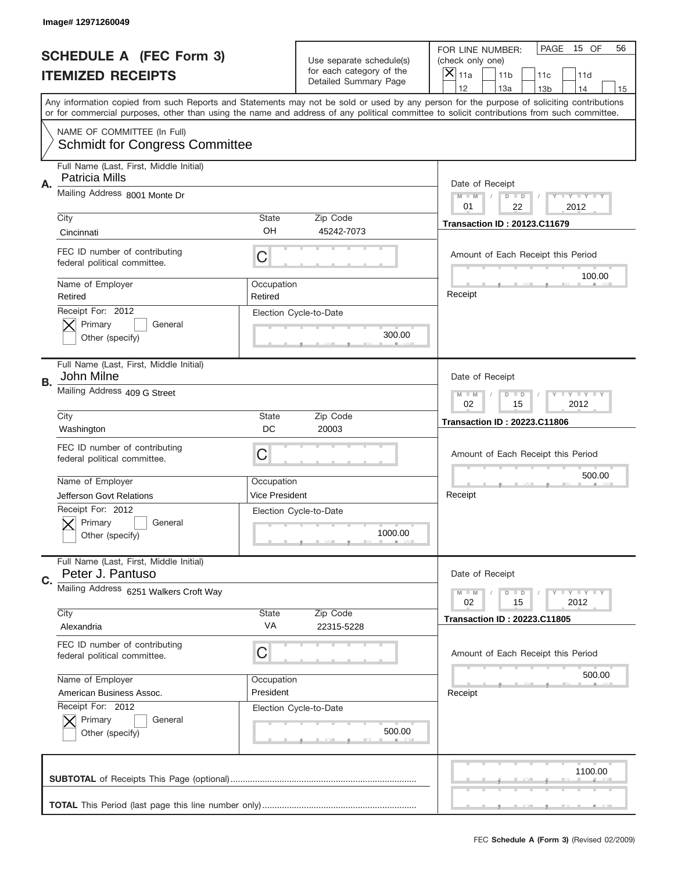|    | Image# 12971260049                                                   |                       |                                                   |                                                                                                                                                                                                                                                                                         |
|----|----------------------------------------------------------------------|-----------------------|---------------------------------------------------|-----------------------------------------------------------------------------------------------------------------------------------------------------------------------------------------------------------------------------------------------------------------------------------------|
|    | <b>SCHEDULE A (FEC Form 3)</b>                                       |                       | Use separate schedule(s)                          | PAGE<br>15 OF<br>56<br>FOR LINE NUMBER:<br>(check only one)                                                                                                                                                                                                                             |
|    | <b>ITEMIZED RECEIPTS</b>                                             |                       | for each category of the<br>Detailed Summary Page | ×<br>11a<br>11 <sub>b</sub><br>11c<br>11d                                                                                                                                                                                                                                               |
|    |                                                                      |                       |                                                   | 12<br>13a<br>13 <sub>b</sub><br>14<br>15                                                                                                                                                                                                                                                |
|    |                                                                      |                       |                                                   | Any information copied from such Reports and Statements may not be sold or used by any person for the purpose of soliciting contributions<br>or for commercial purposes, other than using the name and address of any political committee to solicit contributions from such committee. |
|    | NAME OF COMMITTEE (In Full)<br><b>Schmidt for Congress Committee</b> |                       |                                                   |                                                                                                                                                                                                                                                                                         |
|    | Full Name (Last, First, Middle Initial)<br><b>Patricia Mills</b>     |                       |                                                   |                                                                                                                                                                                                                                                                                         |
| Α. | Mailing Address 8001 Monte Dr                                        |                       |                                                   | Date of Receipt<br>Y TY TY TY<br>$M - M$<br>$D$ $D$<br>01<br>22<br>2012                                                                                                                                                                                                                 |
|    | City                                                                 | State                 | Zip Code                                          | <b>Transaction ID: 20123.C11679</b>                                                                                                                                                                                                                                                     |
|    | Cincinnati                                                           | OH                    | 45242-7073                                        |                                                                                                                                                                                                                                                                                         |
|    | FEC ID number of contributing<br>federal political committee.        | C                     |                                                   | Amount of Each Receipt this Period<br>100.00                                                                                                                                                                                                                                            |
|    | Name of Employer<br>Retired                                          | Occupation<br>Retired |                                                   | Receipt                                                                                                                                                                                                                                                                                 |
|    | Receipt For: 2012<br>Primary<br>General                              |                       | Election Cycle-to-Date                            |                                                                                                                                                                                                                                                                                         |
|    | Other (specify)                                                      |                       | 300.00                                            |                                                                                                                                                                                                                                                                                         |
| В. | Full Name (Last, First, Middle Initial)<br>John Milne                |                       |                                                   | Date of Receipt                                                                                                                                                                                                                                                                         |
|    | Mailing Address 409 G Street                                         |                       |                                                   | Y TY TY TY<br>$M - M$<br>$D$ $D$<br>02<br>15<br>2012                                                                                                                                                                                                                                    |
|    | City                                                                 | State                 | Zip Code                                          | <b>Transaction ID: 20223.C11806</b>                                                                                                                                                                                                                                                     |
|    | Washington                                                           | DC                    | 20003                                             |                                                                                                                                                                                                                                                                                         |
|    | FEC ID number of contributing<br>federal political committee.        | C                     |                                                   | Amount of Each Receipt this Period                                                                                                                                                                                                                                                      |
|    | Name of Employer                                                     | Occupation            |                                                   | 500.00                                                                                                                                                                                                                                                                                  |
|    | Jefferson Govt Relations                                             | Vice President        |                                                   | Receipt                                                                                                                                                                                                                                                                                 |
|    | Receipt For: 2012<br>General<br>Primary<br>Other (specify)           |                       | Election Cycle-to-Date<br>1000.00                 |                                                                                                                                                                                                                                                                                         |
| C. | Full Name (Last, First, Middle Initial)<br>Peter J. Pantuso          |                       |                                                   | Date of Receipt                                                                                                                                                                                                                                                                         |
|    | Mailing Address 6251 Walkers Croft Way                               |                       |                                                   | Y TY TY TY<br>$M - M$<br>$D$ $D$<br>02<br>2012<br>15                                                                                                                                                                                                                                    |
|    | City                                                                 | State                 | Zip Code                                          | <b>Transaction ID: 20223.C11805</b>                                                                                                                                                                                                                                                     |
|    | Alexandria                                                           | VA                    | 22315-5228                                        |                                                                                                                                                                                                                                                                                         |
|    | FEC ID number of contributing<br>federal political committee.        | C                     |                                                   | Amount of Each Receipt this Period                                                                                                                                                                                                                                                      |
|    | Name of Employer                                                     | Occupation            |                                                   | 500.00                                                                                                                                                                                                                                                                                  |
|    | American Business Assoc.                                             | President             |                                                   | Receipt                                                                                                                                                                                                                                                                                 |
|    | Receipt For: 2012                                                    |                       | Election Cycle-to-Date                            |                                                                                                                                                                                                                                                                                         |
|    | Primary<br>General<br>Other (specify)                                |                       | 500.00                                            |                                                                                                                                                                                                                                                                                         |
|    |                                                                      |                       |                                                   | 1100.00                                                                                                                                                                                                                                                                                 |
|    |                                                                      |                       |                                                   |                                                                                                                                                                                                                                                                                         |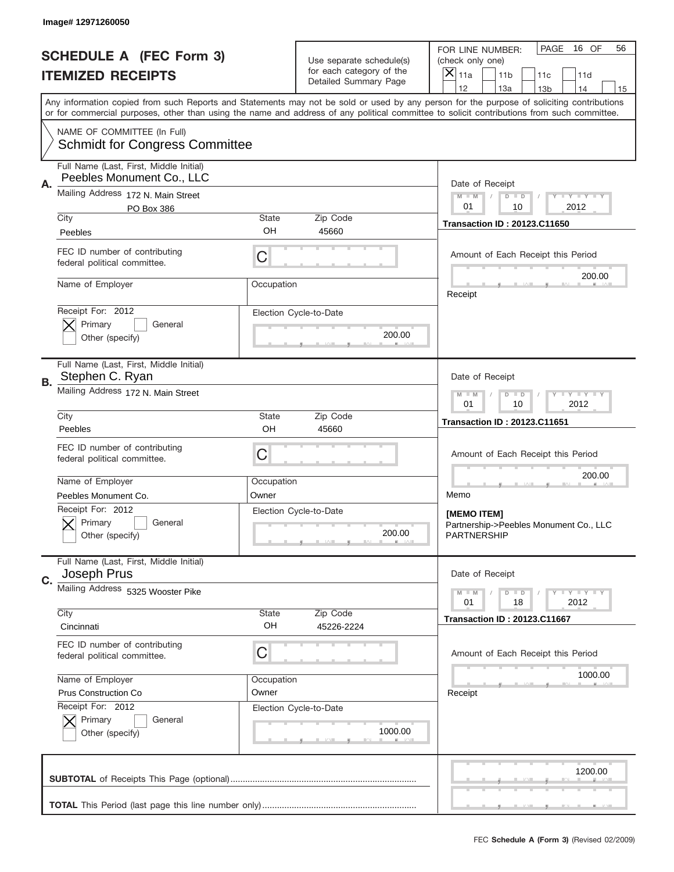|    | Image#12971260050                                                                  |                     |                                                   |                                                                                                                                                                                                                                                                                                                                     |
|----|------------------------------------------------------------------------------------|---------------------|---------------------------------------------------|-------------------------------------------------------------------------------------------------------------------------------------------------------------------------------------------------------------------------------------------------------------------------------------------------------------------------------------|
|    | <b>SCHEDULE A (FEC Form 3)</b>                                                     |                     | Use separate schedule(s)                          | PAGE<br>16 OF<br>56<br>FOR LINE NUMBER:<br>(check only one)                                                                                                                                                                                                                                                                         |
|    | <b>ITEMIZED RECEIPTS</b>                                                           |                     | for each category of the<br>Detailed Summary Page | ×<br>11a<br>11 <sub>b</sub><br>11c<br>11d                                                                                                                                                                                                                                                                                           |
|    |                                                                                    |                     |                                                   | 12<br>13a<br>14<br>13 <sub>b</sub><br>15<br>Any information copied from such Reports and Statements may not be sold or used by any person for the purpose of soliciting contributions<br>or for commercial purposes, other than using the name and address of any political committee to solicit contributions from such committee. |
|    | NAME OF COMMITTEE (In Full)<br><b>Schmidt for Congress Committee</b>               |                     |                                                   |                                                                                                                                                                                                                                                                                                                                     |
| Α. | Full Name (Last, First, Middle Initial)<br>Peebles Monument Co., LLC               |                     |                                                   | Date of Receipt                                                                                                                                                                                                                                                                                                                     |
|    | Mailing Address 172 N. Main Street<br>PO Box 386                                   |                     |                                                   | $M - M$<br>Y I Y I Y I Y<br>$D$ $D$<br>01<br>10<br>2012                                                                                                                                                                                                                                                                             |
|    | City<br>Peebles                                                                    | <b>State</b><br>OH  | Zip Code<br>45660                                 | <b>Transaction ID: 20123.C11650</b>                                                                                                                                                                                                                                                                                                 |
|    | FEC ID number of contributing<br>federal political committee.                      | C                   |                                                   | Amount of Each Receipt this Period<br>200.00                                                                                                                                                                                                                                                                                        |
|    | Name of Employer                                                                   | Occupation          |                                                   | Receipt                                                                                                                                                                                                                                                                                                                             |
|    | Receipt For: 2012<br>Primary<br>General<br>Other (specify)                         |                     | Election Cycle-to-Date<br>200.00                  |                                                                                                                                                                                                                                                                                                                                     |
| В. | Full Name (Last, First, Middle Initial)<br>Stephen C. Ryan                         |                     |                                                   | Date of Receipt                                                                                                                                                                                                                                                                                                                     |
|    | Mailing Address 172 N. Main Street                                                 |                     |                                                   | $T$ $Y$ $T$ $Y$ $T$ $Y$<br>$M - M$<br>$D$ $D$<br>01<br>10<br>2012                                                                                                                                                                                                                                                                   |
|    | City<br>Peebles                                                                    | <b>State</b><br>OH  | Zip Code<br>45660                                 | <b>Transaction ID: 20123.C11651</b>                                                                                                                                                                                                                                                                                                 |
|    | FEC ID number of contributing<br>federal political committee.                      | C                   |                                                   | Amount of Each Receipt this Period                                                                                                                                                                                                                                                                                                  |
|    | Name of Employer                                                                   | Occupation          |                                                   | 200.00                                                                                                                                                                                                                                                                                                                              |
|    | Peebles Monument Co.<br>Receipt For: 2012<br>General<br>Primary<br>Other (specify) | Owner               | Election Cycle-to-Date<br>200.00                  | Memo<br>[MEMO ITEM]<br>Partnership->Peebles Monument Co., LLC<br><b>PARTNERSHIP</b>                                                                                                                                                                                                                                                 |
| C. | Full Name (Last, First, Middle Initial)<br>Joseph Prus                             |                     |                                                   | Date of Receipt                                                                                                                                                                                                                                                                                                                     |
|    | Mailing Address 5325 Wooster Pike<br>City                                          | State               | Zip Code                                          | Y FY FY FY<br>$M - M$<br>$D$ $D$<br>2012<br>01<br>18                                                                                                                                                                                                                                                                                |
|    | Cincinnati                                                                         | OH                  | 45226-2224                                        | <b>Transaction ID: 20123.C11667</b>                                                                                                                                                                                                                                                                                                 |
|    | FEC ID number of contributing<br>federal political committee.                      | C                   |                                                   | Amount of Each Receipt this Period                                                                                                                                                                                                                                                                                                  |
|    | Name of Employer<br>Prus Construction Co                                           | Occupation<br>Owner |                                                   | 1000.00<br>Receipt                                                                                                                                                                                                                                                                                                                  |
|    | Receipt For: 2012<br>Primary<br>General<br>Other (specify)                         |                     | Election Cycle-to-Date<br>1000.00                 |                                                                                                                                                                                                                                                                                                                                     |
|    |                                                                                    |                     |                                                   | 1200.00                                                                                                                                                                                                                                                                                                                             |
|    |                                                                                    |                     |                                                   |                                                                                                                                                                                                                                                                                                                                     |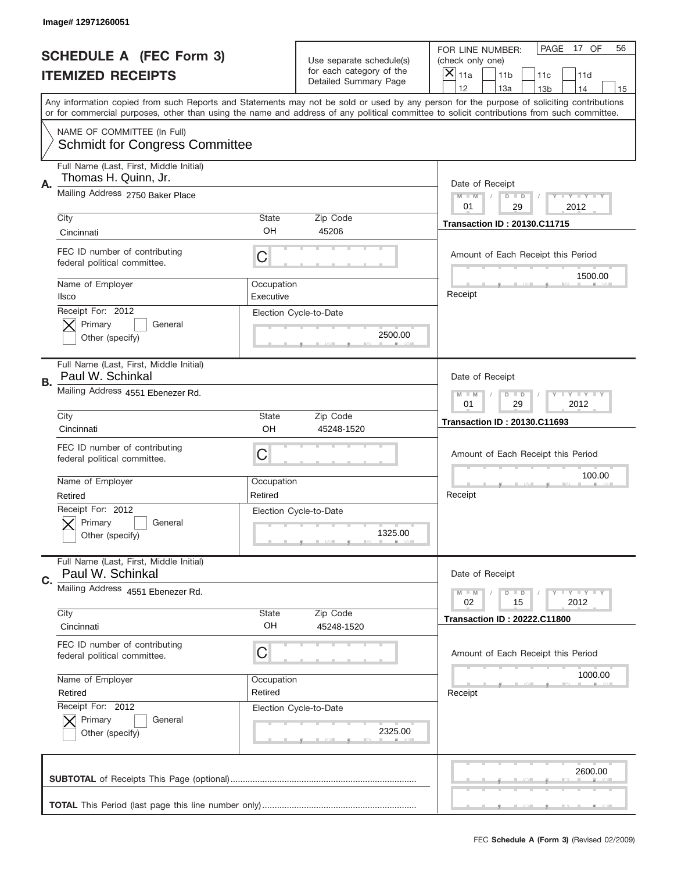| Image# 12971260051                                                    |                         |                                                                               |                                                                                                                                                                                                                                                                                         |
|-----------------------------------------------------------------------|-------------------------|-------------------------------------------------------------------------------|-----------------------------------------------------------------------------------------------------------------------------------------------------------------------------------------------------------------------------------------------------------------------------------------|
| <b>SCHEDULE A (FEC Form 3)</b><br><b>ITEMIZED RECEIPTS</b>            |                         | Use separate schedule(s)<br>for each category of the<br>Detailed Summary Page | PAGE<br>17 OF<br>56<br>FOR LINE NUMBER:<br>(check only one)<br>$\times$<br>11a<br>11 <sub>b</sub><br>11c<br>11d<br>12<br>13a<br>14<br>13 <sub>b</sub><br>15                                                                                                                             |
|                                                                       |                         |                                                                               | Any information copied from such Reports and Statements may not be sold or used by any person for the purpose of soliciting contributions<br>or for commercial purposes, other than using the name and address of any political committee to solicit contributions from such committee. |
| NAME OF COMMITTEE (In Full)<br><b>Schmidt for Congress Committee</b>  |                         |                                                                               |                                                                                                                                                                                                                                                                                         |
| Full Name (Last, First, Middle Initial)<br>Thomas H. Quinn, Jr.<br>Α. |                         |                                                                               | Date of Receipt                                                                                                                                                                                                                                                                         |
| Mailing Address 2750 Baker Place                                      |                         |                                                                               | Y TY TY TY<br>$M$ M<br>$D$ $D$<br>01<br>29<br>2012                                                                                                                                                                                                                                      |
| City<br>Cincinnati                                                    | State<br>OH             | Zip Code<br>45206                                                             | <b>Transaction ID: 20130.C11715</b>                                                                                                                                                                                                                                                     |
| FEC ID number of contributing<br>federal political committee.         | C                       |                                                                               | Amount of Each Receipt this Period                                                                                                                                                                                                                                                      |
| Name of Employer<br>Ilsco                                             | Occupation<br>Executive |                                                                               | 1500.00<br>Receipt                                                                                                                                                                                                                                                                      |
| Receipt For: 2012<br>Primary<br>General<br>Other (specify)            |                         | Election Cycle-to-Date<br>2500.00                                             |                                                                                                                                                                                                                                                                                         |
| Full Name (Last, First, Middle Initial)<br>Paul W. Schinkal<br>В.     |                         |                                                                               | Date of Receipt                                                                                                                                                                                                                                                                         |
| Mailing Address 4551 Ebenezer Rd.                                     |                         |                                                                               | Y TY TY TY<br>$M$ $M$<br>$D$ $D$<br>01<br>29<br>2012                                                                                                                                                                                                                                    |
| City<br>Cincinnati                                                    | State<br>OH             | Zip Code<br>45248-1520                                                        | <b>Transaction ID: 20130.C11693</b>                                                                                                                                                                                                                                                     |
| FEC ID number of contributing<br>federal political committee.         | C                       |                                                                               | Amount of Each Receipt this Period                                                                                                                                                                                                                                                      |
|                                                                       |                         |                                                                               |                                                                                                                                                                                                                                                                                         |
| Name of Employer<br>Retired                                           | Occupation<br>Retired   |                                                                               | 100.00<br>Receipt                                                                                                                                                                                                                                                                       |
| Receipt For: 2012<br>General<br>Primary<br>Other (specify)            |                         | Election Cycle-to-Date<br>1325.00                                             |                                                                                                                                                                                                                                                                                         |
| Full Name (Last, First, Middle Initial)<br>Paul W. Schinkal           |                         |                                                                               | Date of Receipt                                                                                                                                                                                                                                                                         |
| Mailing Address 4551 Ebenezer Rd.                                     |                         |                                                                               | Y FY FY FY<br>$M - M$<br>$D$ $D$<br>2012<br>02<br>15                                                                                                                                                                                                                                    |
| City<br>Cincinnati                                                    | State<br>OH             | Zip Code<br>45248-1520                                                        | <b>Transaction ID: 20222.C11800</b>                                                                                                                                                                                                                                                     |
| FEC ID number of contributing<br>federal political committee.         | C                       |                                                                               | Amount of Each Receipt this Period                                                                                                                                                                                                                                                      |
| Name of Employer<br>Retired                                           | Occupation<br>Retired   |                                                                               | 1000.00<br>Receipt                                                                                                                                                                                                                                                                      |
| Receipt For: 2012<br>Primary<br>General<br>Other (specify)            |                         | Election Cycle-to-Date<br>2325.00                                             |                                                                                                                                                                                                                                                                                         |
| C.                                                                    |                         |                                                                               | 2600.00                                                                                                                                                                                                                                                                                 |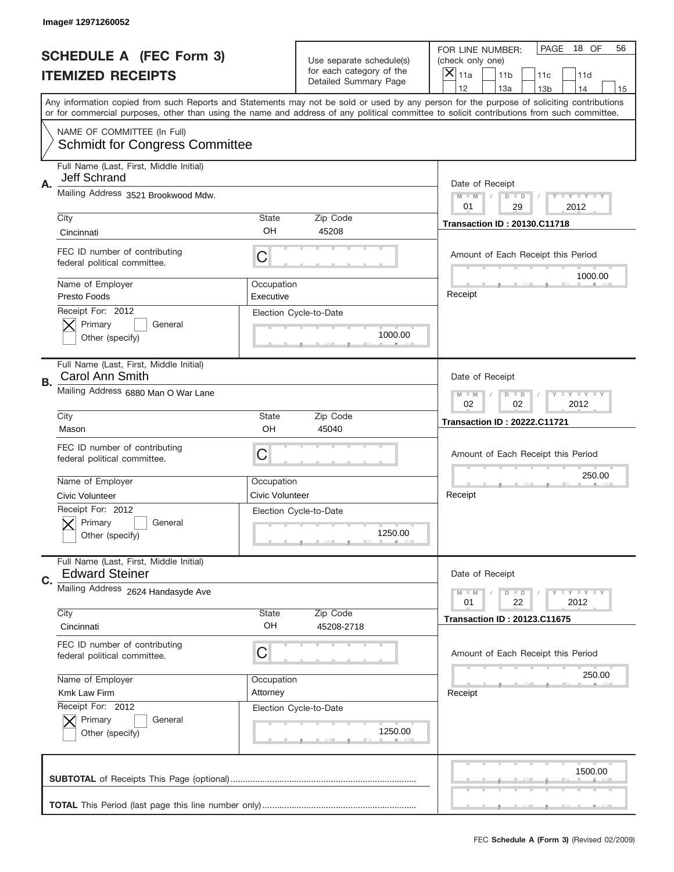|    | Image# 12971260052                                                   |                         |                                                   |                                                                                                                                                                                                                                                                                         |
|----|----------------------------------------------------------------------|-------------------------|---------------------------------------------------|-----------------------------------------------------------------------------------------------------------------------------------------------------------------------------------------------------------------------------------------------------------------------------------------|
|    | <b>SCHEDULE A (FEC Form 3)</b>                                       |                         | Use separate schedule(s)                          | PAGE<br>18 OF<br>56<br>FOR LINE NUMBER:<br>(check only one)                                                                                                                                                                                                                             |
|    | <b>ITEMIZED RECEIPTS</b>                                             |                         | for each category of the<br>Detailed Summary Page | ×<br>11a<br>11 <sub>b</sub><br>11c<br>11d                                                                                                                                                                                                                                               |
|    |                                                                      |                         |                                                   | 12<br>13a<br>14<br>13 <sub>b</sub><br>15                                                                                                                                                                                                                                                |
|    |                                                                      |                         |                                                   | Any information copied from such Reports and Statements may not be sold or used by any person for the purpose of soliciting contributions<br>or for commercial purposes, other than using the name and address of any political committee to solicit contributions from such committee. |
|    | NAME OF COMMITTEE (In Full)<br><b>Schmidt for Congress Committee</b> |                         |                                                   |                                                                                                                                                                                                                                                                                         |
| Α. | Full Name (Last, First, Middle Initial)<br>Jeff Schrand              |                         |                                                   | Date of Receipt                                                                                                                                                                                                                                                                         |
|    | Mailing Address 3521 Brookwood Mdw.                                  |                         |                                                   | $M$ $M$<br>Y FY FY FY<br>$D$ $D$<br>01<br>29<br>2012                                                                                                                                                                                                                                    |
|    | City                                                                 | State                   | Zip Code                                          | <b>Transaction ID: 20130.C11718</b>                                                                                                                                                                                                                                                     |
|    | Cincinnati                                                           | OH                      | 45208                                             |                                                                                                                                                                                                                                                                                         |
|    | FEC ID number of contributing<br>federal political committee.        | C                       |                                                   | Amount of Each Receipt this Period<br>1000.00                                                                                                                                                                                                                                           |
|    | Name of Employer<br>Presto Foods                                     | Occupation<br>Executive |                                                   | Receipt                                                                                                                                                                                                                                                                                 |
|    | Receipt For: 2012<br>Primary<br>General<br>Other (specify)           |                         | Election Cycle-to-Date<br>1000.00                 |                                                                                                                                                                                                                                                                                         |
|    | Full Name (Last, First, Middle Initial)<br>Carol Ann Smith           |                         |                                                   | Date of Receipt                                                                                                                                                                                                                                                                         |
| В. | Mailing Address 6880 Man O War Lane                                  |                         |                                                   | Y TY TY TY<br>$M$ $M$<br>$D$ $D$                                                                                                                                                                                                                                                        |
|    |                                                                      |                         |                                                   | 02<br>02<br>2012                                                                                                                                                                                                                                                                        |
|    | City                                                                 | State<br>OH             | Zip Code                                          | <b>Transaction ID: 20222.C11721</b>                                                                                                                                                                                                                                                     |
|    | Mason                                                                |                         | 45040                                             |                                                                                                                                                                                                                                                                                         |
|    | FEC ID number of contributing<br>federal political committee.        | C                       |                                                   | Amount of Each Receipt this Period                                                                                                                                                                                                                                                      |
|    | Name of Employer                                                     | Occupation              |                                                   | 250.00                                                                                                                                                                                                                                                                                  |
|    | Civic Volunteer                                                      | Civic Volunteer         |                                                   | Receipt                                                                                                                                                                                                                                                                                 |
|    | Receipt For: 2012<br>General<br>Primary<br>Other (specify)           |                         | Election Cycle-to-Date<br>1250.00                 |                                                                                                                                                                                                                                                                                         |
|    | Full Name (Last, First, Middle Initial)<br><b>Edward Steiner</b>     |                         |                                                   | Date of Receipt                                                                                                                                                                                                                                                                         |
| C. | Mailing Address 2624 Handasyde Ave                                   |                         |                                                   | Y FY FY FY<br>$M$ M<br>$D$ $D$<br>22<br>2012<br>01                                                                                                                                                                                                                                      |
|    | City                                                                 | State                   | Zip Code                                          | <b>Transaction ID: 20123.C11675</b>                                                                                                                                                                                                                                                     |
|    | Cincinnati                                                           | OH                      | 45208-2718                                        |                                                                                                                                                                                                                                                                                         |
|    | FEC ID number of contributing<br>federal political committee.        | C                       |                                                   | Amount of Each Receipt this Period                                                                                                                                                                                                                                                      |
|    | Name of Employer                                                     | Occupation              |                                                   | 250.00                                                                                                                                                                                                                                                                                  |
|    | Kmk Law Firm                                                         | Attorney                |                                                   | Receipt                                                                                                                                                                                                                                                                                 |
|    | Receipt For: 2012                                                    |                         | Election Cycle-to-Date                            |                                                                                                                                                                                                                                                                                         |
|    | Primary<br>General<br>Other (specify)                                |                         | 1250.00                                           |                                                                                                                                                                                                                                                                                         |
|    |                                                                      |                         |                                                   | 1500.00                                                                                                                                                                                                                                                                                 |
|    |                                                                      |                         |                                                   |                                                                                                                                                                                                                                                                                         |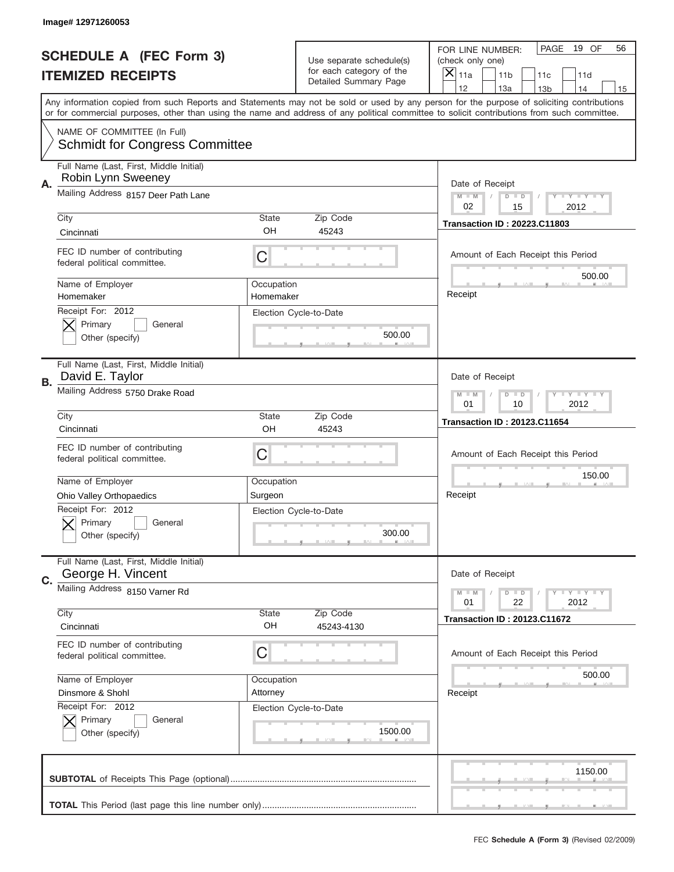|    | Image# 12971260053                                                   |            |                                                   |                                                                                                                                                                                                                                                                                         |
|----|----------------------------------------------------------------------|------------|---------------------------------------------------|-----------------------------------------------------------------------------------------------------------------------------------------------------------------------------------------------------------------------------------------------------------------------------------------|
|    | <b>SCHEDULE A (FEC Form 3)</b>                                       |            | Use separate schedule(s)                          | PAGE<br>19 OF<br>56<br>FOR LINE NUMBER:<br>(check only one)                                                                                                                                                                                                                             |
|    | <b>ITEMIZED RECEIPTS</b>                                             |            | for each category of the<br>Detailed Summary Page | ×<br>11a<br>11 <sub>b</sub><br>11c<br>11d                                                                                                                                                                                                                                               |
|    |                                                                      |            |                                                   | 12<br>13a<br>14<br>13 <sub>b</sub><br>15                                                                                                                                                                                                                                                |
|    |                                                                      |            |                                                   | Any information copied from such Reports and Statements may not be sold or used by any person for the purpose of soliciting contributions<br>or for commercial purposes, other than using the name and address of any political committee to solicit contributions from such committee. |
|    | NAME OF COMMITTEE (In Full)<br><b>Schmidt for Congress Committee</b> |            |                                                   |                                                                                                                                                                                                                                                                                         |
| А. | Full Name (Last, First, Middle Initial)<br>Robin Lynn Sweeney        |            |                                                   | Date of Receipt                                                                                                                                                                                                                                                                         |
|    | Mailing Address 8157 Deer Path Lane                                  |            |                                                   | $M$ $M$<br>Y FY FY FY<br>$D$ $D$<br>02<br>2012<br>15                                                                                                                                                                                                                                    |
|    | City                                                                 | State      | Zip Code                                          | <b>Transaction ID: 20223.C11803</b>                                                                                                                                                                                                                                                     |
|    | Cincinnati                                                           | OH         | 45243                                             |                                                                                                                                                                                                                                                                                         |
|    | FEC ID number of contributing<br>federal political committee.        | C          |                                                   | Amount of Each Receipt this Period<br>500.00                                                                                                                                                                                                                                            |
|    | Name of Employer                                                     | Occupation |                                                   | Receipt                                                                                                                                                                                                                                                                                 |
|    | Homemaker                                                            | Homemaker  |                                                   |                                                                                                                                                                                                                                                                                         |
|    | Receipt For: 2012<br>Primary<br>General                              |            | Election Cycle-to-Date                            |                                                                                                                                                                                                                                                                                         |
|    | Other (specify)                                                      |            | 500.00                                            |                                                                                                                                                                                                                                                                                         |
|    |                                                                      |            |                                                   |                                                                                                                                                                                                                                                                                         |
| В. | Full Name (Last, First, Middle Initial)<br>David E. Taylor           |            |                                                   | Date of Receipt                                                                                                                                                                                                                                                                         |
|    | Mailing Address 5750 Drake Road                                      |            |                                                   | Y TY TY TY<br>$M$ $M$<br>$D$ $D$                                                                                                                                                                                                                                                        |
|    |                                                                      | State      |                                                   | 01<br>10<br>2012                                                                                                                                                                                                                                                                        |
|    | City<br>Cincinnati                                                   | OH         | Zip Code<br>45243                                 | <b>Transaction ID: 20123.C11654</b>                                                                                                                                                                                                                                                     |
|    | FEC ID number of contributing                                        |            |                                                   |                                                                                                                                                                                                                                                                                         |
|    | federal political committee.                                         | C          |                                                   | Amount of Each Receipt this Period                                                                                                                                                                                                                                                      |
|    |                                                                      |            |                                                   | 150.00                                                                                                                                                                                                                                                                                  |
|    | Name of Employer                                                     | Occupation |                                                   |                                                                                                                                                                                                                                                                                         |
|    | Ohio Valley Orthopaedics                                             | Surgeon    |                                                   | Receipt                                                                                                                                                                                                                                                                                 |
|    | Receipt For: 2012<br>General<br>Primary                              |            | Election Cycle-to-Date                            |                                                                                                                                                                                                                                                                                         |
|    | Other (specify)                                                      |            | 300.00                                            |                                                                                                                                                                                                                                                                                         |
|    |                                                                      |            |                                                   |                                                                                                                                                                                                                                                                                         |
| C. | Full Name (Last, First, Middle Initial)<br>George H. Vincent         |            |                                                   | Date of Receipt                                                                                                                                                                                                                                                                         |
|    | Mailing Address 8150 Varner Rd                                       |            |                                                   | Y FY FY FY<br>$M - M$<br>$D$ $D$<br>22<br>2012<br>01                                                                                                                                                                                                                                    |
|    | City                                                                 | State      | Zip Code                                          | <b>Transaction ID: 20123.C11672</b>                                                                                                                                                                                                                                                     |
|    | Cincinnati                                                           | OH         | 45243-4130                                        |                                                                                                                                                                                                                                                                                         |
|    | FEC ID number of contributing<br>federal political committee.        | C          |                                                   | Amount of Each Receipt this Period                                                                                                                                                                                                                                                      |
|    | Name of Employer                                                     | Occupation |                                                   | 500.00                                                                                                                                                                                                                                                                                  |
|    | Dinsmore & Shohl                                                     | Attorney   |                                                   | Receipt                                                                                                                                                                                                                                                                                 |
|    | Receipt For: 2012                                                    |            | Election Cycle-to-Date                            |                                                                                                                                                                                                                                                                                         |
|    | Primary<br>General                                                   |            |                                                   |                                                                                                                                                                                                                                                                                         |
|    | Other (specify)                                                      |            | 1500.00                                           |                                                                                                                                                                                                                                                                                         |
|    |                                                                      |            |                                                   |                                                                                                                                                                                                                                                                                         |
|    |                                                                      |            |                                                   | 1150.00                                                                                                                                                                                                                                                                                 |
|    |                                                                      |            |                                                   |                                                                                                                                                                                                                                                                                         |
|    |                                                                      |            |                                                   |                                                                                                                                                                                                                                                                                         |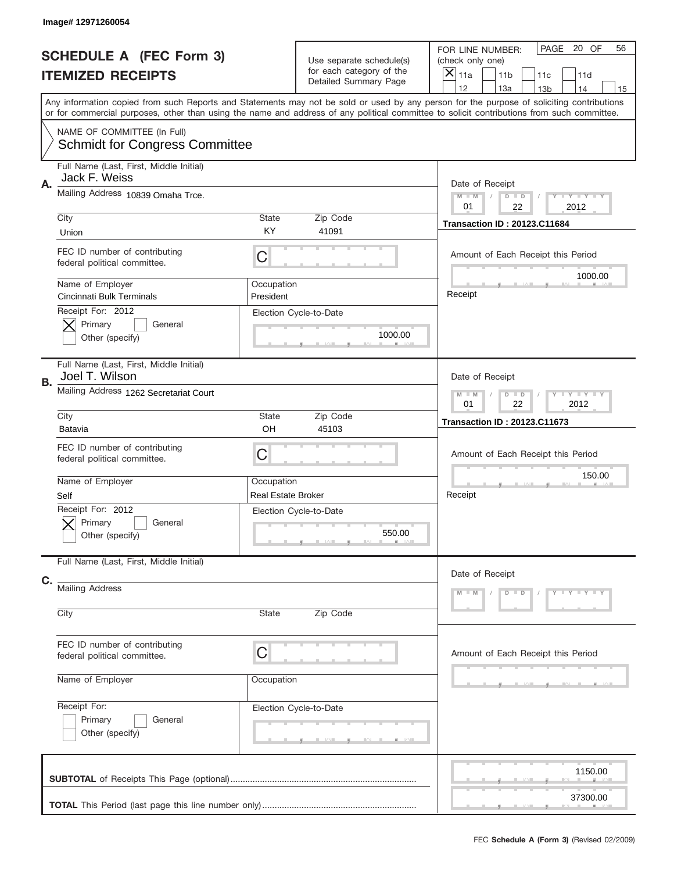|    | Image# 12971260054                                                   |                                         |                                                                               |                                                                                                                                                                                                                                                                                         |
|----|----------------------------------------------------------------------|-----------------------------------------|-------------------------------------------------------------------------------|-----------------------------------------------------------------------------------------------------------------------------------------------------------------------------------------------------------------------------------------------------------------------------------------|
|    | <b>SCHEDULE A (FEC Form 3)</b><br><b>ITEMIZED RECEIPTS</b>           |                                         | Use separate schedule(s)<br>for each category of the<br>Detailed Summary Page | PAGE<br>20 OF<br>56<br>FOR LINE NUMBER:<br>(check only one)<br>$\times$<br>11 <sub>b</sub><br>11a<br>11c<br>11d<br>12<br>13a<br>14<br>13 <sub>b</sub><br>15                                                                                                                             |
|    |                                                                      |                                         |                                                                               | Any information copied from such Reports and Statements may not be sold or used by any person for the purpose of soliciting contributions<br>or for commercial purposes, other than using the name and address of any political committee to solicit contributions from such committee. |
|    | NAME OF COMMITTEE (In Full)<br><b>Schmidt for Congress Committee</b> |                                         |                                                                               |                                                                                                                                                                                                                                                                                         |
| Α. | Full Name (Last, First, Middle Initial)<br>Jack F. Weiss             |                                         |                                                                               | Date of Receipt                                                                                                                                                                                                                                                                         |
|    | Mailing Address 10839 Omaha Trce.                                    |                                         |                                                                               | Y TY TY TY<br>$M$ $M$<br>$D$ $D$<br>01<br>22<br>2012                                                                                                                                                                                                                                    |
|    | City<br>Union                                                        | State<br>KY                             | Zip Code<br>41091                                                             | <b>Transaction ID: 20123.C11684</b>                                                                                                                                                                                                                                                     |
|    | FEC ID number of contributing<br>federal political committee.        | C                                       |                                                                               | Amount of Each Receipt this Period                                                                                                                                                                                                                                                      |
|    | Name of Employer<br>Cincinnati Bulk Terminals                        | Occupation<br>President                 |                                                                               | 1000.00<br>Receipt                                                                                                                                                                                                                                                                      |
|    | Receipt For: 2012<br>Primary<br>General<br>Other (specify)           |                                         | Election Cycle-to-Date<br>1000.00                                             |                                                                                                                                                                                                                                                                                         |
| В. | Full Name (Last, First, Middle Initial)<br>Joel T. Wilson            |                                         |                                                                               | Date of Receipt                                                                                                                                                                                                                                                                         |
|    | Mailing Address 1262 Secretariat Court                               |                                         |                                                                               | Y TY TY TY<br>$M$ $M$<br>$D$ $D$<br>01<br>22<br>2012                                                                                                                                                                                                                                    |
|    | City<br>Batavia                                                      | State<br>OH                             | Zip Code<br>45103                                                             | <b>Transaction ID: 20123.C11673</b>                                                                                                                                                                                                                                                     |
|    | FEC ID number of contributing<br>federal political committee.        | C                                       |                                                                               | Amount of Each Receipt this Period                                                                                                                                                                                                                                                      |
|    | Name of Employer                                                     | Occupation<br><b>Real Estate Broker</b> |                                                                               | 150.00<br>Receipt                                                                                                                                                                                                                                                                       |
|    | Self<br>Receipt For: 2012<br>General<br>Primary<br>Other (specify)   |                                         | Election Cycle-to-Date<br>550.00                                              |                                                                                                                                                                                                                                                                                         |
| C. | Full Name (Last, First, Middle Initial)                              |                                         |                                                                               | Date of Receipt                                                                                                                                                                                                                                                                         |
|    | <b>Mailing Address</b>                                               |                                         |                                                                               | Y LY LY LY<br>$M - M$<br>$D$ $D$                                                                                                                                                                                                                                                        |
|    | City                                                                 | State                                   | Zip Code                                                                      |                                                                                                                                                                                                                                                                                         |
|    | FEC ID number of contributing<br>federal political committee.        | C                                       |                                                                               | Amount of Each Receipt this Period                                                                                                                                                                                                                                                      |
|    | Name of Employer                                                     | Occupation                              |                                                                               |                                                                                                                                                                                                                                                                                         |
|    | Receipt For:<br>Primary<br>General<br>Other (specify)                |                                         | Election Cycle-to-Date                                                        |                                                                                                                                                                                                                                                                                         |
|    |                                                                      |                                         |                                                                               | 1150.00<br>37300.00                                                                                                                                                                                                                                                                     |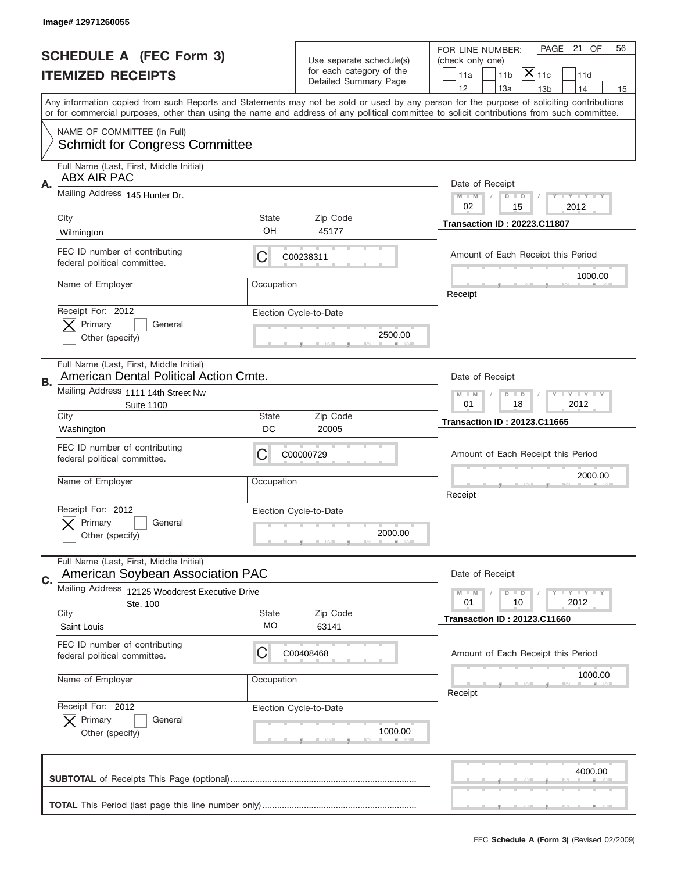|    | Image#12971260055                                                                 |                    |                                                   |                                                                                                                                                                                                                                                                                                                               |
|----|-----------------------------------------------------------------------------------|--------------------|---------------------------------------------------|-------------------------------------------------------------------------------------------------------------------------------------------------------------------------------------------------------------------------------------------------------------------------------------------------------------------------------|
|    | <b>SCHEDULE A (FEC Form 3)</b>                                                    |                    | Use separate schedule(s)                          | PAGE 21 OF<br>56<br>FOR LINE NUMBER:<br>(check only one)                                                                                                                                                                                                                                                                      |
|    | <b>ITEMIZED RECEIPTS</b>                                                          |                    | for each category of the<br>Detailed Summary Page | $ \overline{\mathsf{X}} _{\mathsf{11c}}$<br>11a<br>11 <sub>b</sub><br>11d<br>14                                                                                                                                                                                                                                               |
|    |                                                                                   |                    |                                                   | 12<br>13a<br>13 <sub>b</sub><br>15<br>Any information copied from such Reports and Statements may not be sold or used by any person for the purpose of soliciting contributions<br>or for commercial purposes, other than using the name and address of any political committee to solicit contributions from such committee. |
|    | NAME OF COMMITTEE (In Full)<br><b>Schmidt for Congress Committee</b>              |                    |                                                   |                                                                                                                                                                                                                                                                                                                               |
| Α. | Full Name (Last, First, Middle Initial)<br><b>ABX AIR PAC</b>                     |                    |                                                   | Date of Receipt                                                                                                                                                                                                                                                                                                               |
|    | Mailing Address 145 Hunter Dr.                                                    |                    |                                                   | $M - M$<br><b>LYLYLY</b><br>$D$ $D$<br>02<br>15<br>2012                                                                                                                                                                                                                                                                       |
|    | City<br>Wilmington                                                                | State<br>OH        | Zip Code<br>45177                                 | <b>Transaction ID: 20223.C11807</b>                                                                                                                                                                                                                                                                                           |
|    | FEC ID number of contributing<br>federal political committee.                     | C                  | C00238311                                         | Amount of Each Receipt this Period<br>1000.00                                                                                                                                                                                                                                                                                 |
|    | Name of Employer                                                                  | Occupation         |                                                   | Receipt                                                                                                                                                                                                                                                                                                                       |
|    | Receipt For: 2012<br>Primary<br>General<br>Other (specify)                        |                    | Election Cycle-to-Date<br>2500.00                 |                                                                                                                                                                                                                                                                                                                               |
| В. | Full Name (Last, First, Middle Initial)<br>American Dental Political Action Cmte. |                    |                                                   | Date of Receipt                                                                                                                                                                                                                                                                                                               |
|    | Mailing Address 1111 14th Street Nw<br><b>Suite 1100</b>                          |                    |                                                   | <b>LYLYLY</b><br>$M - M$<br>$D$ $D$<br>01<br>18<br>2012                                                                                                                                                                                                                                                                       |
|    | City<br>Washington                                                                | State<br>DC        | Zip Code<br>20005                                 | <b>Transaction ID: 20123.C11665</b>                                                                                                                                                                                                                                                                                           |
|    | FEC ID number of contributing<br>federal political committee.                     | C                  | C00000729                                         | Amount of Each Receipt this Period                                                                                                                                                                                                                                                                                            |
|    | Name of Employer                                                                  | Occupation         |                                                   | 2000.00<br>Receipt                                                                                                                                                                                                                                                                                                            |
|    | Receipt For: 2012<br>Primary<br>General<br>Other (specify)                        |                    | Election Cycle-to-Date<br>2000.00                 |                                                                                                                                                                                                                                                                                                                               |
| C. | Full Name (Last, First, Middle Initial)<br>American Soybean Association PAC       |                    |                                                   | Date of Receipt                                                                                                                                                                                                                                                                                                               |
|    | <b>Mailing Address</b><br>12125 Woodcrest Executive Drive<br>Ste. 100             |                    |                                                   | <b>LEY LEY LEY</b><br>$M - M$<br>$D$ $D$<br>2012<br>01<br>10                                                                                                                                                                                                                                                                  |
|    | City<br>Saint Louis                                                               | <b>State</b><br>МO | Zip Code<br>63141                                 | <b>Transaction ID: 20123.C11660</b>                                                                                                                                                                                                                                                                                           |
|    | FEC ID number of contributing<br>federal political committee.                     | C                  | C00408468                                         | Amount of Each Receipt this Period                                                                                                                                                                                                                                                                                            |
|    | Name of Employer                                                                  | Occupation         |                                                   | 1000.00<br>Receipt                                                                                                                                                                                                                                                                                                            |
|    |                                                                                   |                    | Election Cycle-to-Date                            |                                                                                                                                                                                                                                                                                                                               |
|    | Receipt For: 2012<br>Primary<br>General<br>Other (specify)                        |                    | 1000.00                                           |                                                                                                                                                                                                                                                                                                                               |
|    |                                                                                   |                    |                                                   | 4000.00                                                                                                                                                                                                                                                                                                                       |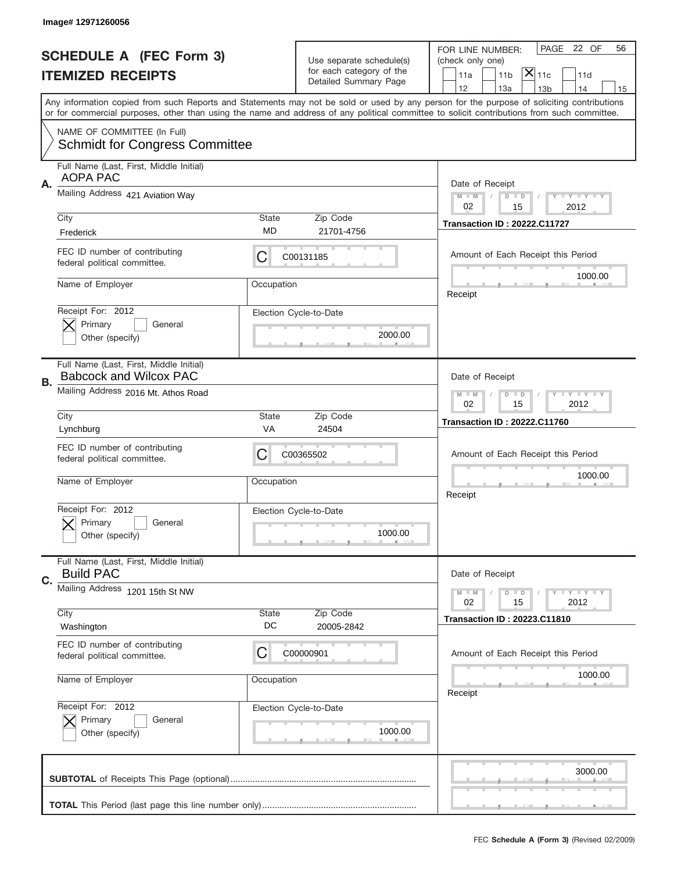|    | Image# 12971260056                                                       |                    |                                                                               |                                                                                                                                                                                                                                                                                                                                     |
|----|--------------------------------------------------------------------------|--------------------|-------------------------------------------------------------------------------|-------------------------------------------------------------------------------------------------------------------------------------------------------------------------------------------------------------------------------------------------------------------------------------------------------------------------------------|
|    | <b>SCHEDULE A (FEC Form 3)</b><br><b>ITEMIZED RECEIPTS</b>               |                    | Use separate schedule(s)<br>for each category of the<br>Detailed Summary Page | PAGE 22 OF<br>56<br>FOR LINE NUMBER:<br>(check only one)<br>$ \overline{\mathsf{X}} _{\mathsf{11c}}$<br>11 <sub>b</sub><br>11a<br>11d                                                                                                                                                                                               |
|    |                                                                          |                    |                                                                               | 12<br>13a<br>14<br>13 <sub>b</sub><br>15<br>Any information copied from such Reports and Statements may not be sold or used by any person for the purpose of soliciting contributions<br>or for commercial purposes, other than using the name and address of any political committee to solicit contributions from such committee. |
|    | NAME OF COMMITTEE (In Full)<br><b>Schmidt for Congress Committee</b>     |                    |                                                                               |                                                                                                                                                                                                                                                                                                                                     |
| Α. | Full Name (Last, First, Middle Initial)<br><b>AOPA PAC</b>               |                    |                                                                               | Date of Receipt                                                                                                                                                                                                                                                                                                                     |
|    | Mailing Address 421 Aviation Way                                         |                    |                                                                               | $M - M$<br>$T - Y = -Y$<br>$D$ $D$<br>02<br>15<br>2012                                                                                                                                                                                                                                                                              |
|    | City<br>Frederick                                                        | <b>State</b><br>MD | Zip Code<br>21701-4756                                                        | <b>Transaction ID: 20222.C11727</b>                                                                                                                                                                                                                                                                                                 |
|    | FEC ID number of contributing<br>federal political committee.            | С                  | C00131185                                                                     | Amount of Each Receipt this Period                                                                                                                                                                                                                                                                                                  |
|    | Name of Employer                                                         | Occupation         |                                                                               | 1000.00<br>Receipt                                                                                                                                                                                                                                                                                                                  |
|    | Receipt For: 2012<br>Primary<br>General<br>Other (specify)               |                    | Election Cycle-to-Date<br>2000.00                                             |                                                                                                                                                                                                                                                                                                                                     |
| В. | Full Name (Last, First, Middle Initial)<br><b>Babcock and Wilcox PAC</b> |                    |                                                                               | Date of Receipt                                                                                                                                                                                                                                                                                                                     |
|    | Mailing Address 2016 Mt. Athos Road                                      |                    |                                                                               | $T$ $T$ $T$ $T$ $T$ $T$ $T$ $T$ $T$<br>$M$ $M$<br>$D$ $D$<br>02<br>15<br>2012                                                                                                                                                                                                                                                       |
|    | City<br>Lynchburg                                                        | <b>State</b><br>VA | Zip Code<br>24504                                                             | <b>Transaction ID: 20222.C11760</b>                                                                                                                                                                                                                                                                                                 |
|    |                                                                          |                    |                                                                               |                                                                                                                                                                                                                                                                                                                                     |
|    | FEC ID number of contributing<br>federal political committee.            | С                  | C00365502                                                                     | Amount of Each Receipt this Period                                                                                                                                                                                                                                                                                                  |
|    | Name of Employer                                                         | Occupation         |                                                                               | 1000.00<br>Receipt                                                                                                                                                                                                                                                                                                                  |
|    | Receipt For: 2012<br>General<br>Primary<br>Other (specify)               |                    | Election Cycle-to-Date<br>1000.00                                             |                                                                                                                                                                                                                                                                                                                                     |
|    | Full Name (Last, First, Middle Initial)<br><b>Build PAC</b>              |                    |                                                                               | Date of Receipt                                                                                                                                                                                                                                                                                                                     |
| C. | Mailing Address 1201 15th St NW                                          |                    |                                                                               | <b>LYLYLY</b><br>$M - M$<br>$D$ $D$<br>2012<br>02<br>15                                                                                                                                                                                                                                                                             |
|    | City<br>Washington                                                       | State<br>DC        | Zip Code<br>20005-2842                                                        | <b>Transaction ID: 20223.C11810</b>                                                                                                                                                                                                                                                                                                 |
|    | FEC ID number of contributing<br>federal political committee.            | С                  | C00000901                                                                     | Amount of Each Receipt this Period                                                                                                                                                                                                                                                                                                  |
|    | Name of Employer                                                         | Occupation         |                                                                               | 1000.00<br>Receipt                                                                                                                                                                                                                                                                                                                  |
|    | Receipt For: 2012<br>Primary<br>General<br>Other (specify)               |                    | Election Cycle-to-Date<br>1000.00                                             |                                                                                                                                                                                                                                                                                                                                     |
|    |                                                                          |                    |                                                                               | 3000.00                                                                                                                                                                                                                                                                                                                             |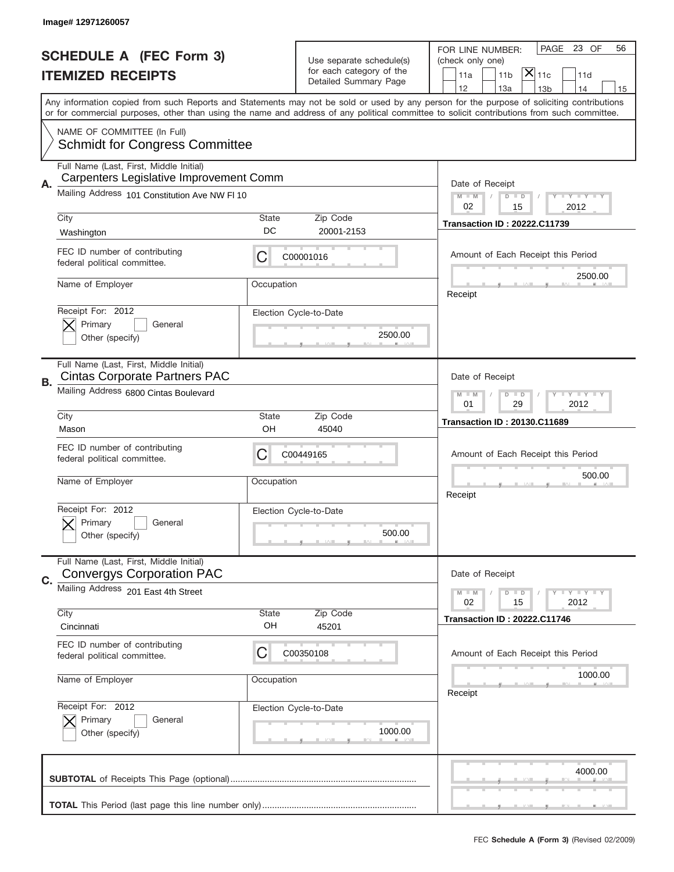|    | Image# 12971260057                                                                 |             |                                                      |                                                                                                                                                                                                                                                                                         |
|----|------------------------------------------------------------------------------------|-------------|------------------------------------------------------|-----------------------------------------------------------------------------------------------------------------------------------------------------------------------------------------------------------------------------------------------------------------------------------------|
|    | <b>SCHEDULE A (FEC Form 3)</b>                                                     |             |                                                      | PAGE<br>23 OF<br>56<br>FOR LINE NUMBER:                                                                                                                                                                                                                                                 |
|    |                                                                                    |             | Use separate schedule(s)<br>for each category of the | (check only one)<br>$ \mathsf{\overline{X}} _{\mathsf{11c}}$                                                                                                                                                                                                                            |
|    | <b>ITEMIZED RECEIPTS</b>                                                           |             | Detailed Summary Page                                | 11 <sub>b</sub><br>11a<br>11d<br>12<br>13a<br>13 <sub>b</sub><br>14<br>15                                                                                                                                                                                                               |
|    |                                                                                    |             |                                                      | Any information copied from such Reports and Statements may not be sold or used by any person for the purpose of soliciting contributions<br>or for commercial purposes, other than using the name and address of any political committee to solicit contributions from such committee. |
|    | NAME OF COMMITTEE (In Full)<br><b>Schmidt for Congress Committee</b>               |             |                                                      |                                                                                                                                                                                                                                                                                         |
| А. | Full Name (Last, First, Middle Initial)<br>Carpenters Legislative Improvement Comm |             |                                                      | Date of Receipt                                                                                                                                                                                                                                                                         |
|    | Mailing Address 101 Constitution Ave NW FI 10                                      |             |                                                      | $M$ $M$<br>Y I Y I Y I Y<br>$D$ $D$<br>02<br>2012<br>15                                                                                                                                                                                                                                 |
|    | City<br>Washington                                                                 | State<br>DC | Zip Code<br>20001-2153                               | <b>Transaction ID: 20222.C11739</b>                                                                                                                                                                                                                                                     |
|    | FEC ID number of contributing<br>federal political committee.                      | C           | C00001016                                            | Amount of Each Receipt this Period<br>2500.00                                                                                                                                                                                                                                           |
|    | Name of Employer                                                                   | Occupation  |                                                      | Receipt                                                                                                                                                                                                                                                                                 |
|    | Receipt For: 2012<br>Primary<br>General<br>Other (specify)                         |             | Election Cycle-to-Date<br>2500.00                    |                                                                                                                                                                                                                                                                                         |
| В. | Full Name (Last, First, Middle Initial)<br><b>Cintas Corporate Partners PAC</b>    |             |                                                      | Date of Receipt                                                                                                                                                                                                                                                                         |
|    | Mailing Address 6800 Cintas Boulevard                                              |             |                                                      | <b>LY LY LY</b><br>$M - M$<br>$D$ $D$<br>01<br>29<br>2012                                                                                                                                                                                                                               |
|    | City<br>Mason                                                                      | State<br>OH | Zip Code<br>45040                                    | <b>Transaction ID: 20130.C11689</b>                                                                                                                                                                                                                                                     |
|    | FEC ID number of contributing<br>federal political committee.                      | C           | C00449165                                            | Amount of Each Receipt this Period                                                                                                                                                                                                                                                      |
|    | Name of Employer                                                                   | Occupation  |                                                      | 500.00<br>Receipt                                                                                                                                                                                                                                                                       |
|    | Receipt For: 2012<br>Primary<br>General<br>Other (specify)                         |             | Election Cycle-to-Date<br>500.00                     |                                                                                                                                                                                                                                                                                         |
| C. | Full Name (Last, First, Middle Initial)<br><b>Convergys Corporation PAC</b>        |             |                                                      | Date of Receipt                                                                                                                                                                                                                                                                         |
|    | Mailing Address 201 East 4th Street                                                |             |                                                      | $T$ $Y$ $T$ $Y$ $T$ $Y$<br>$M - M$<br>$D$ $D$<br>02<br>2012<br>15                                                                                                                                                                                                                       |
|    |                                                                                    |             |                                                      |                                                                                                                                                                                                                                                                                         |
|    | City<br>Cincinnati                                                                 | State<br>OH | Zip Code<br>45201                                    | <b>Transaction ID: 20222.C11746</b>                                                                                                                                                                                                                                                     |
|    | FEC ID number of contributing<br>federal political committee.                      | C           | C00350108                                            | Amount of Each Receipt this Period                                                                                                                                                                                                                                                      |
|    | Name of Employer                                                                   | Occupation  |                                                      | 1000.00<br>Receipt                                                                                                                                                                                                                                                                      |
|    | Receipt For: 2012<br>Primary<br>General<br>Other (specify)                         |             | Election Cycle-to-Date<br>1000.00                    |                                                                                                                                                                                                                                                                                         |
|    |                                                                                    |             |                                                      | 4000.00                                                                                                                                                                                                                                                                                 |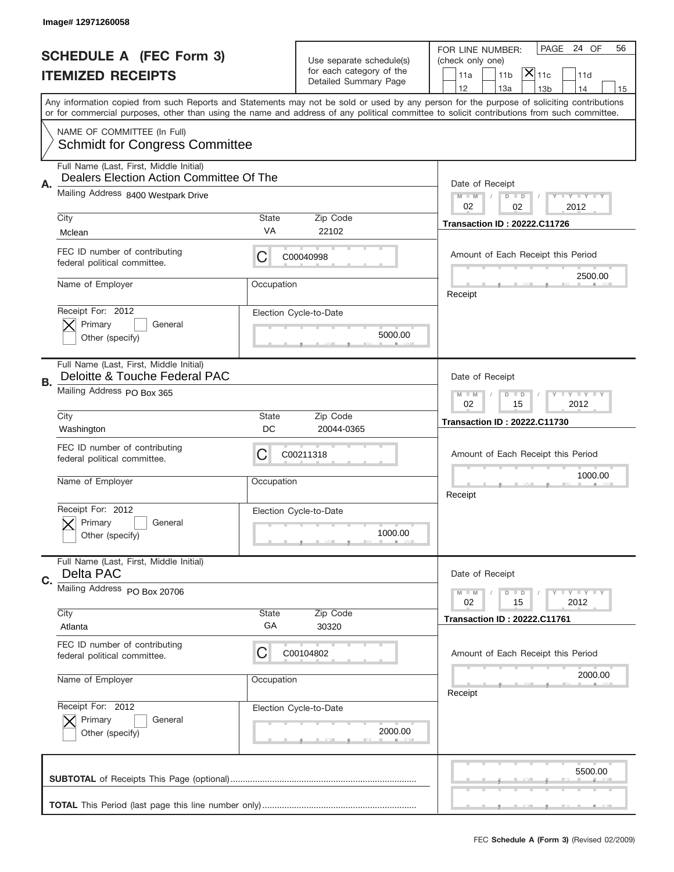|    | Image# 12971260058                                                                                                         |                 |                                                                               |                                                                                                                                                                                                                                                                                         |
|----|----------------------------------------------------------------------------------------------------------------------------|-----------------|-------------------------------------------------------------------------------|-----------------------------------------------------------------------------------------------------------------------------------------------------------------------------------------------------------------------------------------------------------------------------------------|
|    | <b>SCHEDULE A (FEC Form 3)</b><br><b>ITEMIZED RECEIPTS</b>                                                                 |                 | Use separate schedule(s)<br>for each category of the<br>Detailed Summary Page | PAGE<br>24 OF<br>56<br>FOR LINE NUMBER:<br>(check only one)<br>$ \mathsf{X} _{\mathsf{11c}}$<br>11 <sub>b</sub><br>11a<br>11d<br>12<br>13a<br>13 <sub>b</sub><br>14<br>15                                                                                                               |
|    |                                                                                                                            |                 |                                                                               | Any information copied from such Reports and Statements may not be sold or used by any person for the purpose of soliciting contributions<br>or for commercial purposes, other than using the name and address of any political committee to solicit contributions from such committee. |
|    | NAME OF COMMITTEE (In Full)<br><b>Schmidt for Congress Committee</b>                                                       |                 |                                                                               |                                                                                                                                                                                                                                                                                         |
| Α. | Full Name (Last, First, Middle Initial)<br>Dealers Election Action Committee Of The<br>Mailing Address 8400 Westpark Drive |                 |                                                                               | Date of Receipt<br>$M - M$<br>Y I Y I Y I Y<br>$D$ $D$                                                                                                                                                                                                                                  |
|    | City<br>Mclean                                                                                                             | State<br>VA     | Zip Code<br>22102                                                             | 02<br>02<br>2012<br><b>Transaction ID: 20222.C11726</b>                                                                                                                                                                                                                                 |
|    | FEC ID number of contributing<br>federal political committee.                                                              | C               | C00040998                                                                     | Amount of Each Receipt this Period                                                                                                                                                                                                                                                      |
|    | Name of Employer                                                                                                           | Occupation      |                                                                               | 2500.00<br>Receipt                                                                                                                                                                                                                                                                      |
|    | Receipt For: 2012<br>Primary<br>General<br>Other (specify)                                                                 |                 | Election Cycle-to-Date<br>5000.00                                             |                                                                                                                                                                                                                                                                                         |
| В. | Full Name (Last, First, Middle Initial)<br>Deloitte & Touche Federal PAC<br>Mailing Address PO Box 365                     |                 |                                                                               | Date of Receipt                                                                                                                                                                                                                                                                         |
|    | City                                                                                                                       | State           | Zip Code                                                                      | $T$ $Y$ $T$ $Y$ $T$ $Y$<br>$M - M$<br>$D$ $D$<br>02<br>15<br>2012<br><b>Transaction ID: 20222.C11730</b>                                                                                                                                                                                |
|    |                                                                                                                            |                 |                                                                               |                                                                                                                                                                                                                                                                                         |
|    | Washington<br>FEC ID number of contributing<br>federal political committee.                                                | DC<br>C         | 20044-0365<br>C00211318                                                       | Amount of Each Receipt this Period                                                                                                                                                                                                                                                      |
|    | Name of Employer                                                                                                           | Occupation      |                                                                               | 1000.00<br>Receipt                                                                                                                                                                                                                                                                      |
|    | Receipt For: 2012<br>Primary<br>General<br>Other (specify)                                                                 |                 | Election Cycle-to-Date<br>1000.00                                             |                                                                                                                                                                                                                                                                                         |
| C. | Full Name (Last, First, Middle Initial)<br>Delta PAC                                                                       |                 |                                                                               | Date of Receipt                                                                                                                                                                                                                                                                         |
|    | Mailing Address PO Box 20706<br>City                                                                                       | State           | Zip Code                                                                      | Y TY TY TY<br>$M - M$<br>$D$ $D$<br>02<br>2012<br>15                                                                                                                                                                                                                                    |
|    | Atlanta<br>FEC ID number of contributing                                                                                   | GA              | 30320                                                                         | <b>Transaction ID: 20222.C11761</b>                                                                                                                                                                                                                                                     |
|    | federal political committee.<br>Name of Employer                                                                           | C<br>Occupation | C00104802                                                                     | Amount of Each Receipt this Period<br>2000.00                                                                                                                                                                                                                                           |
|    | Receipt For: 2012<br>Primary<br>General<br>Other (specify)                                                                 |                 | Election Cycle-to-Date<br>2000.00                                             | Receipt                                                                                                                                                                                                                                                                                 |
|    |                                                                                                                            |                 |                                                                               | 5500.00                                                                                                                                                                                                                                                                                 |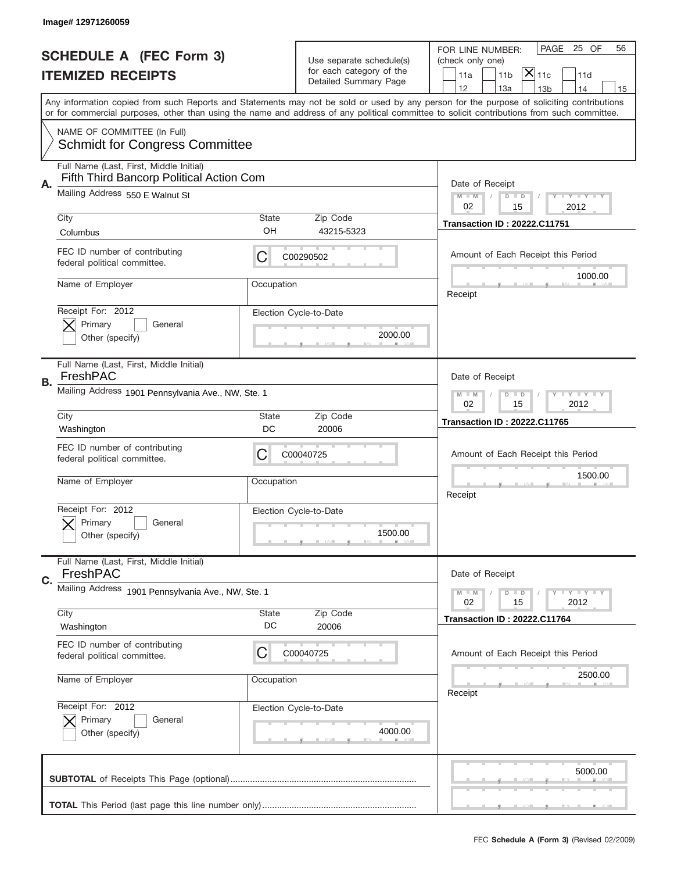|    | Image# 12971260059                                                                                                     |                    |                                                                               |                                                                                                                                                                                                                                                                                         |
|----|------------------------------------------------------------------------------------------------------------------------|--------------------|-------------------------------------------------------------------------------|-----------------------------------------------------------------------------------------------------------------------------------------------------------------------------------------------------------------------------------------------------------------------------------------|
|    | <b>SCHEDULE A (FEC Form 3)</b><br><b>ITEMIZED RECEIPTS</b>                                                             |                    | Use separate schedule(s)<br>for each category of the<br>Detailed Summary Page | PAGE<br>25 OF<br>56<br>FOR LINE NUMBER:<br>(check only one)<br>$ \mathsf{\overline{X}} _{\mathsf{11c}}$<br>11 <sub>b</sub><br>11a<br>11d<br>12<br>13a<br>13 <sub>b</sub><br>14<br>15                                                                                                    |
|    |                                                                                                                        |                    |                                                                               | Any information copied from such Reports and Statements may not be sold or used by any person for the purpose of soliciting contributions<br>or for commercial purposes, other than using the name and address of any political committee to solicit contributions from such committee. |
|    | NAME OF COMMITTEE (In Full)<br><b>Schmidt for Congress Committee</b>                                                   |                    |                                                                               |                                                                                                                                                                                                                                                                                         |
| А. | Full Name (Last, First, Middle Initial)<br>Fifth Third Bancorp Political Action Com<br>Mailing Address 550 E Walnut St |                    |                                                                               | Date of Receipt<br>$M$ $M$<br>Y I Y I Y I Y<br>$D$ $D$                                                                                                                                                                                                                                  |
|    | City                                                                                                                   | State              | Zip Code                                                                      | 02<br>2012<br>15<br><b>Transaction ID: 20222.C11751</b>                                                                                                                                                                                                                                 |
|    | Columbus<br>FEC ID number of contributing<br>federal political committee.                                              | OH<br>C            | 43215-5323<br>C00290502                                                       | Amount of Each Receipt this Period                                                                                                                                                                                                                                                      |
|    | Name of Employer                                                                                                       | Occupation         |                                                                               | 1000.00<br>Receipt                                                                                                                                                                                                                                                                      |
|    | Receipt For: 2012<br>Primary<br>General<br>Other (specify)                                                             |                    | Election Cycle-to-Date<br>2000.00                                             |                                                                                                                                                                                                                                                                                         |
| В. | Full Name (Last, First, Middle Initial)<br>FreshPAC<br>Mailing Address 1901 Pennsylvania Ave., NW, Ste. 1              |                    |                                                                               | Date of Receipt                                                                                                                                                                                                                                                                         |
|    | City                                                                                                                   | State<br>DC        | Zip Code                                                                      | $T$ $Y$ $Y$ $Y$ $Y$<br>$M$ $M$<br>$D$ $D$<br>02<br>15<br>2012<br><b>Transaction ID: 20222.C11765</b>                                                                                                                                                                                    |
|    |                                                                                                                        |                    |                                                                               |                                                                                                                                                                                                                                                                                         |
|    | Washington<br>FEC ID number of contributing<br>federal political committee.                                            | C                  | 20006<br>C00040725                                                            | Amount of Each Receipt this Period                                                                                                                                                                                                                                                      |
|    | Name of Employer                                                                                                       | Occupation         |                                                                               | 1500.00<br>Receipt                                                                                                                                                                                                                                                                      |
|    | Receipt For: 2012<br>General<br>Primary<br>Other (specify)                                                             |                    | Election Cycle-to-Date<br>1500.00                                             |                                                                                                                                                                                                                                                                                         |
| C. | Full Name (Last, First, Middle Initial)<br>FreshPAC                                                                    |                    |                                                                               | Date of Receipt                                                                                                                                                                                                                                                                         |
|    | Mailing Address 1901 Pennsylvania Ave., NW, Ste. 1                                                                     |                    |                                                                               | <b>TEY TEY TEY</b><br>$M - M$<br>$D$ $D$<br>02<br>2012<br>15                                                                                                                                                                                                                            |
|    | City<br>Washington                                                                                                     | <b>State</b><br>DC | Zip Code<br>20006                                                             | <b>Transaction ID: 20222.C11764</b>                                                                                                                                                                                                                                                     |
|    | FEC ID number of contributing<br>federal political committee.                                                          | C                  | C00040725                                                                     | Amount of Each Receipt this Period                                                                                                                                                                                                                                                      |
|    | Name of Employer                                                                                                       | Occupation         |                                                                               | 2500.00<br>Receipt                                                                                                                                                                                                                                                                      |
|    | Receipt For: 2012<br>Primary<br>General<br>Other (specify)                                                             |                    | Election Cycle-to-Date<br>4000.00                                             |                                                                                                                                                                                                                                                                                         |
|    |                                                                                                                        |                    |                                                                               | 5000.00                                                                                                                                                                                                                                                                                 |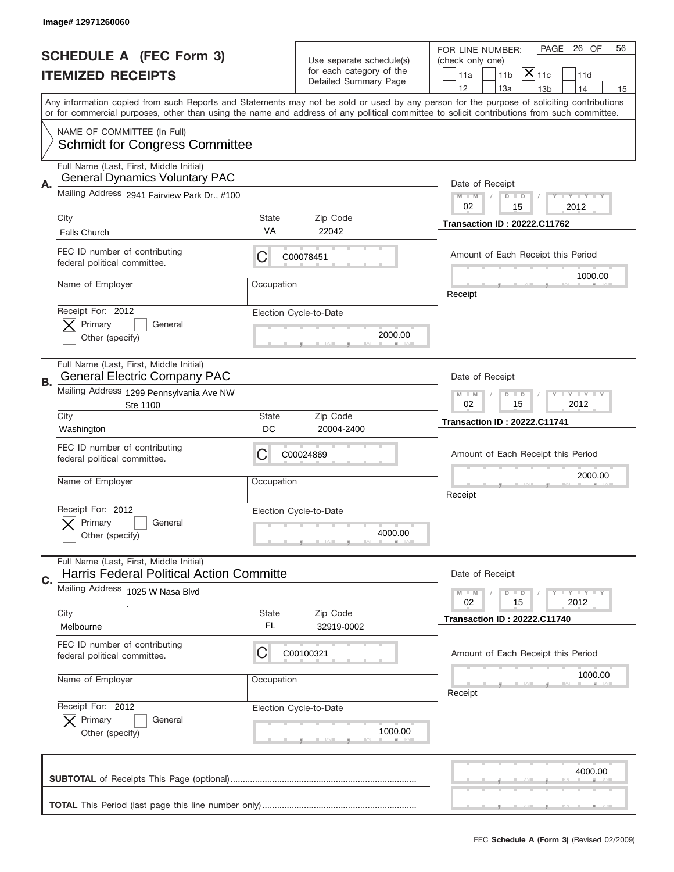|    | Image# 12971260060                                                                                                                         |                     |                                                      |                                                                                                                                           |
|----|--------------------------------------------------------------------------------------------------------------------------------------------|---------------------|------------------------------------------------------|-------------------------------------------------------------------------------------------------------------------------------------------|
|    |                                                                                                                                            |                     |                                                      | PAGE<br>26 OF<br>56<br>FOR LINE NUMBER:                                                                                                   |
|    | <b>SCHEDULE A (FEC Form 3)</b>                                                                                                             |                     | Use separate schedule(s)<br>for each category of the | (check only one)<br>$ \overline{\mathsf{x}} _{\text{11c}}$                                                                                |
|    | <b>ITEMIZED RECEIPTS</b>                                                                                                                   |                     | Detailed Summary Page                                | 11 <sub>b</sub><br>11a<br>11d<br>12<br>13a<br>14<br>13 <sub>b</sub><br>15                                                                 |
|    | or for commercial purposes, other than using the name and address of any political committee to solicit contributions from such committee. |                     |                                                      | Any information copied from such Reports and Statements may not be sold or used by any person for the purpose of soliciting contributions |
|    | NAME OF COMMITTEE (In Full)<br><b>Schmidt for Congress Committee</b>                                                                       |                     |                                                      |                                                                                                                                           |
| А. | Full Name (Last, First, Middle Initial)<br><b>General Dynamics Voluntary PAC</b>                                                           |                     |                                                      | Date of Receipt                                                                                                                           |
|    | Mailing Address 2941 Fairview Park Dr., #100                                                                                               |                     |                                                      | <b>LYLYLY</b><br>$M - M$<br>$D$ $D$<br>02<br>15<br>2012                                                                                   |
|    | City<br><b>Falls Church</b>                                                                                                                | <b>State</b><br>VA  | Zip Code<br>22042                                    | <b>Transaction ID: 20222.C11762</b>                                                                                                       |
|    | FEC ID number of contributing<br>federal political committee.                                                                              | С                   | C00078451                                            | Amount of Each Receipt this Period                                                                                                        |
|    | Name of Employer                                                                                                                           | Occupation          |                                                      | 1000.00<br>Receipt                                                                                                                        |
|    | Receipt For: 2012<br>Primary<br>General<br>Other (specify)                                                                                 |                     | Election Cycle-to-Date<br>2000.00                    |                                                                                                                                           |
| В. | Full Name (Last, First, Middle Initial)<br><b>General Electric Company PAC</b>                                                             |                     |                                                      | Date of Receipt                                                                                                                           |
|    | Mailing Address 1299 Pennsylvania Ave NW<br>Ste 1100                                                                                       |                     |                                                      | <b>LY LY LY</b><br>$M$ $M$<br>$D$ $D$<br>02<br>15<br>2012                                                                                 |
|    | City<br>Washington                                                                                                                         | <b>State</b><br>DC  | Zip Code<br>20004-2400                               | <b>Transaction ID: 20222.C11741</b>                                                                                                       |
|    | FEC ID number of contributing<br>federal political committee.                                                                              | С                   | C00024869                                            | Amount of Each Receipt this Period                                                                                                        |
|    | Name of Employer                                                                                                                           | Occupation          |                                                      | 2000.00<br>Receipt                                                                                                                        |
|    | Receipt For: 2012<br>Primary<br>General<br>Other (specify)                                                                                 |                     | Election Cycle-to-Date<br>4000.00                    |                                                                                                                                           |
| C. | Full Name (Last, First, Middle Initial)<br>Harris Federal Political Action Committe                                                        |                     |                                                      | Date of Receipt                                                                                                                           |
|    | Mailing Address 1025 W Nasa Blvd                                                                                                           |                     |                                                      | <b>LY LY LY</b><br>$M - M$<br>$D$ $D$<br>2012<br>02<br>15                                                                                 |
|    | City<br>Melbourne                                                                                                                          | <b>State</b><br>FL. | Zip Code<br>32919-0002                               | <b>Transaction ID: 20222.C11740</b>                                                                                                       |
|    | FEC ID number of contributing<br>federal political committee.                                                                              | С                   | C00100321                                            | Amount of Each Receipt this Period                                                                                                        |
|    | Name of Employer                                                                                                                           | Occupation          |                                                      | 1000.00<br>Receipt                                                                                                                        |
|    | Receipt For: 2012<br>Primary<br>General<br>Other (specify)                                                                                 |                     | Election Cycle-to-Date<br>1000.00                    |                                                                                                                                           |
|    |                                                                                                                                            |                     |                                                      | 4000.00                                                                                                                                   |
|    |                                                                                                                                            |                     |                                                      |                                                                                                                                           |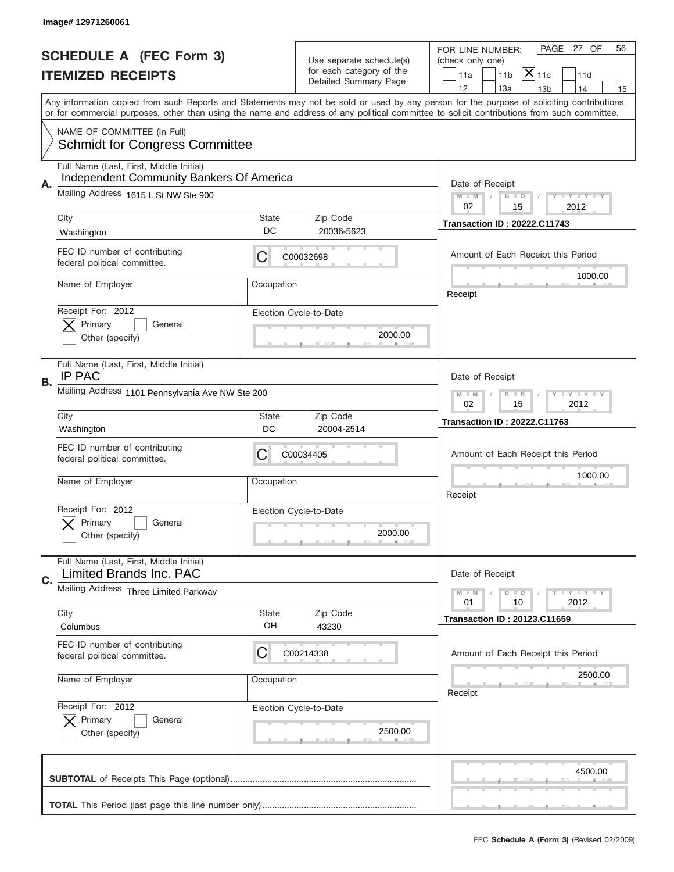|    | Image# 12971260061                                                                  |             |                                                      |                                                                                                                                                                                                                                                                                         |
|----|-------------------------------------------------------------------------------------|-------------|------------------------------------------------------|-----------------------------------------------------------------------------------------------------------------------------------------------------------------------------------------------------------------------------------------------------------------------------------------|
|    | <b>SCHEDULE A (FEC Form 3)</b>                                                      |             |                                                      | PAGE<br>27 OF<br>56<br>FOR LINE NUMBER:                                                                                                                                                                                                                                                 |
|    | <b>ITEMIZED RECEIPTS</b>                                                            |             | Use separate schedule(s)<br>for each category of the | (check only one)<br>$ \mathsf{\overline{X}} _{\mathsf{11c}}$<br>11 <sub>b</sub><br>11a<br>11d                                                                                                                                                                                           |
|    |                                                                                     |             | Detailed Summary Page                                | 12<br>13a<br>13 <sub>b</sub><br>14<br>15                                                                                                                                                                                                                                                |
|    |                                                                                     |             |                                                      | Any information copied from such Reports and Statements may not be sold or used by any person for the purpose of soliciting contributions<br>or for commercial purposes, other than using the name and address of any political committee to solicit contributions from such committee. |
|    | NAME OF COMMITTEE (In Full)<br><b>Schmidt for Congress Committee</b>                |             |                                                      |                                                                                                                                                                                                                                                                                         |
|    |                                                                                     |             |                                                      |                                                                                                                                                                                                                                                                                         |
| А. | Full Name (Last, First, Middle Initial)<br>Independent Community Bankers Of America |             |                                                      | Date of Receipt                                                                                                                                                                                                                                                                         |
|    | Mailing Address 1615 L St NW Ste 900                                                |             |                                                      | $M$ $M$<br>Y I Y I Y I Y<br>$D$ $D$<br>02<br>2012<br>15                                                                                                                                                                                                                                 |
|    | City                                                                                | State       | Zip Code                                             |                                                                                                                                                                                                                                                                                         |
|    | Washington                                                                          | DC          | 20036-5623                                           | <b>Transaction ID: 20222.C11743</b>                                                                                                                                                                                                                                                     |
|    | FEC ID number of contributing<br>federal political committee.                       | C           | C00032698                                            | Amount of Each Receipt this Period                                                                                                                                                                                                                                                      |
|    | Name of Employer                                                                    | Occupation  |                                                      | 1000.00<br>Receipt                                                                                                                                                                                                                                                                      |
|    | Receipt For: 2012<br>Primary<br>General                                             |             | Election Cycle-to-Date                               |                                                                                                                                                                                                                                                                                         |
|    | Other (specify)                                                                     |             | 2000.00                                              |                                                                                                                                                                                                                                                                                         |
|    | Full Name (Last, First, Middle Initial)<br><b>IP PAC</b>                            |             |                                                      | Date of Receipt                                                                                                                                                                                                                                                                         |
| В. | Mailing Address 1101 Pennsylvania Ave NW Ste 200                                    |             |                                                      | $T$ $Y$ $Y$ $Y$ $Y$<br>$M$ $M$<br>$D$ $D$<br>02<br>15<br>2012                                                                                                                                                                                                                           |
|    | City                                                                                | State       | Zip Code                                             | <b>Transaction ID: 20222.C11763</b>                                                                                                                                                                                                                                                     |
|    |                                                                                     |             |                                                      |                                                                                                                                                                                                                                                                                         |
|    | Washington                                                                          | DC          | 20004-2514                                           |                                                                                                                                                                                                                                                                                         |
|    | FEC ID number of contributing<br>federal political committee.                       | C           | C00034405                                            | Amount of Each Receipt this Period                                                                                                                                                                                                                                                      |
|    | Name of Employer                                                                    | Occupation  |                                                      | 1000.00                                                                                                                                                                                                                                                                                 |
|    |                                                                                     |             |                                                      | Receipt                                                                                                                                                                                                                                                                                 |
|    | Receipt For: 2012                                                                   |             | Election Cycle-to-Date                               |                                                                                                                                                                                                                                                                                         |
|    | General<br>Primary<br>Other (specify)                                               |             | 2000.00                                              |                                                                                                                                                                                                                                                                                         |
|    | Full Name (Last, First, Middle Initial)                                             |             |                                                      |                                                                                                                                                                                                                                                                                         |
| C. | Limited Brands Inc. PAC<br>Mailing Address Three Limited Parkway                    |             |                                                      | Date of Receipt<br>$T$ $Y$ $Y$ $Y$ $Y$<br>$M$ M<br>$D$ $D$                                                                                                                                                                                                                              |
|    |                                                                                     |             |                                                      | 2012<br>01<br>10                                                                                                                                                                                                                                                                        |
|    | City<br>Columbus                                                                    | State<br>OH | Zip Code<br>43230                                    | <b>Transaction ID: 20123.C11659</b>                                                                                                                                                                                                                                                     |
|    | FEC ID number of contributing<br>federal political committee.                       | C           | C00214338                                            | Amount of Each Receipt this Period                                                                                                                                                                                                                                                      |
|    | Name of Employer                                                                    | Occupation  |                                                      | 2500.00<br>Receipt                                                                                                                                                                                                                                                                      |
|    | Receipt For: 2012                                                                   |             | Election Cycle-to-Date                               |                                                                                                                                                                                                                                                                                         |
|    | Primary<br>General<br>Other (specify)                                               |             | 2500.00                                              |                                                                                                                                                                                                                                                                                         |
|    |                                                                                     |             |                                                      | 4500.00                                                                                                                                                                                                                                                                                 |
|    |                                                                                     |             |                                                      |                                                                                                                                                                                                                                                                                         |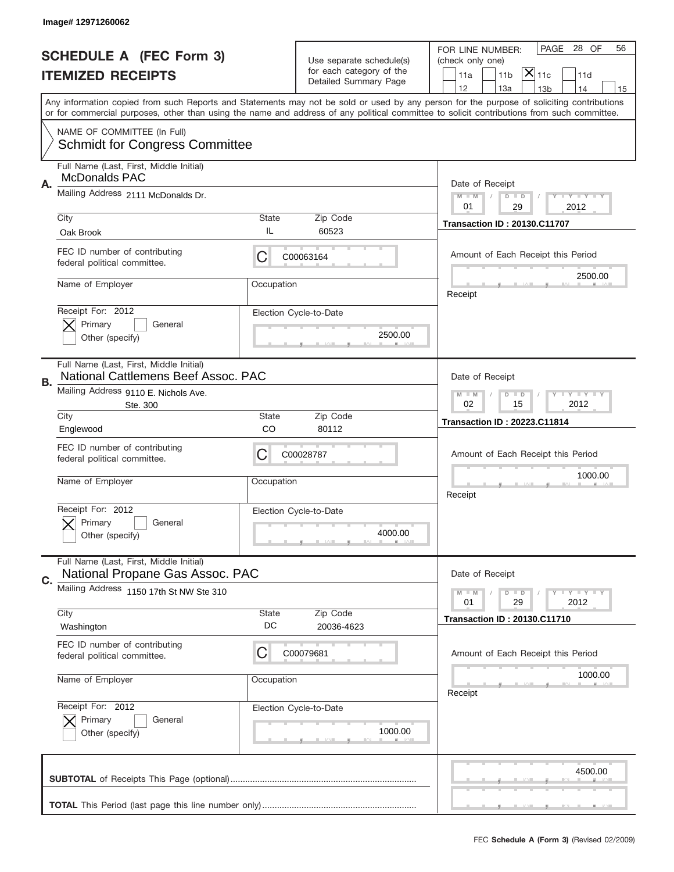|    | Image# 12971260062                                                             |             |                                                      |                                                                                                                                                                                                                                                                                         |
|----|--------------------------------------------------------------------------------|-------------|------------------------------------------------------|-----------------------------------------------------------------------------------------------------------------------------------------------------------------------------------------------------------------------------------------------------------------------------------------|
|    | <b>SCHEDULE A (FEC Form 3)</b>                                                 |             |                                                      | PAGE<br>28 OF<br>56<br>FOR LINE NUMBER:                                                                                                                                                                                                                                                 |
|    | <b>ITEMIZED RECEIPTS</b>                                                       |             | Use separate schedule(s)<br>for each category of the | (check only one)<br>$ \mathsf{\overline{X}} _{\mathsf{11c}}$<br>11 <sub>b</sub><br>11a<br>11d                                                                                                                                                                                           |
|    |                                                                                |             | Detailed Summary Page                                | 12<br>13a<br>13 <sub>b</sub><br>14<br>15                                                                                                                                                                                                                                                |
|    |                                                                                |             |                                                      | Any information copied from such Reports and Statements may not be sold or used by any person for the purpose of soliciting contributions<br>or for commercial purposes, other than using the name and address of any political committee to solicit contributions from such committee. |
|    | NAME OF COMMITTEE (In Full)<br><b>Schmidt for Congress Committee</b>           |             |                                                      |                                                                                                                                                                                                                                                                                         |
| Α. | Full Name (Last, First, Middle Initial)<br><b>McDonalds PAC</b>                |             |                                                      | Date of Receipt                                                                                                                                                                                                                                                                         |
|    | Mailing Address 2111 McDonalds Dr.                                             |             |                                                      | $M - M$<br>Y I Y I Y I Y<br>$D$ $D$<br>01<br>29<br>2012                                                                                                                                                                                                                                 |
|    | City<br>Oak Brook                                                              | State<br>IL | Zip Code<br>60523                                    | <b>Transaction ID: 20130.C11707</b>                                                                                                                                                                                                                                                     |
|    | FEC ID number of contributing<br>federal political committee.                  | C           | C00063164                                            | Amount of Each Receipt this Period<br>2500.00                                                                                                                                                                                                                                           |
|    | Name of Employer                                                               | Occupation  |                                                      | Receipt                                                                                                                                                                                                                                                                                 |
|    | Receipt For: 2012<br>Primary<br>General<br>Other (specify)                     |             | Election Cycle-to-Date<br>2500.00                    |                                                                                                                                                                                                                                                                                         |
| В. | Full Name (Last, First, Middle Initial)<br>National Cattlemens Beef Assoc. PAC |             |                                                      | Date of Receipt                                                                                                                                                                                                                                                                         |
|    | Mailing Address 9110 E. Nichols Ave.<br>Ste. 300                               |             |                                                      | $T$ $Y$ $Y$ $Y$ $Y$<br>$M$ $M$<br>$D$ $D$<br>02<br>15<br>2012                                                                                                                                                                                                                           |
|    | City<br>Englewood                                                              | State<br>CO | Zip Code<br>80112                                    | <b>Transaction ID: 20223.C11814</b>                                                                                                                                                                                                                                                     |
|    | FEC ID number of contributing<br>federal political committee.                  | C           | C00028787                                            | Amount of Each Receipt this Period                                                                                                                                                                                                                                                      |
|    |                                                                                |             |                                                      | 1000.00                                                                                                                                                                                                                                                                                 |
|    | Name of Employer                                                               | Occupation  |                                                      | Receipt                                                                                                                                                                                                                                                                                 |
|    | Receipt For: 2012<br>General<br>Primary<br>Other (specify)                     |             | Election Cycle-to-Date<br>4000.00                    |                                                                                                                                                                                                                                                                                         |
|    | Full Name (Last, First, Middle Initial)<br>National Propane Gas Assoc. PAC     |             |                                                      | Date of Receipt                                                                                                                                                                                                                                                                         |
| C. | Mailing Address 1150 17th St NW Ste 310                                        |             |                                                      | <b>TY TY TY</b><br>$M - M$<br>$D$ $D$<br>29<br>2012<br>01                                                                                                                                                                                                                               |
|    | City<br>Washington                                                             | State<br>DC | Zip Code<br>20036-4623                               | <b>Transaction ID: 20130.C11710</b>                                                                                                                                                                                                                                                     |
|    | FEC ID number of contributing<br>federal political committee.                  | C           | C00079681                                            | Amount of Each Receipt this Period                                                                                                                                                                                                                                                      |
|    | Name of Employer                                                               | Occupation  |                                                      | 1000.00<br>Receipt                                                                                                                                                                                                                                                                      |
|    | Receipt For: 2012<br>Primary<br>General<br>Other (specify)                     |             | Election Cycle-to-Date<br>1000.00                    |                                                                                                                                                                                                                                                                                         |
|    |                                                                                |             |                                                      | 4500.00                                                                                                                                                                                                                                                                                 |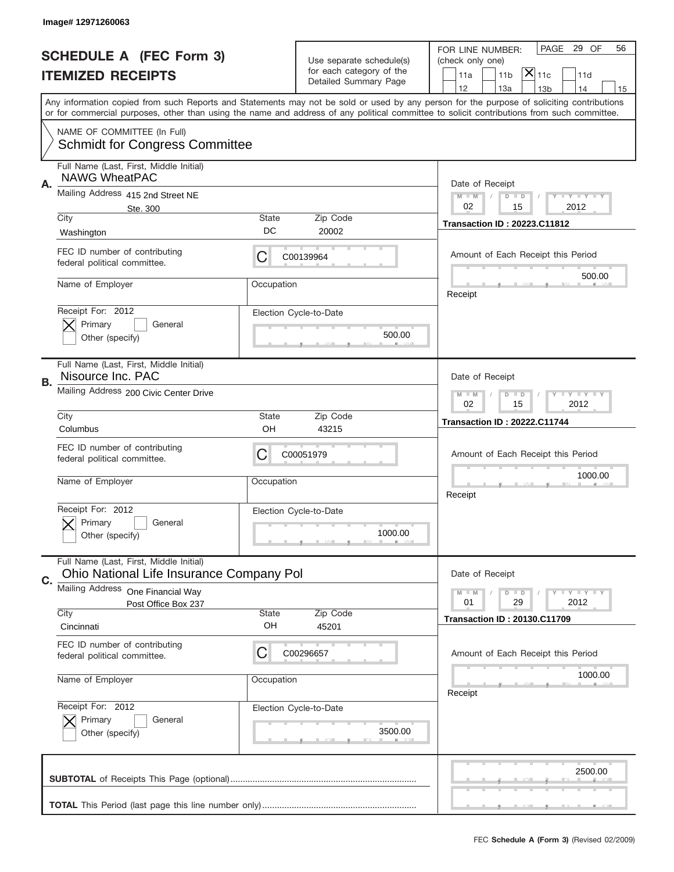|    | Image# 12971260063                                                                  |              |                                                      |                                                                                                                                                                                                                                                                                         |
|----|-------------------------------------------------------------------------------------|--------------|------------------------------------------------------|-----------------------------------------------------------------------------------------------------------------------------------------------------------------------------------------------------------------------------------------------------------------------------------------|
|    |                                                                                     |              |                                                      | PAGE<br>29 OF<br>56<br>FOR LINE NUMBER:                                                                                                                                                                                                                                                 |
|    | <b>SCHEDULE A (FEC Form 3)</b>                                                      |              | Use separate schedule(s)<br>for each category of the | (check only one)<br>$ \mathsf{X} _{\mathsf{11c}}$                                                                                                                                                                                                                                       |
|    | <b>ITEMIZED RECEIPTS</b>                                                            |              | Detailed Summary Page                                | 11 <sub>b</sub><br>11a<br>11d<br>12<br>13a<br>13 <sub>b</sub><br>14<br>15                                                                                                                                                                                                               |
|    |                                                                                     |              |                                                      | Any information copied from such Reports and Statements may not be sold or used by any person for the purpose of soliciting contributions<br>or for commercial purposes, other than using the name and address of any political committee to solicit contributions from such committee. |
|    | NAME OF COMMITTEE (In Full)<br><b>Schmidt for Congress Committee</b>                |              |                                                      |                                                                                                                                                                                                                                                                                         |
| Α. | Full Name (Last, First, Middle Initial)<br><b>NAWG WheatPAC</b>                     |              |                                                      | Date of Receipt                                                                                                                                                                                                                                                                         |
|    | Mailing Address 415 2nd Street NE<br>Ste. 300                                       |              |                                                      | $M$ $M$<br>Y I Y I Y I Y<br>$D$ $D$<br>02<br>2012<br>15                                                                                                                                                                                                                                 |
|    | City                                                                                | State<br>DC  | Zip Code<br>20002                                    | <b>Transaction ID: 20223.C11812</b>                                                                                                                                                                                                                                                     |
|    | Washington                                                                          |              |                                                      |                                                                                                                                                                                                                                                                                         |
|    | FEC ID number of contributing<br>federal political committee.                       | C            | C00139964                                            | Amount of Each Receipt this Period<br>500.00                                                                                                                                                                                                                                            |
|    | Name of Employer                                                                    | Occupation   |                                                      | Receipt                                                                                                                                                                                                                                                                                 |
|    | Receipt For: 2012                                                                   |              | Election Cycle-to-Date                               |                                                                                                                                                                                                                                                                                         |
|    | Primary<br>General<br>Other (specify)                                               |              | 500.00                                               |                                                                                                                                                                                                                                                                                         |
| В. | Full Name (Last, First, Middle Initial)<br>Nisource Inc. PAC                        |              |                                                      | Date of Receipt                                                                                                                                                                                                                                                                         |
|    | Mailing Address 200 Civic Center Drive                                              |              |                                                      | Y TYTTYTTY<br>$M - M$<br>$D$ $D$<br>02<br>15<br>2012                                                                                                                                                                                                                                    |
|    | City<br>Columbus                                                                    | State<br>OH  | Zip Code<br>43215                                    | <b>Transaction ID: 20222.C11744</b>                                                                                                                                                                                                                                                     |
|    | FEC ID number of contributing                                                       |              |                                                      |                                                                                                                                                                                                                                                                                         |
|    | federal political committee.                                                        | C            | C00051979                                            | Amount of Each Receipt this Period                                                                                                                                                                                                                                                      |
|    |                                                                                     |              |                                                      |                                                                                                                                                                                                                                                                                         |
|    | Name of Employer                                                                    | Occupation   |                                                      | 1000.00<br>Receipt                                                                                                                                                                                                                                                                      |
|    | Receipt For: 2012                                                                   |              | Election Cycle-to-Date                               |                                                                                                                                                                                                                                                                                         |
|    | General<br>Primary<br>Other (specify)                                               |              | 1000.00                                              |                                                                                                                                                                                                                                                                                         |
|    | Full Name (Last, First, Middle Initial)<br>Ohio National Life Insurance Company Pol |              |                                                      | Date of Receipt                                                                                                                                                                                                                                                                         |
| C. | Mailing Address One Financial Way                                                   |              |                                                      | <b>LYLYLY</b><br>$M$ $M$<br>$D$ $D$                                                                                                                                                                                                                                                     |
|    | Post Office Box 237<br>City                                                         | <b>State</b> | Zip Code                                             | 29<br>2012<br>01                                                                                                                                                                                                                                                                        |
|    | Cincinnati                                                                          | OH           | 45201                                                | <b>Transaction ID: 20130.C11709</b>                                                                                                                                                                                                                                                     |
|    | FEC ID number of contributing<br>federal political committee.                       | C            | C00296657                                            | Amount of Each Receipt this Period                                                                                                                                                                                                                                                      |
|    | Name of Employer                                                                    | Occupation   |                                                      | 1000.00<br>Receipt                                                                                                                                                                                                                                                                      |
|    | Receipt For: 2012                                                                   |              | Election Cycle-to-Date                               |                                                                                                                                                                                                                                                                                         |
|    | Primary<br>General<br>Other (specify)                                               |              | 3500.00                                              |                                                                                                                                                                                                                                                                                         |
|    |                                                                                     |              |                                                      | 2500.00                                                                                                                                                                                                                                                                                 |
|    |                                                                                     |              |                                                      |                                                                                                                                                                                                                                                                                         |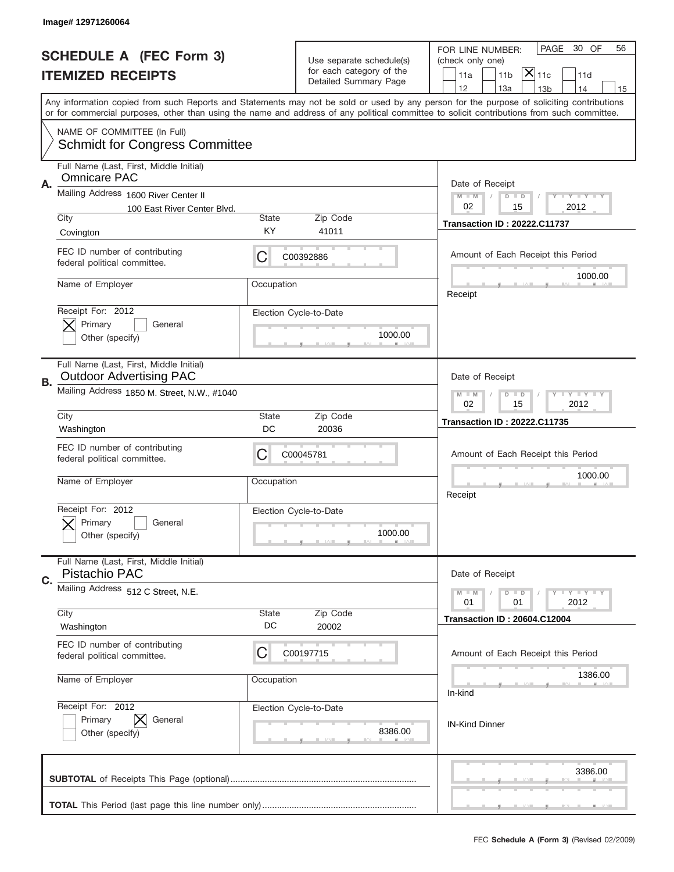|    | Image#12971260064                                                                                                                     |                                                         |                                                                               |                                                                                                                                                                                                                                                                                         |
|----|---------------------------------------------------------------------------------------------------------------------------------------|---------------------------------------------------------|-------------------------------------------------------------------------------|-----------------------------------------------------------------------------------------------------------------------------------------------------------------------------------------------------------------------------------------------------------------------------------------|
|    | <b>SCHEDULE A (FEC Form 3)</b><br><b>ITEMIZED RECEIPTS</b>                                                                            |                                                         | Use separate schedule(s)<br>for each category of the<br>Detailed Summary Page | PAGE<br>30 OF<br>56<br>FOR LINE NUMBER:<br>(check only one)<br>$ \overline{\mathsf{X}} _{\mathsf{11c}}$<br>11a<br>11 <sub>b</sub><br>11d<br>12<br>13a<br>13 <sub>b</sub><br>14<br>15                                                                                                    |
|    |                                                                                                                                       |                                                         |                                                                               | Any information copied from such Reports and Statements may not be sold or used by any person for the purpose of soliciting contributions<br>or for commercial purposes, other than using the name and address of any political committee to solicit contributions from such committee. |
|    | NAME OF COMMITTEE (In Full)<br><b>Schmidt for Congress Committee</b>                                                                  |                                                         |                                                                               |                                                                                                                                                                                                                                                                                         |
| Α. | Full Name (Last, First, Middle Initial)<br><b>Omnicare PAC</b><br>Mailing Address 1600 River Center II<br>100 East River Center Blvd. |                                                         |                                                                               | Date of Receipt<br>$M - M$<br><b>LEY LEY LEY</b><br>$D$ $D$<br>02<br>15<br>2012                                                                                                                                                                                                         |
|    | City                                                                                                                                  | <b>State</b>                                            | Zip Code                                                                      | <b>Transaction ID: 20222.C11737</b>                                                                                                                                                                                                                                                     |
|    | Covington<br>FEC ID number of contributing<br>federal political committee.                                                            | KY<br>C                                                 | 41011<br>C00392886                                                            | Amount of Each Receipt this Period                                                                                                                                                                                                                                                      |
|    | Name of Employer                                                                                                                      | Occupation                                              |                                                                               | 1000.00<br>Receipt                                                                                                                                                                                                                                                                      |
|    | Receipt For: 2012<br>Primary<br>General<br>Other (specify)                                                                            |                                                         | Election Cycle-to-Date<br>1000.00                                             |                                                                                                                                                                                                                                                                                         |
| В. | Full Name (Last, First, Middle Initial)<br><b>Outdoor Advertising PAC</b>                                                             | Date of Receipt                                         |                                                                               |                                                                                                                                                                                                                                                                                         |
|    | Mailing Address 1850 M. Street, N.W., #1040                                                                                           | $M - M$<br><b>LYLYLY</b><br>$D$ $D$<br>02<br>15<br>2012 |                                                                               |                                                                                                                                                                                                                                                                                         |
|    | City<br>Washington                                                                                                                    | State<br>DC                                             | Zip Code<br>20036                                                             | <b>Transaction ID: 20222.C11735</b>                                                                                                                                                                                                                                                     |
|    |                                                                                                                                       |                                                         |                                                                               |                                                                                                                                                                                                                                                                                         |
|    | FEC ID number of contributing<br>federal political committee.                                                                         | C                                                       | C00045781                                                                     | Amount of Each Receipt this Period                                                                                                                                                                                                                                                      |
|    | Name of Employer                                                                                                                      | Occupation                                              |                                                                               | 1000.00<br>Receipt                                                                                                                                                                                                                                                                      |
|    | Receipt For: 2012<br>General<br>Primary<br>Other (specify)                                                                            |                                                         | Election Cycle-to-Date<br>1000.00                                             |                                                                                                                                                                                                                                                                                         |
|    | Full Name (Last, First, Middle Initial)<br>Pistachio PAC                                                                              |                                                         |                                                                               | Date of Receipt                                                                                                                                                                                                                                                                         |
| C. | Mailing Address 512 C Street, N.E.                                                                                                    |                                                         |                                                                               | <b>LYLYLY</b><br>$M - M$<br>$D$ $D$<br>2012<br>01<br>01                                                                                                                                                                                                                                 |
|    | City<br>Washington                                                                                                                    | State<br>DC                                             | Zip Code<br>20002                                                             | <b>Transaction ID: 20604.C12004</b>                                                                                                                                                                                                                                                     |
|    | FEC ID number of contributing<br>federal political committee.                                                                         | C                                                       | C00197715                                                                     | Amount of Each Receipt this Period                                                                                                                                                                                                                                                      |
|    | Name of Employer                                                                                                                      | Occupation                                              |                                                                               | 1386.00<br>In-kind                                                                                                                                                                                                                                                                      |
|    | Receipt For: 2012<br>Primary<br>General<br>Other (specify)                                                                            |                                                         | Election Cycle-to-Date<br>8386.00                                             | <b>IN-Kind Dinner</b>                                                                                                                                                                                                                                                                   |
|    |                                                                                                                                       |                                                         |                                                                               | 3386.00                                                                                                                                                                                                                                                                                 |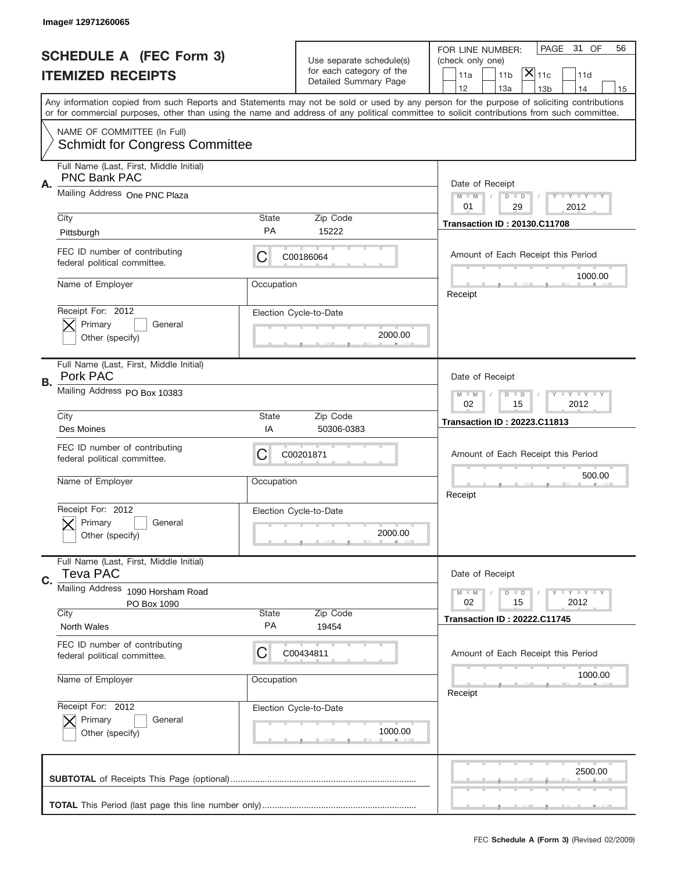|    | Image# 12971260065                                                   |                    |                                                      |                                                                                                                                                                                                                                                                                         |
|----|----------------------------------------------------------------------|--------------------|------------------------------------------------------|-----------------------------------------------------------------------------------------------------------------------------------------------------------------------------------------------------------------------------------------------------------------------------------------|
|    | <b>SCHEDULE A (FEC Form 3)</b>                                       |                    |                                                      | 31 OF<br>PAGE<br>56<br>FOR LINE NUMBER:                                                                                                                                                                                                                                                 |
|    | <b>ITEMIZED RECEIPTS</b>                                             |                    | Use separate schedule(s)<br>for each category of the | (check only one)<br>$\overline{ {\mathsf X} }_{\text{11c}}$<br>11a<br>11 <sub>b</sub><br>11d                                                                                                                                                                                            |
|    |                                                                      |                    | Detailed Summary Page                                | 12<br>13a<br>13 <sub>b</sub><br>14<br>15                                                                                                                                                                                                                                                |
|    |                                                                      |                    |                                                      | Any information copied from such Reports and Statements may not be sold or used by any person for the purpose of soliciting contributions<br>or for commercial purposes, other than using the name and address of any political committee to solicit contributions from such committee. |
|    | NAME OF COMMITTEE (In Full)<br><b>Schmidt for Congress Committee</b> |                    |                                                      |                                                                                                                                                                                                                                                                                         |
|    | Full Name (Last, First, Middle Initial)<br><b>PNC Bank PAC</b>       |                    |                                                      |                                                                                                                                                                                                                                                                                         |
| Α. | Mailing Address One PNC Plaza                                        |                    |                                                      | Date of Receipt<br>$M - M$<br><b>THEY THEY</b><br>$D$ $D$<br>01<br>29<br>2012                                                                                                                                                                                                           |
|    | City                                                                 | State<br><b>PA</b> | Zip Code<br>15222                                    | <b>Transaction ID: 20130.C11708</b>                                                                                                                                                                                                                                                     |
|    | Pittsburgh<br>FEC ID number of contributing                          | C                  | C00186064                                            | Amount of Each Receipt this Period                                                                                                                                                                                                                                                      |
|    | federal political committee.                                         |                    |                                                      | 1000.00                                                                                                                                                                                                                                                                                 |
|    | Name of Employer                                                     | Occupation         |                                                      | Receipt                                                                                                                                                                                                                                                                                 |
|    | Receipt For: 2012<br>Primary<br>General                              |                    | Election Cycle-to-Date                               |                                                                                                                                                                                                                                                                                         |
|    | Other (specify)                                                      |                    | 2000.00                                              |                                                                                                                                                                                                                                                                                         |
|    | Full Name (Last, First, Middle Initial)<br>Pork PAC                  |                    |                                                      | Date of Receipt                                                                                                                                                                                                                                                                         |
| В. | Mailing Address PO Box 10383                                         |                    |                                                      | $T$ $Y$ $T$ $Y$ $T$ $Y$<br>$D$ $D$<br>$M - M$<br>02<br>15<br>2012                                                                                                                                                                                                                       |
|    | City                                                                 | State<br>IA        | Zip Code<br>50306-0383                               | <b>Transaction ID: 20223.C11813</b>                                                                                                                                                                                                                                                     |
|    | Des Moines                                                           |                    |                                                      |                                                                                                                                                                                                                                                                                         |
|    | FEC ID number of contributing<br>federal political committee.        | C                  | C00201871                                            | Amount of Each Receipt this Period                                                                                                                                                                                                                                                      |
|    | Name of Employer                                                     | Occupation         |                                                      | 500.00                                                                                                                                                                                                                                                                                  |
|    |                                                                      |                    |                                                      | Receipt                                                                                                                                                                                                                                                                                 |
|    | Receipt For: 2012<br>General<br>Primary                              |                    | Election Cycle-to-Date                               |                                                                                                                                                                                                                                                                                         |
|    | Other (specify)                                                      |                    | 2000.00                                              |                                                                                                                                                                                                                                                                                         |
| C. | Full Name (Last, First, Middle Initial)<br><b>Teva PAC</b>           |                    |                                                      | Date of Receipt                                                                                                                                                                                                                                                                         |
|    | <b>Mailing Address</b><br>1090 Horsham Road                          |                    |                                                      | <b>LYLYLY</b><br>$M - M$<br>$D$ $D$<br>2012<br>02<br>15                                                                                                                                                                                                                                 |
|    | PO Box 1090<br>City                                                  | State              | Zip Code                                             | <b>Transaction ID: 20222.C11745</b>                                                                                                                                                                                                                                                     |
|    | North Wales                                                          | PA                 | 19454                                                |                                                                                                                                                                                                                                                                                         |
|    | FEC ID number of contributing<br>federal political committee.        | C                  | C00434811                                            | Amount of Each Receipt this Period                                                                                                                                                                                                                                                      |
|    | Name of Employer                                                     | Occupation         |                                                      | 1000.00<br>Receipt                                                                                                                                                                                                                                                                      |
|    | Receipt For: 2012                                                    |                    | Election Cycle-to-Date                               |                                                                                                                                                                                                                                                                                         |
|    | Primary<br>General<br>Other (specify)                                |                    | 1000.00                                              |                                                                                                                                                                                                                                                                                         |
|    |                                                                      |                    |                                                      |                                                                                                                                                                                                                                                                                         |
|    |                                                                      |                    |                                                      | 2500.00                                                                                                                                                                                                                                                                                 |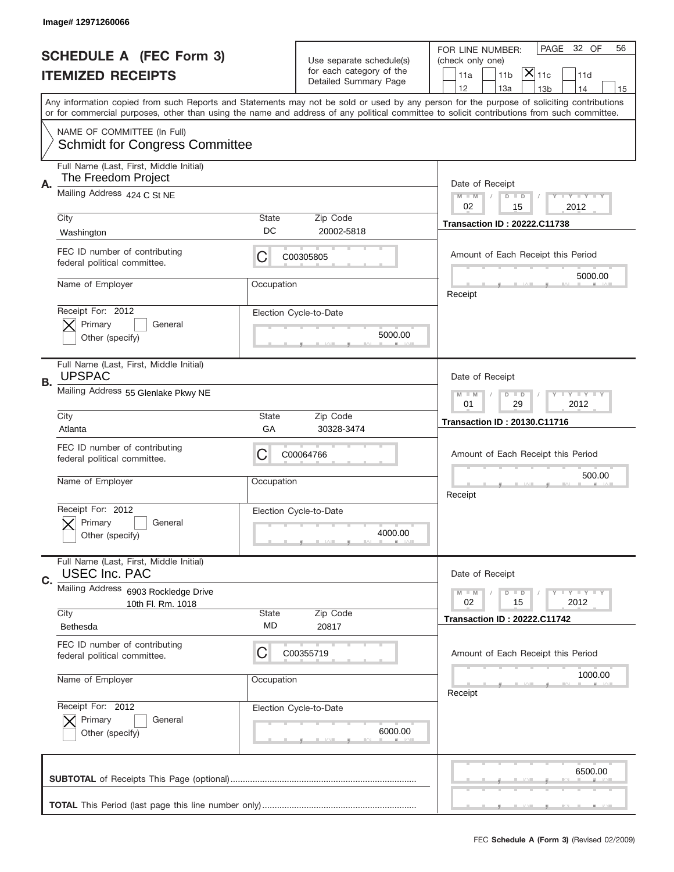|    | Image# 12971260066                                                   |             |                                                      |                                                                                                                                                                                                                                                                                         |
|----|----------------------------------------------------------------------|-------------|------------------------------------------------------|-----------------------------------------------------------------------------------------------------------------------------------------------------------------------------------------------------------------------------------------------------------------------------------------|
|    | <b>SCHEDULE A (FEC Form 3)</b>                                       |             |                                                      | PAGE<br>32 OF<br>56<br>FOR LINE NUMBER:                                                                                                                                                                                                                                                 |
|    |                                                                      |             | Use separate schedule(s)<br>for each category of the | (check only one)<br>$ \mathsf{\overline{X}} _{\mathsf{11c}}$<br>11 <sub>b</sub><br>11a<br>11d                                                                                                                                                                                           |
|    | <b>ITEMIZED RECEIPTS</b>                                             |             | Detailed Summary Page                                | 12<br>13a<br>13 <sub>b</sub><br>14<br>15                                                                                                                                                                                                                                                |
|    |                                                                      |             |                                                      | Any information copied from such Reports and Statements may not be sold or used by any person for the purpose of soliciting contributions<br>or for commercial purposes, other than using the name and address of any political committee to solicit contributions from such committee. |
|    | NAME OF COMMITTEE (In Full)<br><b>Schmidt for Congress Committee</b> |             |                                                      |                                                                                                                                                                                                                                                                                         |
| А. | Full Name (Last, First, Middle Initial)<br>The Freedom Project       |             |                                                      | Date of Receipt                                                                                                                                                                                                                                                                         |
|    | Mailing Address 424 C St NE                                          |             |                                                      | $M$ $M$<br>Y I Y I Y I Y<br>$D$ $D$<br>02<br>2012<br>15                                                                                                                                                                                                                                 |
|    | City<br>Washington                                                   | State<br>DC | Zip Code<br>20002-5818                               | <b>Transaction ID: 20222.C11738</b>                                                                                                                                                                                                                                                     |
|    | FEC ID number of contributing<br>federal political committee.        | C           | C00305805                                            | Amount of Each Receipt this Period<br>5000.00                                                                                                                                                                                                                                           |
|    | Name of Employer                                                     | Occupation  |                                                      | Receipt                                                                                                                                                                                                                                                                                 |
|    | Receipt For: 2012<br>Primary<br>General<br>Other (specify)           |             | Election Cycle-to-Date<br>5000.00                    |                                                                                                                                                                                                                                                                                         |
|    | Full Name (Last, First, Middle Initial)<br><b>UPSPAC</b>             |             |                                                      | Date of Receipt                                                                                                                                                                                                                                                                         |
| В. | Mailing Address 55 Glenlake Pkwy NE                                  |             |                                                      | $T$ $Y$ $Y$ $Y$ $Y$<br>$M$ M<br>$D$ $D$<br>01<br>29<br>2012                                                                                                                                                                                                                             |
|    | City<br>Atlanta                                                      | State<br>GA | Zip Code<br>30328-3474                               | <b>Transaction ID: 20130.C11716</b>                                                                                                                                                                                                                                                     |
|    | FEC ID number of contributing<br>federal political committee.        | C           | C00064766                                            | Amount of Each Receipt this Period                                                                                                                                                                                                                                                      |
|    | Name of Employer                                                     | Occupation  |                                                      | 500.00<br>Receipt                                                                                                                                                                                                                                                                       |
|    | Receipt For: 2012<br>General<br>Primary<br>Other (specify)           |             | Election Cycle-to-Date<br>4000.00                    |                                                                                                                                                                                                                                                                                         |
| C. | Full Name (Last, First, Middle Initial)<br><b>USEC Inc. PAC</b>      |             |                                                      | Date of Receipt                                                                                                                                                                                                                                                                         |
|    | Mailing Address 6903 Rockledge Drive<br>10th Fl. Rm. 1018<br>City    | State       | Zip Code                                             | $T$ $Y$ $Y$ $Y$ $Y$<br>$M - M$<br>$D$ $D$<br>02<br>2012<br>15                                                                                                                                                                                                                           |
|    | Bethesda                                                             | MD          | 20817                                                | <b>Transaction ID: 20222.C11742</b>                                                                                                                                                                                                                                                     |
|    | FEC ID number of contributing<br>federal political committee.        | C           | C00355719                                            | Amount of Each Receipt this Period                                                                                                                                                                                                                                                      |
|    | Name of Employer                                                     | Occupation  |                                                      | 1000.00<br>Receipt                                                                                                                                                                                                                                                                      |
|    | Receipt For: 2012<br>Primary<br>General<br>Other (specify)           |             | Election Cycle-to-Date<br>6000.00                    |                                                                                                                                                                                                                                                                                         |
|    |                                                                      |             |                                                      | 6500.00                                                                                                                                                                                                                                                                                 |
|    |                                                                      |             |                                                      |                                                                                                                                                                                                                                                                                         |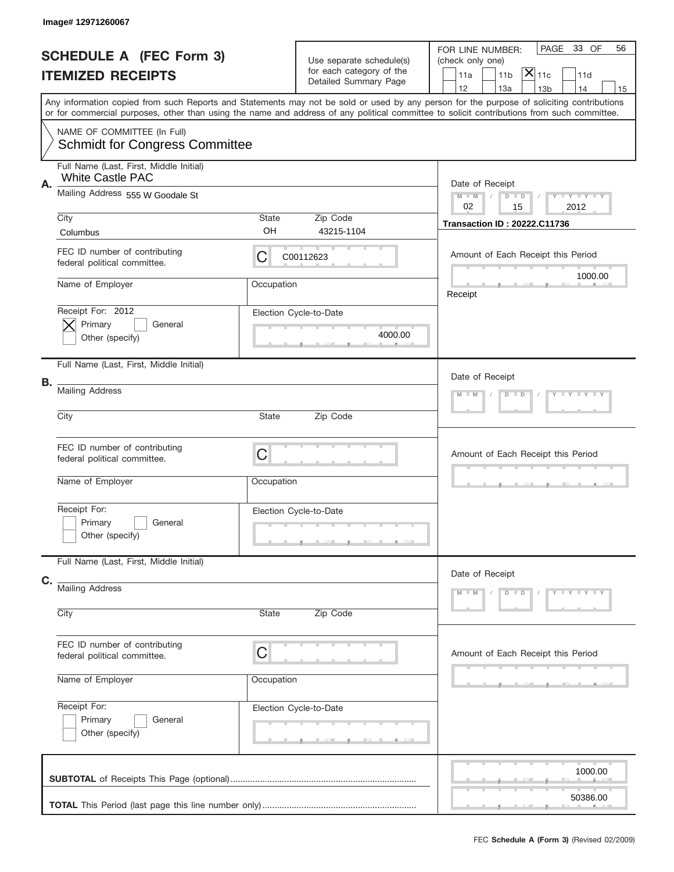|    | Image# 12971260067                                                   |             |                                                                               |                                                                                                                                                                                                                                                                                         |  |  |
|----|----------------------------------------------------------------------|-------------|-------------------------------------------------------------------------------|-----------------------------------------------------------------------------------------------------------------------------------------------------------------------------------------------------------------------------------------------------------------------------------------|--|--|
|    | <b>SCHEDULE A (FEC Form 3)</b><br><b>ITEMIZED RECEIPTS</b>           |             | Use separate schedule(s)<br>for each category of the<br>Detailed Summary Page | PAGE<br>33 OF<br>56<br>FOR LINE NUMBER:<br>(check only one)<br>$\overline{ {\mathsf X} }_{\text{11c}}$<br>11 <sub>b</sub><br>11a<br>11d<br>12<br>13a<br>14<br>13 <sub>b</sub><br>15                                                                                                     |  |  |
|    |                                                                      |             |                                                                               | Any information copied from such Reports and Statements may not be sold or used by any person for the purpose of soliciting contributions<br>or for commercial purposes, other than using the name and address of any political committee to solicit contributions from such committee. |  |  |
|    | NAME OF COMMITTEE (In Full)<br><b>Schmidt for Congress Committee</b> |             |                                                                               |                                                                                                                                                                                                                                                                                         |  |  |
| Α. | Full Name (Last, First, Middle Initial)<br><b>White Castle PAC</b>   |             |                                                                               | Date of Receipt                                                                                                                                                                                                                                                                         |  |  |
|    | Mailing Address 555 W Goodale St                                     |             |                                                                               | Y TY TY TY<br>$M$ $M$<br>$D$ $D$<br>02<br>15<br>2012                                                                                                                                                                                                                                    |  |  |
|    | City<br>Columbus                                                     | State<br>OH | Zip Code<br>43215-1104                                                        | <b>Transaction ID: 20222.C11736</b>                                                                                                                                                                                                                                                     |  |  |
|    | FEC ID number of contributing<br>federal political committee.        | С           | C00112623                                                                     | Amount of Each Receipt this Period                                                                                                                                                                                                                                                      |  |  |
|    | Name of Employer                                                     | Occupation  |                                                                               | 1000.00<br>Receipt                                                                                                                                                                                                                                                                      |  |  |
|    | Receipt For: 2012<br>Primary<br>General<br>Other (specify)           |             | Election Cycle-to-Date<br>4000.00                                             |                                                                                                                                                                                                                                                                                         |  |  |
|    | Full Name (Last, First, Middle Initial)                              |             |                                                                               | Date of Receipt                                                                                                                                                                                                                                                                         |  |  |
| В. | <b>Mailing Address</b>                                               |             |                                                                               | Y TY TY TY<br>$M - M$<br>$D$ $D$                                                                                                                                                                                                                                                        |  |  |
|    | City                                                                 | State       | Zip Code                                                                      |                                                                                                                                                                                                                                                                                         |  |  |
|    | FEC ID number of contributing<br>federal political committee.        | C           |                                                                               | Amount of Each Receipt this Period                                                                                                                                                                                                                                                      |  |  |
|    | Name of Employer                                                     | Occupation  |                                                                               |                                                                                                                                                                                                                                                                                         |  |  |
|    | Receipt For:<br>Primary<br>General<br>Other (specify)                |             | Election Cycle-to-Date                                                        |                                                                                                                                                                                                                                                                                         |  |  |
|    | Full Name (Last, First, Middle Initial)                              |             |                                                                               | Date of Receipt                                                                                                                                                                                                                                                                         |  |  |
| C. | <b>Mailing Address</b><br>City                                       | State       | Zip Code                                                                      | $Y - Y - Y - Y - Y$<br>$M - M$<br>$D$ $D$                                                                                                                                                                                                                                               |  |  |
|    | FEC ID number of contributing<br>federal political committee.        | C           |                                                                               | Amount of Each Receipt this Period                                                                                                                                                                                                                                                      |  |  |
|    | Name of Employer                                                     | Occupation  |                                                                               |                                                                                                                                                                                                                                                                                         |  |  |
|    | Receipt For:<br>Primary<br>General<br>Other (specify)                |             | Election Cycle-to-Date                                                        |                                                                                                                                                                                                                                                                                         |  |  |
|    |                                                                      |             |                                                                               | 1000.00<br>50386.00                                                                                                                                                                                                                                                                     |  |  |
|    |                                                                      |             |                                                                               |                                                                                                                                                                                                                                                                                         |  |  |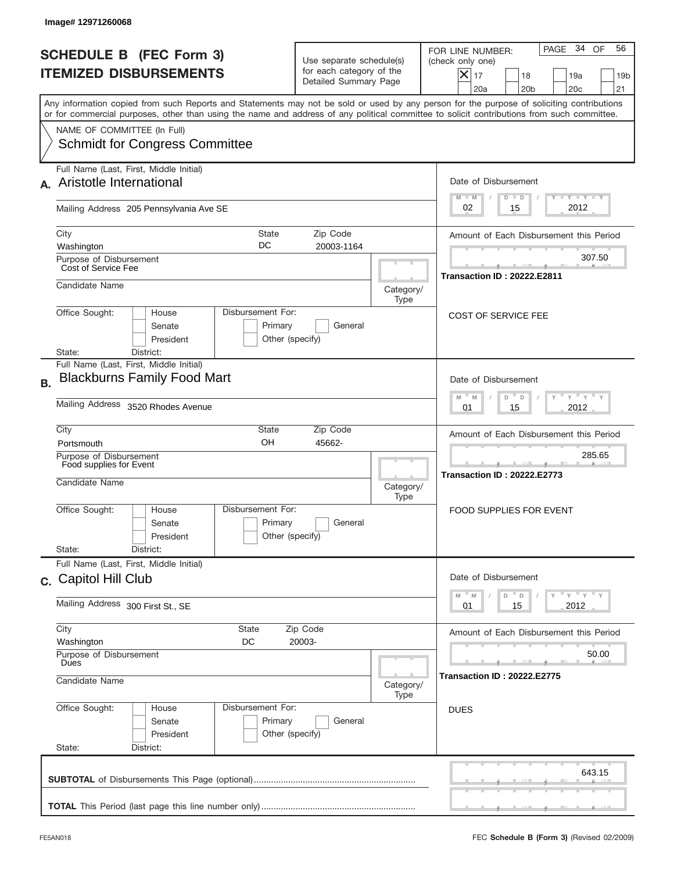|           | Image#12971260068                                                                                                                                                                                                                                                                       |                                                                                                       |                                              |                                                                                                                                                               |
|-----------|-----------------------------------------------------------------------------------------------------------------------------------------------------------------------------------------------------------------------------------------------------------------------------------------|-------------------------------------------------------------------------------------------------------|----------------------------------------------|---------------------------------------------------------------------------------------------------------------------------------------------------------------|
|           | <b>SCHEDULE B (FEC Form 3)</b><br><b>ITEMIZED DISBURSEMENTS</b>                                                                                                                                                                                                                         | Use separate schedule(s)<br>for each category of the<br>Detailed Summary Page                         |                                              | PAGE 34 OF<br>56<br>FOR LINE NUMBER:<br>(check only one)<br>$\times$<br>17<br>18<br>19a<br>19 <sub>b</sub><br>20a<br>20 <sub>b</sub><br>20 <sub>c</sub><br>21 |
|           | Any information copied from such Reports and Statements may not be sold or used by any person for the purpose of soliciting contributions<br>or for commercial purposes, other than using the name and address of any political committee to solicit contributions from such committee. |                                                                                                       |                                              |                                                                                                                                                               |
|           | NAME OF COMMITTEE (In Full)<br><b>Schmidt for Congress Committee</b>                                                                                                                                                                                                                    |                                                                                                       |                                              |                                                                                                                                                               |
|           | Full Name (Last, First, Middle Initial)<br>Aristotle International                                                                                                                                                                                                                      |                                                                                                       |                                              | Date of Disbursement<br>$T$ $Y$ $Y$ $Y$ $Y$<br>$M - M$<br>$D$ $D$                                                                                             |
|           | Mailing Address 205 Pennsylvania Ave SE                                                                                                                                                                                                                                                 |                                                                                                       |                                              | 2012<br>02<br>15                                                                                                                                              |
|           | City<br><b>State</b><br>DC<br>Washington                                                                                                                                                                                                                                                | Zip Code<br>20003-1164                                                                                |                                              | Amount of Each Disbursement this Period                                                                                                                       |
|           | Purpose of Disbursement<br>Cost of Service Fee                                                                                                                                                                                                                                          |                                                                                                       |                                              | 307.50<br><b>Transaction ID: 20222.E2811</b>                                                                                                                  |
|           | Candidate Name                                                                                                                                                                                                                                                                          |                                                                                                       | Category/<br>Type                            |                                                                                                                                                               |
|           | Disbursement For:<br>Office Sought:<br>House<br>Primary<br>Senate<br>President<br>Other (specify)<br>District:<br>State:                                                                                                                                                                | General                                                                                               |                                              | <b>COST OF SERVICE FEE</b>                                                                                                                                    |
| <b>B.</b> | Full Name (Last, First, Middle Initial)<br><b>Blackburns Family Food Mart</b>                                                                                                                                                                                                           | Date of Disbursement<br>$\cdots$ $\gamma$ $\cdots$ $\gamma$ $\cdots$ $\gamma$<br>M<br>$D =$<br>M<br>D |                                              |                                                                                                                                                               |
|           | Mailing Address 3520 Rhodes Avenue                                                                                                                                                                                                                                                      | 2012<br>01<br>15                                                                                      |                                              |                                                                                                                                                               |
|           | City<br>State<br>OH<br>Portsmouth                                                                                                                                                                                                                                                       | Zip Code<br>45662-                                                                                    |                                              | Amount of Each Disbursement this Period                                                                                                                       |
|           | Purpose of Disbursement<br>Food supplies for Event<br>Candidate Name                                                                                                                                                                                                                    | Category/<br>Type                                                                                     | 285.65<br><b>Transaction ID: 20222.E2773</b> |                                                                                                                                                               |
|           | Disbursement For:<br>Office Sought:<br>House<br>Primary<br>Senate<br>Other (specify)<br>President<br>State:<br>District:                                                                                                                                                                | General                                                                                               |                                              | FOOD SUPPLIES FOR EVENT                                                                                                                                       |
|           | Full Name (Last, First, Middle Initial)<br>c. Capitol Hill Club                                                                                                                                                                                                                         |                                                                                                       |                                              | Date of Disbursement                                                                                                                                          |
|           | Mailing Address 300 First St., SE                                                                                                                                                                                                                                                       |                                                                                                       |                                              | ү "ү "ү "ү<br>M<br>$\overline{\phantom{a}}$ D<br>M<br>D<br>15<br>2012<br>01                                                                                   |
|           | City<br>State<br>DC<br>Washington                                                                                                                                                                                                                                                       | Zip Code<br>20003-                                                                                    |                                              | Amount of Each Disbursement this Period                                                                                                                       |
|           | Purpose of Disbursement<br>Dues<br>Candidate Name                                                                                                                                                                                                                                       | Category/                                                                                             | 50.00<br><b>Transaction ID: 20222.E2775</b>  |                                                                                                                                                               |
|           | Office Sought:<br>Disbursement For:<br>House<br>Primary<br>Senate<br>Other (specify)<br>President<br>State:<br>District:                                                                                                                                                                | General                                                                                               | Type                                         | <b>DUES</b>                                                                                                                                                   |
|           |                                                                                                                                                                                                                                                                                         |                                                                                                       |                                              | 643.15                                                                                                                                                        |
|           |                                                                                                                                                                                                                                                                                         |                                                                                                       |                                              |                                                                                                                                                               |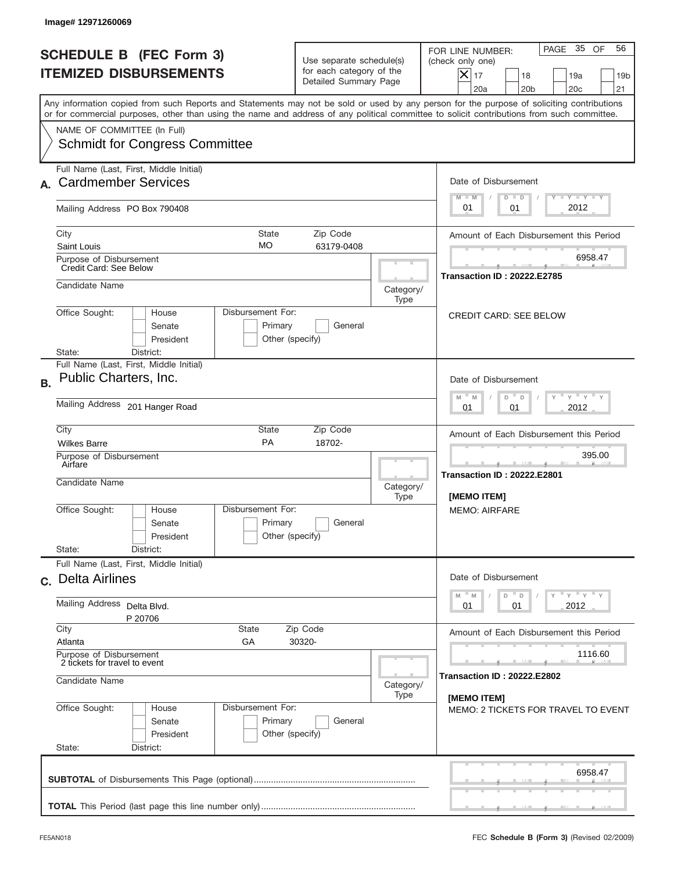|           | Image#12971260069                                                                                                                                                                                                                                                                       |                                                                                                    |                                                         |                                                                                                                                                          |
|-----------|-----------------------------------------------------------------------------------------------------------------------------------------------------------------------------------------------------------------------------------------------------------------------------------------|----------------------------------------------------------------------------------------------------|---------------------------------------------------------|----------------------------------------------------------------------------------------------------------------------------------------------------------|
|           | <b>SCHEDULE B</b> (FEC Form 3)<br><b>ITEMIZED DISBURSEMENTS</b>                                                                                                                                                                                                                         | Use separate schedule(s)<br>for each category of the<br>Detailed Summary Page                      |                                                         | PAGE 35 OF<br>56<br>FOR LINE NUMBER:<br>(check only one)<br>$X _{17}$<br>18<br>19a<br>19 <sub>b</sub><br>20a<br>20 <sub>b</sub><br>20 <sub>c</sub><br>21 |
|           | Any information copied from such Reports and Statements may not be sold or used by any person for the purpose of soliciting contributions<br>or for commercial purposes, other than using the name and address of any political committee to solicit contributions from such committee. |                                                                                                    |                                                         |                                                                                                                                                          |
|           | NAME OF COMMITTEE (In Full)<br><b>Schmidt for Congress Committee</b>                                                                                                                                                                                                                    |                                                                                                    |                                                         |                                                                                                                                                          |
|           | Full Name (Last, First, Middle Initial)<br><b>Cardmember Services</b>                                                                                                                                                                                                                   | Date of Disbursement<br>$T - Y$ $T - Y$<br>$M - M$<br>$D$ $D$                                      |                                                         |                                                                                                                                                          |
|           | Mailing Address PO Box 790408                                                                                                                                                                                                                                                           |                                                                                                    |                                                         | 2012<br>01<br>01                                                                                                                                         |
|           | City<br><b>State</b><br>MO<br>Saint Louis                                                                                                                                                                                                                                               | Zip Code<br>63179-0408                                                                             |                                                         | Amount of Each Disbursement this Period                                                                                                                  |
|           | Purpose of Disbursement<br>Credit Card: See Below                                                                                                                                                                                                                                       |                                                                                                    |                                                         | 6958.47<br><b>Transaction ID: 20222.E2785</b>                                                                                                            |
|           | Candidate Name                                                                                                                                                                                                                                                                          |                                                                                                    | Category/<br>Type                                       |                                                                                                                                                          |
|           | Disbursement For:<br>Office Sought:<br>House<br>Primary<br>Senate<br>President<br>Other (specify)<br>District:<br>State:                                                                                                                                                                | General                                                                                            |                                                         | <b>CREDIT CARD: SEE BELOW</b>                                                                                                                            |
| <b>B.</b> | Full Name (Last, First, Middle Initial)<br>Public Charters, Inc.                                                                                                                                                                                                                        | Date of Disbursement<br>$\cdots$ $\gamma$ $\cdots$ $\gamma$ $\cdots$ $\gamma$<br>$M - M$<br>D<br>D |                                                         |                                                                                                                                                          |
|           | Mailing Address 201 Hanger Road                                                                                                                                                                                                                                                         |                                                                                                    |                                                         | 2012<br>01<br>01                                                                                                                                         |
|           | City<br>State<br>PA<br><b>Wilkes Barre</b><br>Purpose of Disbursement                                                                                                                                                                                                                   | Zip Code<br>18702-                                                                                 |                                                         | Amount of Each Disbursement this Period<br>395.00                                                                                                        |
|           | Airfare<br>Candidate Name                                                                                                                                                                                                                                                               | Category/<br>Type                                                                                  | --<br><b>Transaction ID: 20222.E2801</b><br>[MEMO ITEM] |                                                                                                                                                          |
|           | Disbursement For:<br>Office Sought:<br>House<br>Primary<br>Senate<br>Other (specify)<br>President                                                                                                                                                                                       | General                                                                                            |                                                         | <b>MEMO: AIRFARE</b>                                                                                                                                     |
|           | State:<br>District:<br>Full Name (Last, First, Middle Initial)                                                                                                                                                                                                                          |                                                                                                    |                                                         |                                                                                                                                                          |
|           | c. Delta Airlines                                                                                                                                                                                                                                                                       |                                                                                                    |                                                         | Date of Disbursement                                                                                                                                     |
|           | Mailing Address<br>Delta Blvd.<br>P 20706                                                                                                                                                                                                                                               |                                                                                                    |                                                         | γ <sup>=</sup> γ <sup>=</sup> γ <sup>=</sup> γ<br>$M$ $M$<br>D<br>D<br>2012<br>01<br>01                                                                  |
|           | City<br>State<br>Atlanta<br>GА                                                                                                                                                                                                                                                          | Zip Code<br>30320-                                                                                 |                                                         | Amount of Each Disbursement this Period                                                                                                                  |
|           | Purpose of Disbursement<br>2 tickets for travel to event                                                                                                                                                                                                                                |                                                                                                    | 1116.60<br><b>Transaction ID: 20222.E2802</b>           |                                                                                                                                                          |
|           | Candidate Name                                                                                                                                                                                                                                                                          |                                                                                                    | Category/<br>Type                                       | [MEMO ITEM]                                                                                                                                              |
|           | Office Sought:<br>Disbursement For:<br>House<br>Primary<br>Senate<br>President<br>Other (specify)<br>State:<br>District:                                                                                                                                                                | General                                                                                            |                                                         | MEMO: 2 TICKETS FOR TRAVEL TO EVENT                                                                                                                      |
|           |                                                                                                                                                                                                                                                                                         |                                                                                                    |                                                         | 6958.47                                                                                                                                                  |
|           |                                                                                                                                                                                                                                                                                         |                                                                                                    |                                                         |                                                                                                                                                          |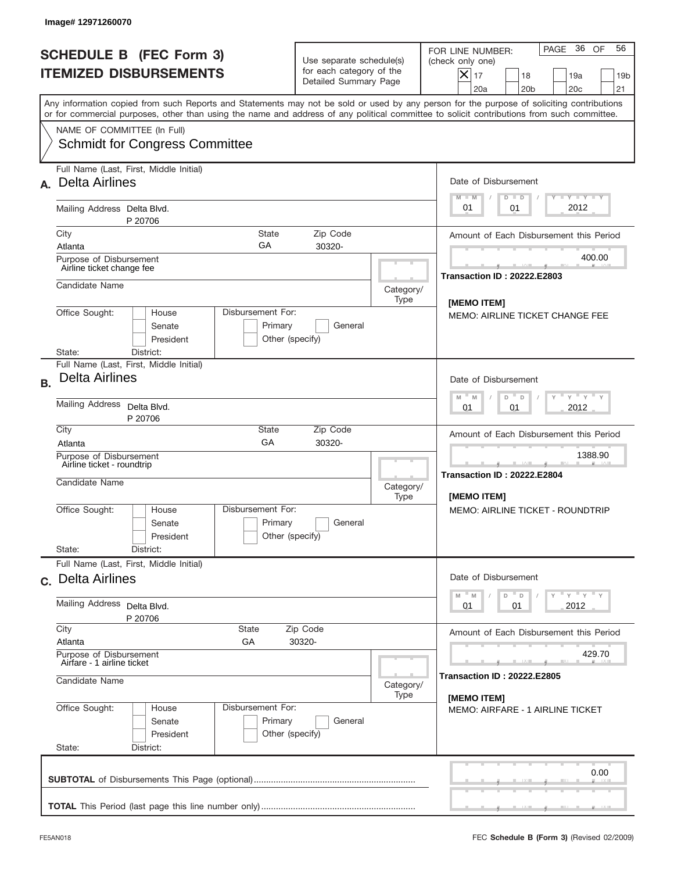|           | Image# 12971260070                                                                                                                                                                                                                                                                                                     |                                                                            |                                                                               |                   |                                                                                                                                                          |  |
|-----------|------------------------------------------------------------------------------------------------------------------------------------------------------------------------------------------------------------------------------------------------------------------------------------------------------------------------|----------------------------------------------------------------------------|-------------------------------------------------------------------------------|-------------------|----------------------------------------------------------------------------------------------------------------------------------------------------------|--|
|           | <b>SCHEDULE B (FEC Form 3)</b><br><b>ITEMIZED DISBURSEMENTS</b>                                                                                                                                                                                                                                                        |                                                                            | Use separate schedule(s)<br>for each category of the<br>Detailed Summary Page |                   | PAGE 36 OF<br>56<br>FOR LINE NUMBER:<br>(check only one)<br>$X _{17}$<br>18<br>19a<br>19 <sub>b</sub><br>20a<br>20 <sub>b</sub><br>20 <sub>c</sub><br>21 |  |
|           | Any information copied from such Reports and Statements may not be sold or used by any person for the purpose of soliciting contributions<br>or for commercial purposes, other than using the name and address of any political committee to solicit contributions from such committee.<br>NAME OF COMMITTEE (In Full) |                                                                            |                                                                               |                   |                                                                                                                                                          |  |
|           | <b>Schmidt for Congress Committee</b>                                                                                                                                                                                                                                                                                  |                                                                            |                                                                               |                   |                                                                                                                                                          |  |
| А.        | Full Name (Last, First, Middle Initial)<br><b>Delta Airlines</b>                                                                                                                                                                                                                                                       |                                                                            |                                                                               |                   | Date of Disbursement<br>Y LY LY LY<br>$M - M$<br>$D$ $D$                                                                                                 |  |
|           | Mailing Address Delta Blvd.<br>P 20706                                                                                                                                                                                                                                                                                 | 2012<br>01<br>01                                                           |                                                                               |                   |                                                                                                                                                          |  |
|           | City<br><b>State</b><br>GA<br>Atlanta                                                                                                                                                                                                                                                                                  |                                                                            | Zip Code<br>30320-                                                            |                   | Amount of Each Disbursement this Period                                                                                                                  |  |
|           | Purpose of Disbursement<br>Airline ticket change fee                                                                                                                                                                                                                                                                   |                                                                            |                                                                               |                   | 400.00<br><b>Transaction ID: 20222.E2803</b>                                                                                                             |  |
|           | Candidate Name                                                                                                                                                                                                                                                                                                         |                                                                            |                                                                               | Category/<br>Type | [MEMO ITEM]                                                                                                                                              |  |
|           | Disbursement For:<br>Office Sought:<br>House<br>Senate<br>President<br>State:<br>District:                                                                                                                                                                                                                             | Primary<br>Other (specify)                                                 | General                                                                       |                   | <b>MEMO: AIRLINE TICKET CHANGE FEE</b>                                                                                                                   |  |
| <b>B.</b> | Full Name (Last, First, Middle Initial)<br><b>Delta Airlines</b>                                                                                                                                                                                                                                                       | Date of Disbursement<br>$Y$ $Y$ $Y$ $Y$ $Y$<br>$M - M$<br>D<br>$\mathsf D$ |                                                                               |                   |                                                                                                                                                          |  |
|           | <b>Mailing Address</b><br>Delta Blvd.<br>P 20706                                                                                                                                                                                                                                                                       |                                                                            |                                                                               |                   | 2012<br>01<br>01                                                                                                                                         |  |
|           | City<br>State<br>GA<br>Atlanta                                                                                                                                                                                                                                                                                         |                                                                            | Zip Code<br>30320-                                                            |                   | Amount of Each Disbursement this Period                                                                                                                  |  |
|           | Purpose of Disbursement<br>Airline ticket - roundtrip<br>Candidate Name                                                                                                                                                                                                                                                |                                                                            | 1388.90<br><b>Transaction ID: 20222.E2804</b>                                 |                   |                                                                                                                                                          |  |
|           |                                                                                                                                                                                                                                                                                                                        |                                                                            |                                                                               | Category/<br>Type | [MEMO ITEM]                                                                                                                                              |  |
|           | Disbursement For:<br>Office Sought:<br>House<br>Senate<br>President                                                                                                                                                                                                                                                    | Primary<br>Other (specify)                                                 | General                                                                       |                   | <b>MEMO: AIRLINE TICKET - ROUNDTRIP</b>                                                                                                                  |  |
|           | State:<br>District:<br>Full Name (Last, First, Middle Initial)                                                                                                                                                                                                                                                         |                                                                            |                                                                               |                   |                                                                                                                                                          |  |
|           | c. Delta Airlines                                                                                                                                                                                                                                                                                                      |                                                                            |                                                                               |                   | Date of Disbursement<br>$\gamma$ = $\gamma$ = $\gamma$ = $\gamma$<br>M<br>D                                                                              |  |
|           | Mailing Address<br>Delta Blvd.<br>P 20706                                                                                                                                                                                                                                                                              |                                                                            |                                                                               |                   | M<br>$\mathsf D$<br>2012<br>01<br>01                                                                                                                     |  |
|           | City<br>State<br>Atlanta<br>GA                                                                                                                                                                                                                                                                                         | Zip Code<br>30320-                                                         |                                                                               |                   | Amount of Each Disbursement this Period                                                                                                                  |  |
|           | Purpose of Disbursement<br>Airfare - 1 airline ticket                                                                                                                                                                                                                                                                  |                                                                            | 429.70                                                                        |                   |                                                                                                                                                          |  |
|           | Candidate Name                                                                                                                                                                                                                                                                                                         |                                                                            |                                                                               | Category/<br>Type | <b>Transaction ID: 20222.E2805</b><br>[MEMO ITEM]                                                                                                        |  |
|           | Office Sought:<br>Disbursement For:<br>House<br>Primary<br>Senate<br>President<br>Other (specify)<br>State:<br>District:                                                                                                                                                                                               | <b>MEMO: AIRFARE - 1 AIRLINE TICKET</b>                                    |                                                                               |                   |                                                                                                                                                          |  |
|           |                                                                                                                                                                                                                                                                                                                        |                                                                            |                                                                               |                   | 0.00                                                                                                                                                     |  |
|           |                                                                                                                                                                                                                                                                                                                        |                                                                            |                                                                               |                   |                                                                                                                                                          |  |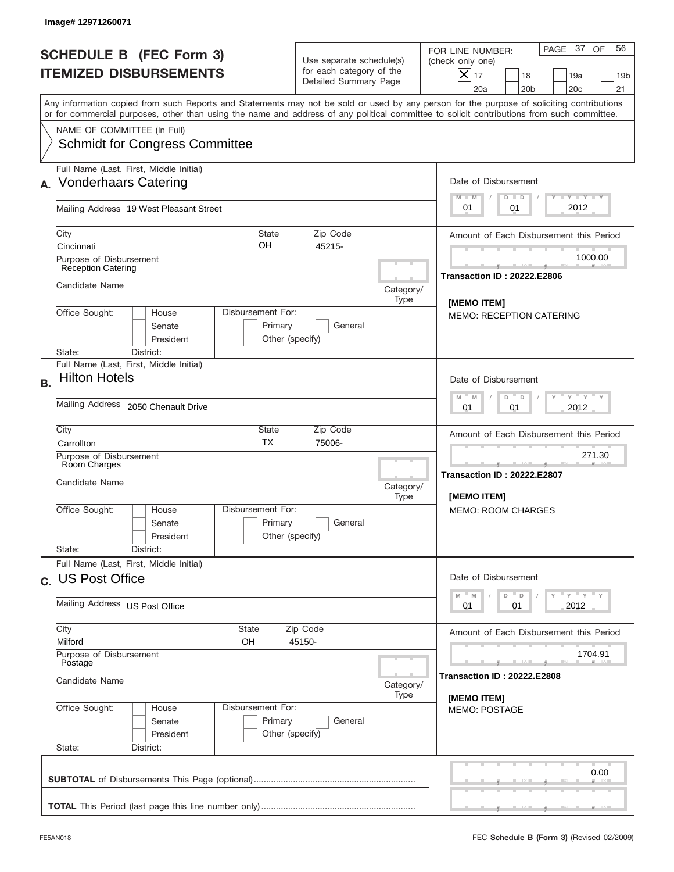| Image#12971260071                                                                                                                                                                                                                                                                       |                                                                               |                   |                                                                                                                                                                    |  |  |
|-----------------------------------------------------------------------------------------------------------------------------------------------------------------------------------------------------------------------------------------------------------------------------------------|-------------------------------------------------------------------------------|-------------------|--------------------------------------------------------------------------------------------------------------------------------------------------------------------|--|--|
| <b>SCHEDULE B (FEC Form 3)</b><br><b>ITEMIZED DISBURSEMENTS</b>                                                                                                                                                                                                                         | Use separate schedule(s)<br>for each category of the<br>Detailed Summary Page |                   | PAGE 37 OF<br>56<br>FOR LINE NUMBER:<br>(check only one)<br>$ \mathsf{X} _{17}$<br>18<br>19a<br>19 <sub>b</sub><br>20a<br>20 <sub>b</sub><br>20 <sub>c</sub><br>21 |  |  |
| Any information copied from such Reports and Statements may not be sold or used by any person for the purpose of soliciting contributions<br>or for commercial purposes, other than using the name and address of any political committee to solicit contributions from such committee. |                                                                               |                   |                                                                                                                                                                    |  |  |
| NAME OF COMMITTEE (In Full)<br><b>Schmidt for Congress Committee</b>                                                                                                                                                                                                                    |                                                                               |                   |                                                                                                                                                                    |  |  |
| Full Name (Last, First, Middle Initial)<br><b>Vonderhaars Catering</b>                                                                                                                                                                                                                  |                                                                               |                   | Date of Disbursement<br>Y TY TY TY<br>$M - M$<br>$D$ $D$                                                                                                           |  |  |
| Mailing Address 19 West Pleasant Street                                                                                                                                                                                                                                                 |                                                                               |                   | 2012<br>01<br>01                                                                                                                                                   |  |  |
| City<br><b>State</b><br>OH<br>Cincinnati                                                                                                                                                                                                                                                | Zip Code<br>45215-                                                            |                   | Amount of Each Disbursement this Period                                                                                                                            |  |  |
| Purpose of Disbursement<br><b>Reception Catering</b>                                                                                                                                                                                                                                    | 1000.00<br><b>Transaction ID: 20222.E2806</b>                                 |                   |                                                                                                                                                                    |  |  |
| Candidate Name                                                                                                                                                                                                                                                                          |                                                                               | Category/<br>Type | [MEMO ITEM]                                                                                                                                                        |  |  |
| Disbursement For:<br>Office Sought:<br>House<br>Senate<br>Primary<br>President                                                                                                                                                                                                          | General<br>Other (specify)                                                    |                   | <b>MEMO: RECEPTION CATERING</b>                                                                                                                                    |  |  |
| District:<br>State:<br>Full Name (Last, First, Middle Initial)                                                                                                                                                                                                                          |                                                                               |                   |                                                                                                                                                                    |  |  |
| <b>Hilton Hotels</b><br><b>B.</b><br>Mailing Address 2050 Chenault Drive                                                                                                                                                                                                                |                                                                               |                   | Date of Disbursement<br>$\cdots$ $\gamma$ $\cdots$ $\gamma$ $\cdots$ $\gamma$<br>$M - M$<br>D<br>D<br>2012<br>01<br>01                                             |  |  |
| City<br>State<br><b>TX</b><br>Carrollton                                                                                                                                                                                                                                                | Zip Code<br>75006-                                                            |                   | Amount of Each Disbursement this Period                                                                                                                            |  |  |
| Purpose of Disbursement<br>Room Charges<br>Candidate Name                                                                                                                                                                                                                               |                                                                               |                   | 271.30<br><b>Transaction ID: 20222.E2807</b><br><b>IMEMO ITEMI</b>                                                                                                 |  |  |
| Disbursement For:<br>Office Sought:<br>House<br>Primary<br>Senate<br>President<br>State:<br>District:                                                                                                                                                                                   | General<br>Other (specify)                                                    | Type              | <b>MEMO: ROOM CHARGES</b>                                                                                                                                          |  |  |
| Full Name (Last, First, Middle Initial)<br>c. US Post Office                                                                                                                                                                                                                            |                                                                               |                   | Date of Disbursement                                                                                                                                               |  |  |
| Mailing Address US Post Office                                                                                                                                                                                                                                                          |                                                                               |                   | $\gamma$ = $\gamma$ = $\gamma$ = $\gamma$<br>$-M$<br>D<br>M<br>$\mathsf D$<br>2012<br>01<br>01                                                                     |  |  |
| City<br>State<br>Milford<br>OН                                                                                                                                                                                                                                                          | Zip Code<br>45150-                                                            |                   |                                                                                                                                                                    |  |  |
| Purpose of Disbursement<br>Postage                                                                                                                                                                                                                                                      | 1704.91<br>Transaction ID : 20222.E2808                                       |                   |                                                                                                                                                                    |  |  |
| Candidate Name                                                                                                                                                                                                                                                                          | Category/<br>Type                                                             | [MEMO ITEM]       |                                                                                                                                                                    |  |  |
| Disbursement For:<br>Office Sought:<br>House<br>Primary<br>Senate<br>President<br>State:<br>District:                                                                                                                                                                                   | General<br>Other (specify)                                                    |                   | <b>MEMO: POSTAGE</b>                                                                                                                                               |  |  |
|                                                                                                                                                                                                                                                                                         |                                                                               |                   | 0.00                                                                                                                                                               |  |  |
|                                                                                                                                                                                                                                                                                         |                                                                               |                   |                                                                                                                                                                    |  |  |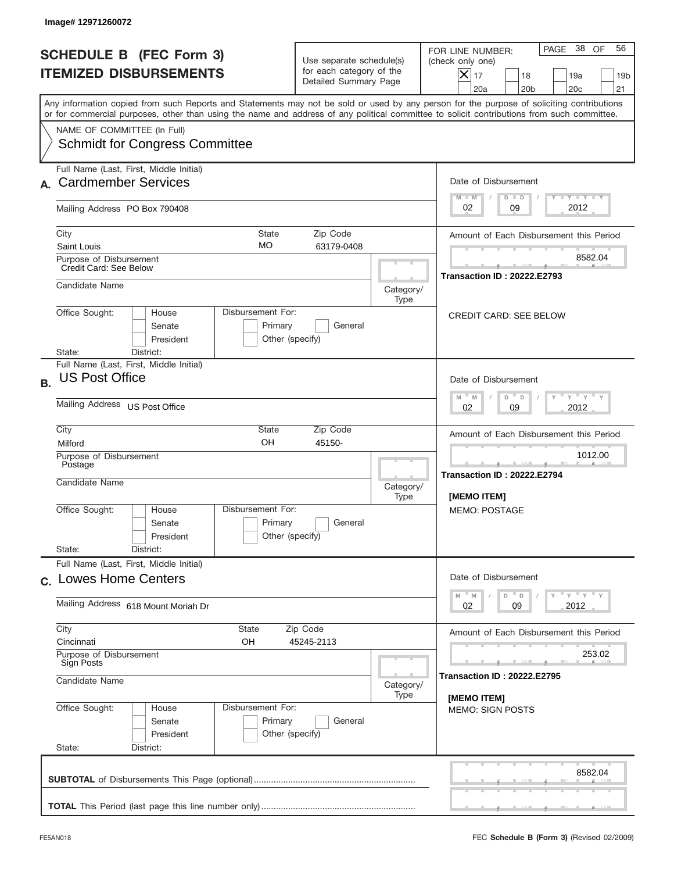|           | Image# 12971260072                                                                                                                                                                                                                                                                      |                                                                               |                   |                                                                                                                                                        |
|-----------|-----------------------------------------------------------------------------------------------------------------------------------------------------------------------------------------------------------------------------------------------------------------------------------------|-------------------------------------------------------------------------------|-------------------|--------------------------------------------------------------------------------------------------------------------------------------------------------|
|           | <b>SCHEDULE B (FEC Form 3)</b><br><b>ITEMIZED DISBURSEMENTS</b>                                                                                                                                                                                                                         | Use separate schedule(s)<br>for each category of the<br>Detailed Summary Page |                   | PAGE 38 OF<br>56<br>FOR LINE NUMBER:<br>(check only one)<br>$ \mathsf{X} _{17}$<br>18<br>19a<br>19 <sub>b</sub><br>20a<br>20 <sub>b</sub><br>20c<br>21 |
|           | Any information copied from such Reports and Statements may not be sold or used by any person for the purpose of soliciting contributions<br>or for commercial purposes, other than using the name and address of any political committee to solicit contributions from such committee. |                                                                               |                   |                                                                                                                                                        |
|           | NAME OF COMMITTEE (In Full)<br><b>Schmidt for Congress Committee</b>                                                                                                                                                                                                                    |                                                                               |                   |                                                                                                                                                        |
|           | Full Name (Last, First, Middle Initial)<br><b>Cardmember Services</b>                                                                                                                                                                                                                   |                                                                               |                   | Date of Disbursement<br>Y TY TY TY<br>$M - M$<br>$D$ $D$                                                                                               |
|           | Mailing Address PO Box 790408                                                                                                                                                                                                                                                           |                                                                               |                   | 2012<br>02<br>09                                                                                                                                       |
|           | City<br><b>State</b><br>MO<br>Saint Louis                                                                                                                                                                                                                                               | Zip Code<br>63179-0408                                                        |                   | Amount of Each Disbursement this Period                                                                                                                |
|           | Purpose of Disbursement<br>Credit Card: See Below                                                                                                                                                                                                                                       |                                                                               |                   | 8582.04<br><b>Transaction ID: 20222.E2793</b>                                                                                                          |
|           | Candidate Name                                                                                                                                                                                                                                                                          |                                                                               | Category/<br>Type |                                                                                                                                                        |
|           | Disbursement For:<br>Office Sought:<br>House<br>Senate<br>Primary<br>President<br>Other (specify)<br>District:<br>State:                                                                                                                                                                | General                                                                       |                   | <b>CREDIT CARD: SEE BELOW</b>                                                                                                                          |
| <b>B.</b> | Full Name (Last, First, Middle Initial)<br><b>US Post Office</b><br>Mailing Address US Post Office                                                                                                                                                                                      |                                                                               |                   | Date of Disbursement<br>$Y$ $Y$ $Y$ $Y$ $Y$<br>$M - M$<br>D<br>$\Box$<br>2012<br>02<br>09                                                              |
|           | City<br>State<br>OH<br>Milford                                                                                                                                                                                                                                                          | Zip Code<br>45150-                                                            |                   | Amount of Each Disbursement this Period                                                                                                                |
|           | Purpose of Disbursement<br>Postage<br>Candidate Name                                                                                                                                                                                                                                    |                                                                               | Category/<br>Type | 1012.00<br><b>Transaction ID: 20222.E2794</b><br>[MEMO ITEM]                                                                                           |
|           | Disbursement For:<br>Office Sought:<br>House<br>Primary<br>Senate<br>Other (specify)<br>President<br>State:<br>District:                                                                                                                                                                | General                                                                       |                   | <b>MEMO: POSTAGE</b>                                                                                                                                   |
|           | Full Name (Last, First, Middle Initial)<br>c. Lowes Home Centers                                                                                                                                                                                                                        |                                                                               |                   | Date of Disbursement                                                                                                                                   |
|           | Mailing Address 618 Mount Moriah Dr                                                                                                                                                                                                                                                     |                                                                               |                   | ү" ү" ү" ү<br>$-M$<br>$\mathbb M$<br>D<br>D<br>02<br>2012<br>09                                                                                        |
|           | City<br>State<br>Cincinnati<br>OH<br>Purpose of Disbursement<br>Sign Posts                                                                                                                                                                                                              | Zip Code<br>45245-2113                                                        |                   | Amount of Each Disbursement this Period<br>253.02                                                                                                      |
|           | Candidate Name                                                                                                                                                                                                                                                                          |                                                                               | Category/<br>Type | <b>Transaction ID: 20222.E2795</b><br>[MEMO ITEM]                                                                                                      |
|           | Office Sought:<br>Disbursement For:<br>House<br>Primary<br>Senate<br>President<br>Other (specify)<br>State:<br>District:                                                                                                                                                                | General                                                                       |                   | <b>MEMO: SIGN POSTS</b>                                                                                                                                |
|           |                                                                                                                                                                                                                                                                                         |                                                                               |                   | 8582.04                                                                                                                                                |
|           |                                                                                                                                                                                                                                                                                         |                                                                               |                   |                                                                                                                                                        |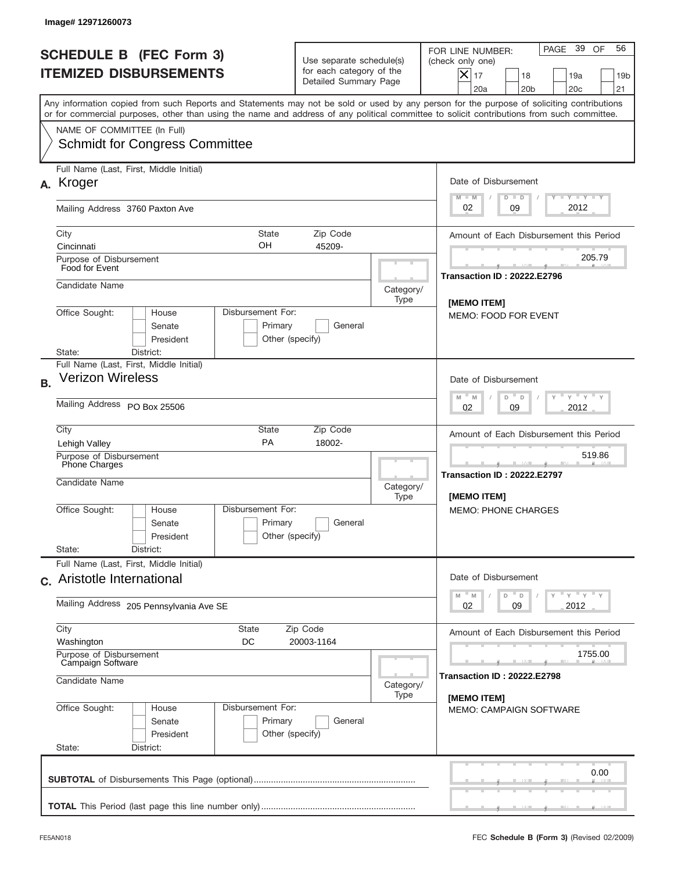| Image#12971260073                                                               |                                                                                 |                                                                               |                   |                                                                                                                                                                                                                                                                                         |  |
|---------------------------------------------------------------------------------|---------------------------------------------------------------------------------|-------------------------------------------------------------------------------|-------------------|-----------------------------------------------------------------------------------------------------------------------------------------------------------------------------------------------------------------------------------------------------------------------------------------|--|
| <b>SCHEDULE B (FEC Form 3)</b><br><b>ITEMIZED DISBURSEMENTS</b>                 |                                                                                 | Use separate schedule(s)<br>for each category of the<br>Detailed Summary Page |                   | PAGE 39 OF<br>56<br>FOR LINE NUMBER:<br>(check only one)<br>$X _{17}$<br>18<br>19a<br>19 <sub>b</sub><br>20a<br>20 <sub>b</sub><br>20 <sub>c</sub><br>21                                                                                                                                |  |
|                                                                                 |                                                                                 |                                                                               |                   | Any information copied from such Reports and Statements may not be sold or used by any person for the purpose of soliciting contributions<br>or for commercial purposes, other than using the name and address of any political committee to solicit contributions from such committee. |  |
| NAME OF COMMITTEE (In Full)                                                     | <b>Schmidt for Congress Committee</b>                                           |                                                                               |                   |                                                                                                                                                                                                                                                                                         |  |
| Full Name (Last, First, Middle Initial)<br>Kroger<br>А.                         |                                                                                 |                                                                               |                   | Date of Disbursement                                                                                                                                                                                                                                                                    |  |
| Mailing Address 3760 Paxton Ave                                                 |                                                                                 |                                                                               |                   | Y LY LY LY<br>$M - M$<br>$D$ $D$<br>2012<br>02<br>09                                                                                                                                                                                                                                    |  |
| City<br>Cincinnati                                                              | <b>State</b><br>OН                                                              | Zip Code<br>45209-                                                            |                   | Amount of Each Disbursement this Period                                                                                                                                                                                                                                                 |  |
| Purpose of Disbursement<br>Food for Event                                       |                                                                                 |                                                                               |                   | 205.79<br><b>Transaction ID: 20222.E2796</b>                                                                                                                                                                                                                                            |  |
| Candidate Name                                                                  |                                                                                 |                                                                               | Category/<br>Type | [MEMO ITEM]                                                                                                                                                                                                                                                                             |  |
| Office Sought:<br>State:<br>District:                                           | Disbursement For:<br>House<br>Senate<br>Primary<br>President<br>Other (specify) | General                                                                       |                   | <b>MEMO: FOOD FOR EVENT</b>                                                                                                                                                                                                                                                             |  |
| Full Name (Last, First, Middle Initial)<br><b>Verizon Wireless</b><br><b>B.</b> |                                                                                 |                                                                               |                   | Date of Disbursement                                                                                                                                                                                                                                                                    |  |
| Mailing Address PO Box 25506                                                    |                                                                                 | $Y$ $Y$ $Y$ $Y$ $Y$<br>$M - M$<br>D<br>D<br>2012<br>02<br>09                  |                   |                                                                                                                                                                                                                                                                                         |  |
| City<br>Lehigh Valley                                                           | State<br>PA                                                                     | Zip Code<br>18002-                                                            |                   | Amount of Each Disbursement this Period                                                                                                                                                                                                                                                 |  |
| Purpose of Disbursement<br>Phone Charges<br>Candidate Name                      |                                                                                 |                                                                               | Category/         | 519.86<br><b>Transaction ID: 20222.E2797</b><br>[MEMO ITEM]                                                                                                                                                                                                                             |  |
| Office Sought:<br>State:<br>District:                                           | Disbursement For:<br>House<br>Primary<br>Senate<br>Other (specify)<br>President | General                                                                       | Type              | <b>MEMO: PHONE CHARGES</b>                                                                                                                                                                                                                                                              |  |
| Full Name (Last, First, Middle Initial)<br>c. Aristotle International           |                                                                                 |                                                                               |                   | Date of Disbursement                                                                                                                                                                                                                                                                    |  |
| Mailing Address 205 Pennsylvania Ave SE                                         |                                                                                 |                                                                               |                   | $\mathbb{F}$ $\mathsf{y}$ $\mathbb{F}$ $\mathsf{y}$ $\mathbb{F}$ $\mathsf{y}$<br>M<br>$\mathbb M$<br>D<br>D<br>02<br>09<br>2012                                                                                                                                                         |  |
| City<br>Washington                                                              | State<br>DC                                                                     | Zip Code<br>20003-1164                                                        |                   | Amount of Each Disbursement this Period                                                                                                                                                                                                                                                 |  |
| Purpose of Disbursement<br>Campaign Software<br>Candidate Name                  |                                                                                 |                                                                               | Category/         | 1755.00<br><b>Transaction ID: 20222.E2798</b>                                                                                                                                                                                                                                           |  |
| Office Sought:<br>State:<br>District:                                           | Disbursement For:<br>House<br>Primary<br>Senate<br>President<br>Other (specify) | General                                                                       | Type              | [MEMO ITEM]<br><b>MEMO: CAMPAIGN SOFTWARE</b>                                                                                                                                                                                                                                           |  |
|                                                                                 |                                                                                 |                                                                               |                   | 0.00                                                                                                                                                                                                                                                                                    |  |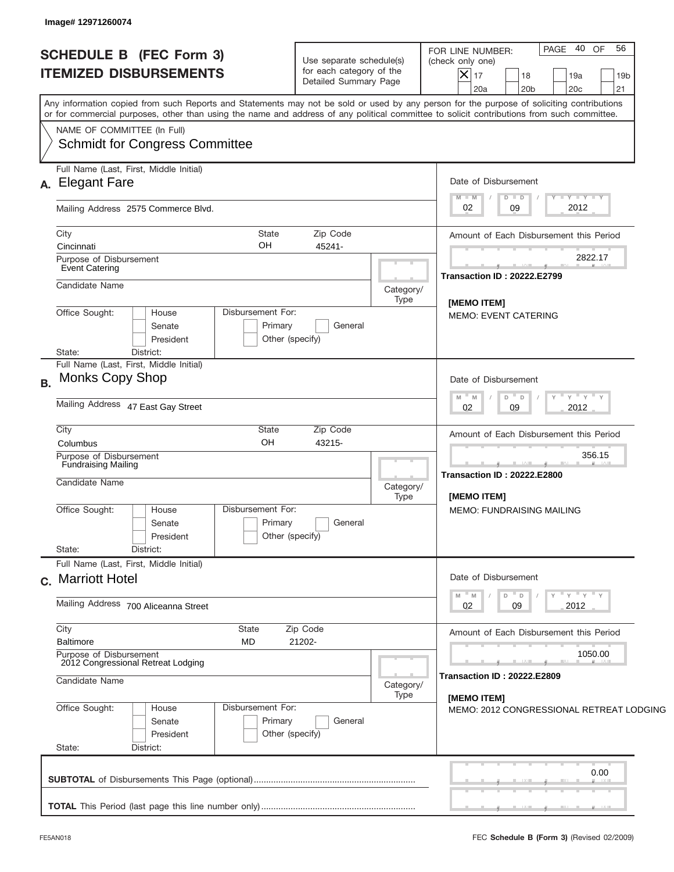| <b>SCHEDULE B</b> (FEC Form 3)<br><b>ITEMIZED DISBURSEMENTS</b>                                                                                                                                                                                                                                                        | Use separate schedule(s)<br>for each category of the<br>Detailed Summary Page                  | 40 OF<br>56<br><b>PAGE</b><br>FOR LINE NUMBER:<br>(check only one)<br>$\overline{\mathsf{x}}$ 17<br>18<br>19a<br>19 <sub>b</sub><br>21<br>20a<br>20 <sub>b</sub><br>20c |  |  |  |  |
|------------------------------------------------------------------------------------------------------------------------------------------------------------------------------------------------------------------------------------------------------------------------------------------------------------------------|------------------------------------------------------------------------------------------------|-------------------------------------------------------------------------------------------------------------------------------------------------------------------------|--|--|--|--|
| Any information copied from such Reports and Statements may not be sold or used by any person for the purpose of soliciting contributions<br>or for commercial purposes, other than using the name and address of any political committee to solicit contributions from such committee.<br>NAME OF COMMITTEE (In Full) |                                                                                                |                                                                                                                                                                         |  |  |  |  |
| <b>Schmidt for Congress Committee</b>                                                                                                                                                                                                                                                                                  |                                                                                                |                                                                                                                                                                         |  |  |  |  |
| Full Name (Last, First, Middle Initial)<br>A. Elegant Fare                                                                                                                                                                                                                                                             |                                                                                                |                                                                                                                                                                         |  |  |  |  |
| Mailing Address 2575 Commerce Blvd.                                                                                                                                                                                                                                                                                    |                                                                                                | Y TY TY TY<br>$M - M$<br>$D$ $D$<br>2012<br>09<br>02                                                                                                                    |  |  |  |  |
| City<br>State<br>OH.<br>Cincinnati                                                                                                                                                                                                                                                                                     | Zip Code<br>45241-                                                                             | Amount of Each Disbursement this Period                                                                                                                                 |  |  |  |  |
| Purpose of Disbursement<br>Event Catering                                                                                                                                                                                                                                                                              |                                                                                                | 2822.17<br><b>Transaction ID: 20222.E2799</b>                                                                                                                           |  |  |  |  |
| Candidate Name                                                                                                                                                                                                                                                                                                         | Category/<br>Type                                                                              |                                                                                                                                                                         |  |  |  |  |
| Office Sought:<br>Disbursement For:<br>House<br>Primary<br>Senate<br>President<br>Other (specify)<br>State:<br>District:                                                                                                                                                                                               | [MEMO ITEM]<br><b>MEMO: EVENT CATERING</b>                                                     |                                                                                                                                                                         |  |  |  |  |
| Full Name (Last, First, Middle Initial)<br><b>Monks Copy Shop</b><br><b>B.</b>                                                                                                                                                                                                                                         | Date of Disbursement                                                                           |                                                                                                                                                                         |  |  |  |  |
| Mailing Address 47 East Gay Street                                                                                                                                                                                                                                                                                     | " γ " γ " γ<br>$- M$<br>D<br>M<br>D<br>09<br>2012<br>02                                        |                                                                                                                                                                         |  |  |  |  |
| City<br>State<br>OH<br>Columbus                                                                                                                                                                                                                                                                                        | Zip Code<br>43215-                                                                             |                                                                                                                                                                         |  |  |  |  |
| Purpose of Disbursement<br><b>Fundraising Mailing</b><br>Candidate Name                                                                                                                                                                                                                                                |                                                                                                | 356.15<br>__<br><b>Transaction ID: 20222.E2800</b>                                                                                                                      |  |  |  |  |
| Disbursement For:                                                                                                                                                                                                                                                                                                      | Category/<br>Type                                                                              | [MEMO ITEM]                                                                                                                                                             |  |  |  |  |
| Office Sought:<br>House<br>Primary<br>Senate<br>Other (specify)<br>President                                                                                                                                                                                                                                           | General                                                                                        | <b>MEMO: FUNDRAISING MAILING</b>                                                                                                                                        |  |  |  |  |
| State:<br>District:<br>Full Name (Last, First, Middle Initial)                                                                                                                                                                                                                                                         |                                                                                                |                                                                                                                                                                         |  |  |  |  |
| c. Marriott Hotel                                                                                                                                                                                                                                                                                                      | Date of Disbursement<br>$\mathsf{Y} \mathsf{Y} \mathsf{Y} \mathsf{Y}$<br>D<br>M<br>M<br>$\Box$ |                                                                                                                                                                         |  |  |  |  |
| Mailing Address 700 Aliceanna Street                                                                                                                                                                                                                                                                                   | 02<br>2012<br>09                                                                               |                                                                                                                                                                         |  |  |  |  |
| City<br>State<br><b>Baltimore</b><br>MD                                                                                                                                                                                                                                                                                | Zip Code<br>21202-                                                                             | Amount of Each Disbursement this Period                                                                                                                                 |  |  |  |  |
| Purpose of Disbursement<br>2012 Congressional Retreat Lodging<br>Candidate Name                                                                                                                                                                                                                                        | Category/                                                                                      | 1050.00<br><b>Transaction ID: 20222.E2809</b>                                                                                                                           |  |  |  |  |
| Office Sought:<br>Disbursement For:<br>House                                                                                                                                                                                                                                                                           | Type                                                                                           | [MEMO ITEM]                                                                                                                                                             |  |  |  |  |
| Primary<br>Senate<br>Other (specify)<br>President<br>State:<br>District:                                                                                                                                                                                                                                               | General                                                                                        | MEMO: 2012 CONGRESSIONAL RETREAT LODGING                                                                                                                                |  |  |  |  |
|                                                                                                                                                                                                                                                                                                                        |                                                                                                | 0.00                                                                                                                                                                    |  |  |  |  |
|                                                                                                                                                                                                                                                                                                                        |                                                                                                |                                                                                                                                                                         |  |  |  |  |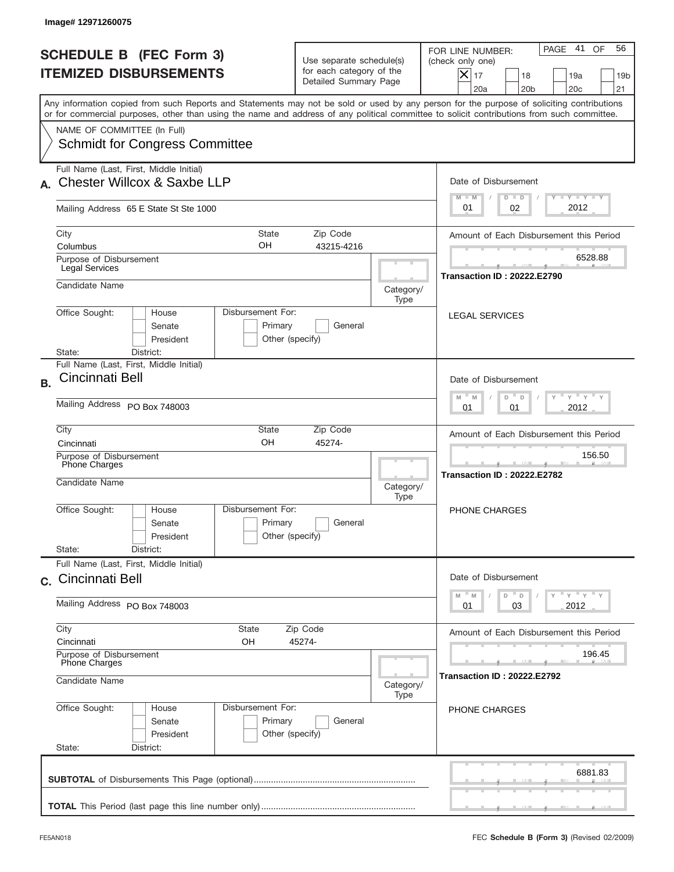| Image# 12971260075                                                                                                                                                                                                                                                                                                     |                                                                               |                                                                                                                                                              |
|------------------------------------------------------------------------------------------------------------------------------------------------------------------------------------------------------------------------------------------------------------------------------------------------------------------------|-------------------------------------------------------------------------------|--------------------------------------------------------------------------------------------------------------------------------------------------------------|
| <b>SCHEDULE B (FEC Form 3)</b><br><b>ITEMIZED DISBURSEMENTS</b>                                                                                                                                                                                                                                                        | Use separate schedule(s)<br>for each category of the<br>Detailed Summary Page | 41<br>OF<br>56<br>PAGE<br>FOR LINE NUMBER:<br>(check only one)<br>$ \mathsf{X} _{17}$<br>18<br>19a<br>19 <sub>b</sub><br>20a<br>20 <sub>b</sub><br>20c<br>21 |
| Any information copied from such Reports and Statements may not be sold or used by any person for the purpose of soliciting contributions<br>or for commercial purposes, other than using the name and address of any political committee to solicit contributions from such committee.<br>NAME OF COMMITTEE (In Full) |                                                                               |                                                                                                                                                              |
| <b>Schmidt for Congress Committee</b>                                                                                                                                                                                                                                                                                  |                                                                               |                                                                                                                                                              |
| Full Name (Last, First, Middle Initial)<br><b>Chester Willcox &amp; Saxbe LLP</b>                                                                                                                                                                                                                                      |                                                                               | Date of Disbursement<br>Y TY TY TY<br>$M - M$<br>$D$ $D$                                                                                                     |
| Mailing Address 65 E State St Ste 1000                                                                                                                                                                                                                                                                                 |                                                                               | 2012<br>02<br>01                                                                                                                                             |
| City<br><b>State</b><br>OH<br>Columbus                                                                                                                                                                                                                                                                                 | Zip Code<br>43215-4216                                                        | Amount of Each Disbursement this Period                                                                                                                      |
| Purpose of Disbursement<br>Legal Services                                                                                                                                                                                                                                                                              |                                                                               | 6528.88<br><b>Transaction ID: 20222.E2790</b>                                                                                                                |
| Candidate Name<br>Disbursement For:<br>Office Sought:<br>House                                                                                                                                                                                                                                                         |                                                                               | Category/<br>Type<br><b>LEGAL SERVICES</b>                                                                                                                   |
| Senate<br>Primary<br>President<br>District:<br>State:                                                                                                                                                                                                                                                                  | General<br>Other (specify)                                                    |                                                                                                                                                              |
| Full Name (Last, First, Middle Initial)<br>Cincinnati Bell<br>B <sub>1</sub>                                                                                                                                                                                                                                           |                                                                               | Date of Disbursement<br>$Y$ $Y$ $Y$ $Y$ $Y$<br>$M - M$<br>D<br>$\mathsf D$                                                                                   |
| Mailing Address PO Box 748003                                                                                                                                                                                                                                                                                          | 2012<br>01<br>01                                                              |                                                                                                                                                              |
| City<br>State<br>OH<br>Cincinnati                                                                                                                                                                                                                                                                                      | Zip Code<br>45274-                                                            | Amount of Each Disbursement this Period                                                                                                                      |
| Purpose of Disbursement<br>Phone Charges<br>Candidate Name                                                                                                                                                                                                                                                             |                                                                               | 156.50<br><b>Transaction ID: 20222.E2782</b><br>Category/<br>Type                                                                                            |
| Disbursement For:<br>Office Sought:<br>House<br>Primary<br>Senate<br>President                                                                                                                                                                                                                                         | General<br>Other (specify)                                                    | PHONE CHARGES                                                                                                                                                |
| State:<br>District:<br>Full Name (Last, First, Middle Initial)<br>c. Cincinnati Bell                                                                                                                                                                                                                                   |                                                                               | Date of Disbursement                                                                                                                                         |
| Mailing Address PO Box 748003                                                                                                                                                                                                                                                                                          |                                                                               | $\gamma$ = $\gamma$ = $\gamma$ = $\gamma$<br>$-M$<br>$\mathbb M$<br>D<br>D<br>03<br>2012<br>01                                                               |
| City<br>State<br>Cincinnati<br>OH                                                                                                                                                                                                                                                                                      | Zip Code<br>45274-                                                            | Amount of Each Disbursement this Period                                                                                                                      |
| Purpose of Disbursement<br>Phone Charges                                                                                                                                                                                                                                                                               |                                                                               | 196.45<br><b>Transaction ID: 20222.E2792</b>                                                                                                                 |
| Candidate Name                                                                                                                                                                                                                                                                                                         | Category/<br>Type                                                             |                                                                                                                                                              |
| Office Sought:<br>Disbursement For:<br>House<br>Primary<br>Senate<br>President<br>State:<br>District:                                                                                                                                                                                                                  | General<br>Other (specify)                                                    | <b>PHONE CHARGES</b>                                                                                                                                         |
|                                                                                                                                                                                                                                                                                                                        |                                                                               | 6881.83                                                                                                                                                      |
|                                                                                                                                                                                                                                                                                                                        |                                                                               |                                                                                                                                                              |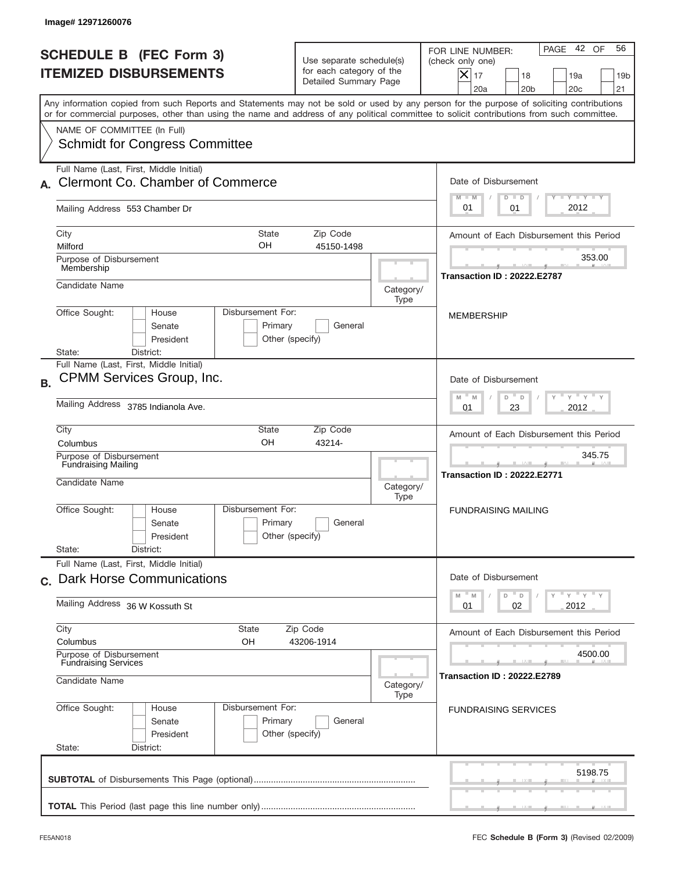|           | Image#12971260076                                                                                                                                                                                                                                                                                                      |                                                                               |                   |                                                                                                                                                                     |
|-----------|------------------------------------------------------------------------------------------------------------------------------------------------------------------------------------------------------------------------------------------------------------------------------------------------------------------------|-------------------------------------------------------------------------------|-------------------|---------------------------------------------------------------------------------------------------------------------------------------------------------------------|
|           | <b>SCHEDULE B (FEC Form 3)</b><br><b>ITEMIZED DISBURSEMENTS</b>                                                                                                                                                                                                                                                        | Use separate schedule(s)<br>for each category of the<br>Detailed Summary Page |                   | 42 OF<br>56<br>PAGE<br>FOR LINE NUMBER:<br>(check only one)<br>$ \boldsymbol{\times} $<br>17<br>18<br>19a<br>19 <sub>b</sub><br>20a<br>20 <sub>b</sub><br>20c<br>21 |
|           | Any information copied from such Reports and Statements may not be sold or used by any person for the purpose of soliciting contributions<br>or for commercial purposes, other than using the name and address of any political committee to solicit contributions from such committee.<br>NAME OF COMMITTEE (In Full) |                                                                               |                   |                                                                                                                                                                     |
|           | <b>Schmidt for Congress Committee</b>                                                                                                                                                                                                                                                                                  |                                                                               |                   |                                                                                                                                                                     |
|           | Full Name (Last, First, Middle Initial)<br><b>Clermont Co. Chamber of Commerce</b>                                                                                                                                                                                                                                     |                                                                               |                   | Date of Disbursement<br>Y TY TY TY<br>$M - M$<br>$D$ $D$                                                                                                            |
|           | Mailing Address 553 Chamber Dr                                                                                                                                                                                                                                                                                         |                                                                               |                   | 2012<br>01<br>01                                                                                                                                                    |
|           | City<br><b>State</b><br>OH<br>Milford                                                                                                                                                                                                                                                                                  | Zip Code<br>45150-1498                                                        |                   | Amount of Each Disbursement this Period                                                                                                                             |
|           | Purpose of Disbursement<br>Membership                                                                                                                                                                                                                                                                                  |                                                                               |                   | 353.00<br><b>Transaction ID: 20222.E2787</b>                                                                                                                        |
|           | Candidate Name                                                                                                                                                                                                                                                                                                         |                                                                               | Category/<br>Type |                                                                                                                                                                     |
|           | Disbursement For:<br>Office Sought:<br>House<br>Primary<br>Senate<br>President<br>Other (specify)<br>District:<br>State:                                                                                                                                                                                               | General                                                                       |                   | <b>MEMBERSHIP</b>                                                                                                                                                   |
| <b>B.</b> | Full Name (Last, First, Middle Initial)<br>CPMM Services Group, Inc.                                                                                                                                                                                                                                                   |                                                                               |                   | Date of Disbursement<br>ү " ү " ү " ү<br>$-$ M<br>M<br>D<br>D                                                                                                       |
|           | Mailing Address 3785 Indianola Ave.<br>City<br>State                                                                                                                                                                                                                                                                   | Zip Code                                                                      |                   | 2012<br>01<br>23                                                                                                                                                    |
|           | OH<br>Columbus<br>Purpose of Disbursement                                                                                                                                                                                                                                                                              | 43214-                                                                        |                   | Amount of Each Disbursement this Period<br>345.75                                                                                                                   |
|           | <b>Fundraising Mailing</b><br>Candidate Name                                                                                                                                                                                                                                                                           |                                                                               | Category/<br>Type | <b>Transaction ID: 20222.E2771</b>                                                                                                                                  |
|           | Disbursement For:<br>Office Sought:<br>House<br>Primary<br>Senate<br>Other (specify)<br>President                                                                                                                                                                                                                      | General                                                                       |                   | <b>FUNDRAISING MAILING</b>                                                                                                                                          |
|           | State:<br>District:<br>Full Name (Last, First, Middle Initial)                                                                                                                                                                                                                                                         |                                                                               |                   |                                                                                                                                                                     |
|           | c. Dark Horse Communications                                                                                                                                                                                                                                                                                           |                                                                               |                   | Date of Disbursement<br>$\gamma$ = $\gamma$ = $\gamma$ = $\gamma$<br>M<br>${\mathbb M}$<br>D<br>D                                                                   |
|           | Mailing Address 36 W Kossuth St                                                                                                                                                                                                                                                                                        |                                                                               |                   | 02<br>2012<br>01                                                                                                                                                    |
|           | City<br>State<br>Columbus<br>OН                                                                                                                                                                                                                                                                                        | Zip Code<br>43206-1914                                                        |                   | Amount of Each Disbursement this Period                                                                                                                             |
|           | Purpose of Disbursement<br><b>Fundraising Services</b><br>Candidate Name                                                                                                                                                                                                                                               |                                                                               | Category/<br>Type | 4500.00<br><b>Transaction ID : 20222.E2789</b>                                                                                                                      |
|           | Office Sought:<br>Disbursement For:<br>House<br>Primary<br>Senate<br>President<br>Other (specify)<br>State:<br>District:                                                                                                                                                                                               | General                                                                       |                   | <b>FUNDRAISING SERVICES</b>                                                                                                                                         |
|           |                                                                                                                                                                                                                                                                                                                        |                                                                               |                   | 5198.75                                                                                                                                                             |
|           |                                                                                                                                                                                                                                                                                                                        |                                                                               |                   |                                                                                                                                                                     |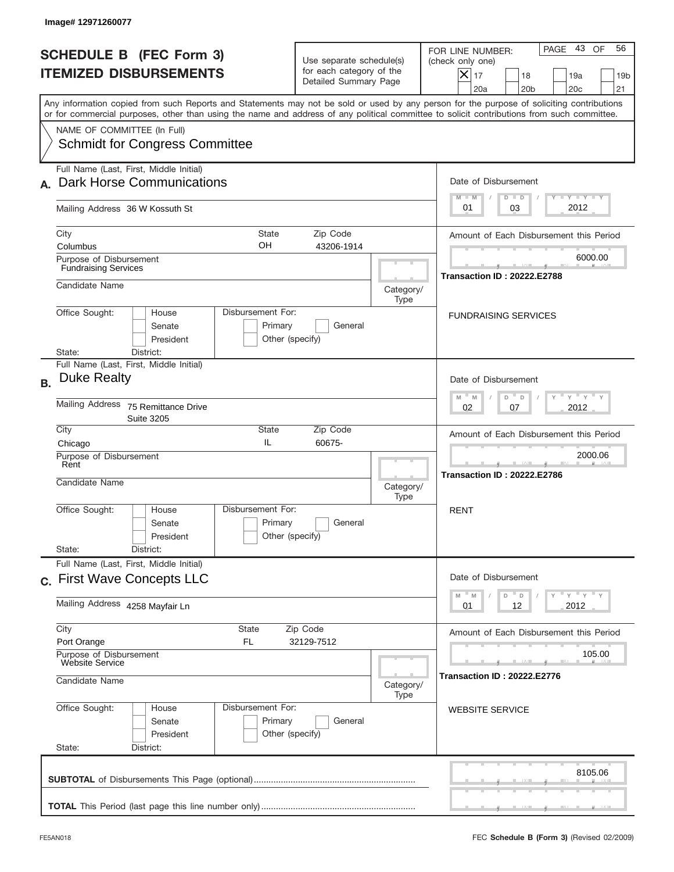|           | Image#12971260077                                                                          |                                                                             |                                                 |                                                                               |                   |                                                                                                                                                                                                                                                                                         |
|-----------|--------------------------------------------------------------------------------------------|-----------------------------------------------------------------------------|-------------------------------------------------|-------------------------------------------------------------------------------|-------------------|-----------------------------------------------------------------------------------------------------------------------------------------------------------------------------------------------------------------------------------------------------------------------------------------|
|           |                                                                                            | <b>SCHEDULE B (FEC Form 3)</b><br><b>ITEMIZED DISBURSEMENTS</b>             |                                                 | Use separate schedule(s)<br>for each category of the<br>Detailed Summary Page |                   | PAGE 43<br>OF<br>56<br>FOR LINE NUMBER:<br>(check only one)<br>$X _{17}$<br>18<br>19a<br>19 <sub>b</sub><br>20a<br>20 <sub>b</sub><br>20 <sub>c</sub><br>21                                                                                                                             |
|           |                                                                                            |                                                                             |                                                 |                                                                               |                   | Any information copied from such Reports and Statements may not be sold or used by any person for the purpose of soliciting contributions<br>or for commercial purposes, other than using the name and address of any political committee to solicit contributions from such committee. |
|           | NAME OF COMMITTEE (In Full)                                                                | <b>Schmidt for Congress Committee</b>                                       |                                                 |                                                                               |                   |                                                                                                                                                                                                                                                                                         |
|           |                                                                                            | Full Name (Last, First, Middle Initial)<br><b>Dark Horse Communications</b> |                                                 |                                                                               |                   | Date of Disbursement<br>$T - Y$ $T - Y$<br>$M - M$<br>$D$ $D$                                                                                                                                                                                                                           |
|           |                                                                                            | Mailing Address 36 W Kossuth St                                             |                                                 |                                                                               |                   | 2012<br>03<br>01                                                                                                                                                                                                                                                                        |
|           | City<br>Columbus<br>Purpose of Disbursement                                                |                                                                             | <b>State</b><br>OH.                             | Zip Code<br>43206-1914                                                        |                   | Amount of Each Disbursement this Period<br>6000.00                                                                                                                                                                                                                                      |
|           | <b>Fundraising Services</b><br>Candidate Name                                              |                                                                             |                                                 |                                                                               | Category/<br>Type | <b>Transaction ID: 20222.E2788</b>                                                                                                                                                                                                                                                      |
|           | Office Sought:<br>State:                                                                   | House<br>Senate<br>President<br>District:                                   | Disbursement For:<br>Primary<br>Other (specify) | General                                                                       |                   | <b>FUNDRAISING SERVICES</b>                                                                                                                                                                                                                                                             |
| <b>B.</b> | <b>Duke Realty</b>                                                                         | Full Name (Last, First, Middle Initial)                                     |                                                 |                                                                               |                   | Date of Disbursement                                                                                                                                                                                                                                                                    |
|           | <b>Mailing Address</b>                                                                     | 75 Remittance Drive<br><b>Suite 3205</b>                                    |                                                 |                                                                               |                   | $\cdots$ $\gamma$ $\cdots$ $\gamma$ $\cdots$ $\gamma$<br>$M - M$<br>D<br>D<br>2012<br>02<br>07                                                                                                                                                                                          |
|           | City<br>Chicago<br>Purpose of Disbursement<br>Rent<br>Candidate Name                       |                                                                             | State<br>IL                                     | Zip Code<br>60675-                                                            | Category/<br>Type | Amount of Each Disbursement this Period<br>2000.06<br><b>Transaction ID: 20222.E2786</b>                                                                                                                                                                                                |
|           | Office Sought:<br>State:                                                                   | House<br>Senate<br>President<br>District:                                   | Disbursement For:<br>Primary<br>Other (specify) | General                                                                       |                   | <b>RENT</b>                                                                                                                                                                                                                                                                             |
|           |                                                                                            | Full Name (Last, First, Middle Initial)<br>c. First Wave Concepts LLC       |                                                 |                                                                               |                   | Date of Disbursement<br>γ <sup>=</sup> γ <sup>=</sup> γ <sup>=</sup> γ<br>$M - M$<br>D<br>$\mathsf D$                                                                                                                                                                                   |
|           |                                                                                            | Mailing Address 4258 Mayfair Ln                                             |                                                 |                                                                               |                   | 12<br>2012<br>01                                                                                                                                                                                                                                                                        |
|           | City<br>Port Orange<br>Purpose of Disbursement<br><b>Website Service</b><br>Candidate Name |                                                                             | State<br>FL.                                    | Zip Code<br>32129-7512                                                        |                   | Amount of Each Disbursement this Period<br>105.00<br><b>Transaction ID: 20222.E2776</b>                                                                                                                                                                                                 |
|           | Office Sought:<br>State:                                                                   | House<br>Senate<br>President<br>District:                                   | Disbursement For:<br>Primary<br>Other (specify) | General                                                                       | Category/<br>Type | <b>WEBSITE SERVICE</b>                                                                                                                                                                                                                                                                  |
|           |                                                                                            |                                                                             |                                                 |                                                                               |                   | 8105.06                                                                                                                                                                                                                                                                                 |
|           |                                                                                            |                                                                             |                                                 |                                                                               |                   |                                                                                                                                                                                                                                                                                         |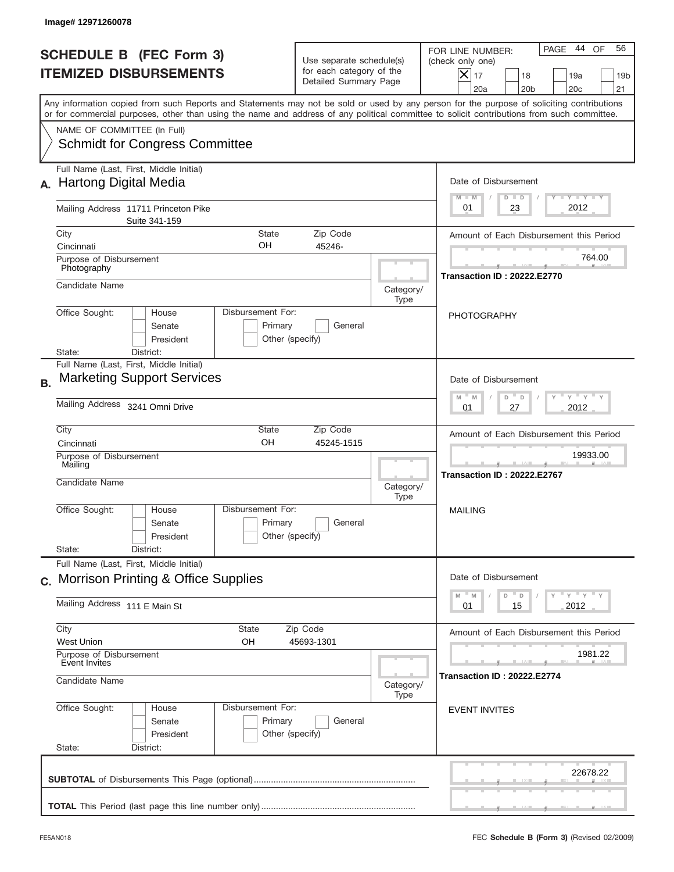|           | Image# 12971260078                                                                                                                                                                                                                                                                      |                                                                               |                   |                                                                                                                                                                     |  |
|-----------|-----------------------------------------------------------------------------------------------------------------------------------------------------------------------------------------------------------------------------------------------------------------------------------------|-------------------------------------------------------------------------------|-------------------|---------------------------------------------------------------------------------------------------------------------------------------------------------------------|--|
|           | <b>SCHEDULE B (FEC Form 3)</b><br><b>ITEMIZED DISBURSEMENTS</b>                                                                                                                                                                                                                         | Use separate schedule(s)<br>for each category of the<br>Detailed Summary Page |                   | 44<br>56<br>PAGE<br>OF<br>FOR LINE NUMBER:<br>(check only one)<br>$\times$<br>17<br>18<br>19a<br>19 <sub>b</sub><br>20a<br>20 <sub>b</sub><br>20 <sub>c</sub><br>21 |  |
|           | Any information copied from such Reports and Statements may not be sold or used by any person for the purpose of soliciting contributions<br>or for commercial purposes, other than using the name and address of any political committee to solicit contributions from such committee. |                                                                               |                   |                                                                                                                                                                     |  |
|           | NAME OF COMMITTEE (In Full)<br><b>Schmidt for Congress Committee</b>                                                                                                                                                                                                                    |                                                                               |                   |                                                                                                                                                                     |  |
|           | Full Name (Last, First, Middle Initial)<br><b>Hartong Digital Media</b>                                                                                                                                                                                                                 |                                                                               |                   | Date of Disbursement                                                                                                                                                |  |
|           | Mailing Address 11711 Princeton Pike<br>Suite 341-159                                                                                                                                                                                                                                   |                                                                               |                   | $T - Y$ $T - Y$<br>$M - M$<br>$D$ $D$<br>2012<br>01<br>23                                                                                                           |  |
|           | City<br><b>State</b>                                                                                                                                                                                                                                                                    | Zip Code                                                                      |                   | Amount of Each Disbursement this Period                                                                                                                             |  |
|           | OΗ<br>Cincinnati<br>Purpose of Disbursement<br>Photography                                                                                                                                                                                                                              | 45246-                                                                        |                   | 764.00                                                                                                                                                              |  |
|           | Candidate Name                                                                                                                                                                                                                                                                          |                                                                               | Category/<br>Type | <b>Transaction ID: 20222.E2770</b>                                                                                                                                  |  |
|           | Disbursement For:<br>Office Sought:<br>House<br>Primary<br>Senate<br>President<br>District:<br>State:                                                                                                                                                                                   | General<br>Other (specify)                                                    |                   | PHOTOGRAPHY                                                                                                                                                         |  |
| <b>B.</b> | Full Name (Last, First, Middle Initial)<br><b>Marketing Support Services</b>                                                                                                                                                                                                            |                                                                               |                   | Date of Disbursement                                                                                                                                                |  |
|           | Mailing Address 3241 Omni Drive                                                                                                                                                                                                                                                         |                                                                               |                   | $\cdots$ $\gamma$ $\cdots$ $\gamma$ $\cdots$ $\gamma$<br>$M - M$<br>D<br>D<br>2012<br>01<br>27                                                                      |  |
|           | City<br>State<br>OH<br>Cincinnati                                                                                                                                                                                                                                                       | Zip Code<br>45245-1515                                                        |                   | Amount of Each Disbursement this Period                                                                                                                             |  |
|           | Purpose of Disbursement<br>Mailing<br>Candidate Name                                                                                                                                                                                                                                    |                                                                               | Category/         | 19933.00<br>Transaction ID: 20222.E2767                                                                                                                             |  |
|           | Disbursement For:<br>Office Sought:<br>House<br>Primary<br>Senate<br>President                                                                                                                                                                                                          | General<br>Other (specify)                                                    | Type              | <b>MAILING</b>                                                                                                                                                      |  |
|           | State:<br>District:                                                                                                                                                                                                                                                                     |                                                                               |                   |                                                                                                                                                                     |  |
|           | Full Name (Last, First, Middle Initial)<br>c. Morrison Printing & Office Supplies                                                                                                                                                                                                       |                                                                               |                   | Date of Disbursement                                                                                                                                                |  |
|           | Mailing Address 111 E Main St                                                                                                                                                                                                                                                           |                                                                               |                   | γ <sup>=</sup> γ <sup>=</sup> γ <sup>=</sup> γ<br>$M - M$<br>D<br>D<br>2012<br>01<br>15                                                                             |  |
|           | City<br>State<br><b>West Union</b><br>OН                                                                                                                                                                                                                                                | Zip Code<br>45693-1301                                                        |                   | Amount of Each Disbursement this Period                                                                                                                             |  |
|           | Purpose of Disbursement<br>Event Invites                                                                                                                                                                                                                                                |                                                                               |                   | 1981.22                                                                                                                                                             |  |
|           | Candidate Name                                                                                                                                                                                                                                                                          |                                                                               | Category/<br>Type | <b>Transaction ID: 20222.E2774</b>                                                                                                                                  |  |
|           | Office Sought:<br>Disbursement For:<br>House<br>Primary<br>Senate<br>President<br>State:<br>District:                                                                                                                                                                                   | General<br>Other (specify)                                                    |                   | <b>EVENT INVITES</b>                                                                                                                                                |  |
|           |                                                                                                                                                                                                                                                                                         |                                                                               |                   | 22678.22                                                                                                                                                            |  |
|           |                                                                                                                                                                                                                                                                                         |                                                                               |                   |                                                                                                                                                                     |  |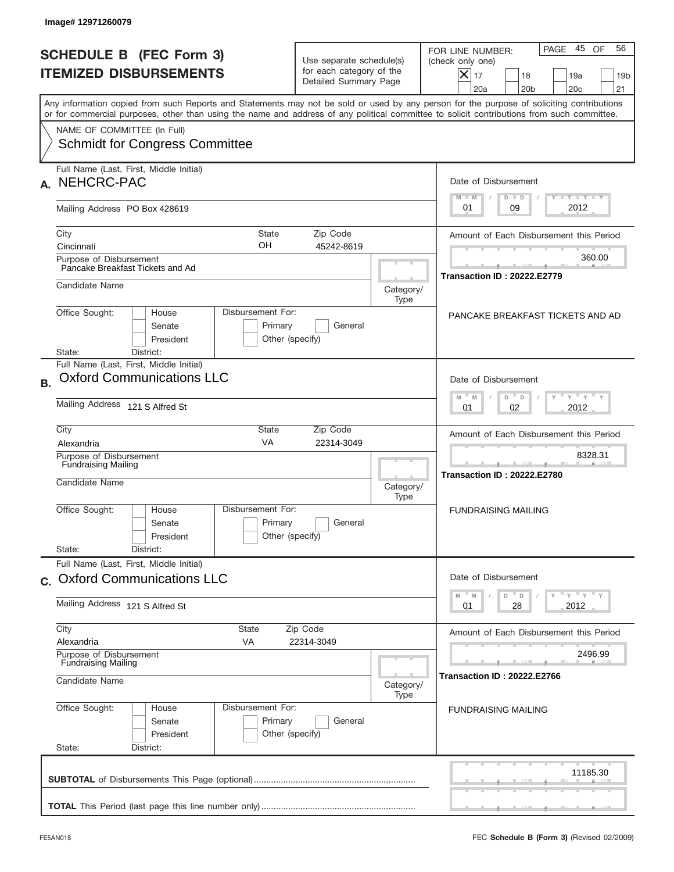|              | Image#12971260079                                                       |                                                                 |                                                 |                                                                               |                   |                                                                                                                                                                                                                                                                                         |
|--------------|-------------------------------------------------------------------------|-----------------------------------------------------------------|-------------------------------------------------|-------------------------------------------------------------------------------|-------------------|-----------------------------------------------------------------------------------------------------------------------------------------------------------------------------------------------------------------------------------------------------------------------------------------|
|              |                                                                         | <b>SCHEDULE B (FEC Form 3)</b><br><b>ITEMIZED DISBURSEMENTS</b> |                                                 | Use separate schedule(s)<br>for each category of the<br>Detailed Summary Page |                   | 45 OF<br>56<br>PAGE<br>FOR LINE NUMBER:<br>(check only one)<br>$ \mathsf{X} _{17}$<br>18<br>19a<br>19 <sub>b</sub><br>20a<br>20 <sub>b</sub><br>20 <sub>c</sub><br>21                                                                                                                   |
|              |                                                                         |                                                                 |                                                 |                                                                               |                   | Any information copied from such Reports and Statements may not be sold or used by any person for the purpose of soliciting contributions<br>or for commercial purposes, other than using the name and address of any political committee to solicit contributions from such committee. |
|              | NAME OF COMMITTEE (In Full)                                             | <b>Schmidt for Congress Committee</b>                           |                                                 |                                                                               |                   |                                                                                                                                                                                                                                                                                         |
| $\mathbf{A}$ | Full Name (Last, First, Middle Initial)<br>NEHCRC-PAC                   |                                                                 |                                                 |                                                                               |                   | Date of Disbursement<br>Y TY TY TY                                                                                                                                                                                                                                                      |
|              | Mailing Address PO Box 428619                                           |                                                                 |                                                 |                                                                               |                   | $M - M$<br>$D$ $D$<br>2012<br>09<br>01                                                                                                                                                                                                                                                  |
| City         | Cincinnati                                                              |                                                                 | <b>State</b><br>OH                              | Zip Code<br>45242-8619                                                        |                   | Amount of Each Disbursement this Period                                                                                                                                                                                                                                                 |
|              | Purpose of Disbursement<br>Pancake Breakfast Tickets and Ad             |                                                                 |                                                 |                                                                               |                   | 360.00<br><b>Transaction ID: 20222.E2779</b>                                                                                                                                                                                                                                            |
|              | Candidate Name                                                          |                                                                 |                                                 |                                                                               | Category/<br>Type |                                                                                                                                                                                                                                                                                         |
| State:       | Office Sought:                                                          | House<br>Senate<br>President<br>District:                       | Disbursement For:<br>Primary<br>Other (specify) | General                                                                       |                   | PANCAKE BREAKFAST TICKETS AND AD                                                                                                                                                                                                                                                        |
| <b>B.</b>    | Full Name (Last, First, Middle Initial)                                 | <b>Oxford Communications LLC</b>                                |                                                 |                                                                               |                   | Date of Disbursement<br>$Y$ $Y$ $Y$ $Y$ $Y$                                                                                                                                                                                                                                             |
|              | Mailing Address 121 S Alfred St                                         |                                                                 |                                                 |                                                                               |                   | $M - M$<br>D<br>D<br>2012<br>01<br>02                                                                                                                                                                                                                                                   |
| City         | Alexandria<br>Purpose of Disbursement<br><b>Fundraising Mailing</b>     |                                                                 | State<br><b>VA</b>                              | Zip Code<br>22314-3049                                                        |                   | Amount of Each Disbursement this Period<br>8328.31                                                                                                                                                                                                                                      |
|              | Candidate Name                                                          |                                                                 |                                                 |                                                                               | Category/<br>Type | <b>Transaction ID: 20222.E2780</b>                                                                                                                                                                                                                                                      |
| State:       | Office Sought:                                                          | House<br>Senate<br>President<br>District:                       | Disbursement For:<br>Primary<br>Other (specify) | General                                                                       |                   | <b>FUNDRAISING MAILING</b>                                                                                                                                                                                                                                                              |
|              | Full Name (Last, First, Middle Initial)                                 | c. Oxford Communications LLC                                    |                                                 |                                                                               |                   | Date of Disbursement                                                                                                                                                                                                                                                                    |
|              | Mailing Address 121 S Alfred St                                         |                                                                 |                                                 |                                                                               |                   | $\gamma$ = $\gamma$ = $\gamma$ = $\gamma$<br>M<br>$\mathbb M$<br>D<br>D<br>2012<br>01<br>28                                                                                                                                                                                             |
| City         | Alexandria                                                              |                                                                 | State<br>VA                                     | Zip Code<br>22314-3049                                                        |                   | Amount of Each Disbursement this Period                                                                                                                                                                                                                                                 |
|              | Purpose of Disbursement<br><b>Fundraising Mailing</b><br>Candidate Name |                                                                 |                                                 |                                                                               | Category/         | 2496.99<br><b>Transaction ID: 20222.E2766</b>                                                                                                                                                                                                                                           |
| State:       | Office Sought:                                                          | House<br>Senate<br>President<br>District:                       | Disbursement For:<br>Primary<br>Other (specify) | General                                                                       | Type              | <b>FUNDRAISING MAILING</b>                                                                                                                                                                                                                                                              |
|              |                                                                         |                                                                 |                                                 |                                                                               |                   | 11185.30                                                                                                                                                                                                                                                                                |
|              |                                                                         |                                                                 |                                                 |                                                                               |                   |                                                                                                                                                                                                                                                                                         |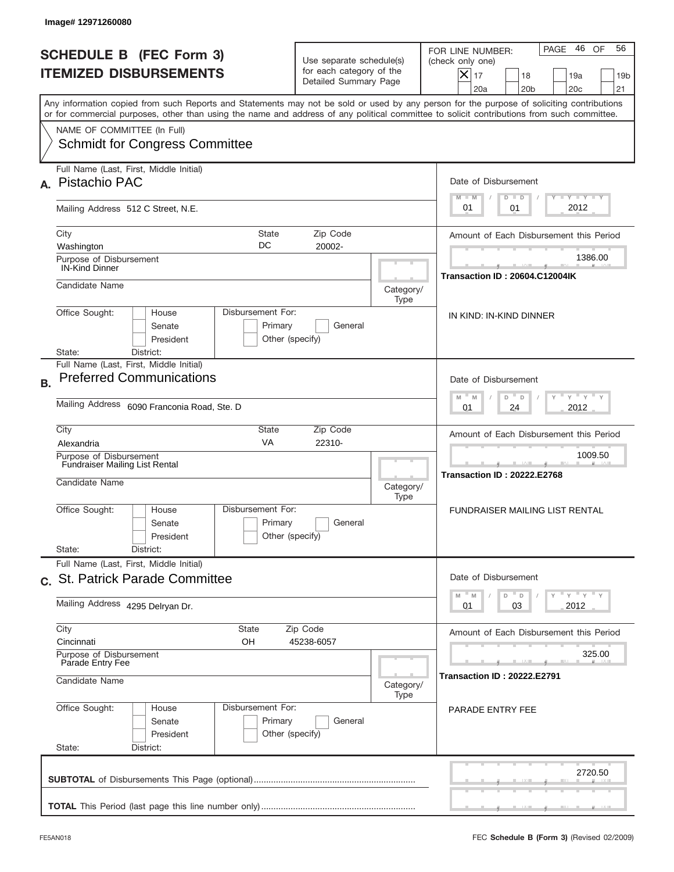| Image# 12971260080                                                                                                                                                                                                                                                                      |                                                                               |                                                                                                                                                                       |
|-----------------------------------------------------------------------------------------------------------------------------------------------------------------------------------------------------------------------------------------------------------------------------------------|-------------------------------------------------------------------------------|-----------------------------------------------------------------------------------------------------------------------------------------------------------------------|
| <b>SCHEDULE B (FEC Form 3)</b><br><b>ITEMIZED DISBURSEMENTS</b>                                                                                                                                                                                                                         | Use separate schedule(s)<br>for each category of the<br>Detailed Summary Page | 46 OF<br>56<br>PAGE<br>FOR LINE NUMBER:<br>(check only one)<br>$ \mathsf{X} _{17}$<br>18<br>19a<br>19 <sub>b</sub><br>20a<br>20 <sub>b</sub><br>20 <sub>c</sub><br>21 |
| Any information copied from such Reports and Statements may not be sold or used by any person for the purpose of soliciting contributions<br>or for commercial purposes, other than using the name and address of any political committee to solicit contributions from such committee. |                                                                               |                                                                                                                                                                       |
| NAME OF COMMITTEE (In Full)<br><b>Schmidt for Congress Committee</b>                                                                                                                                                                                                                    |                                                                               |                                                                                                                                                                       |
| Full Name (Last, First, Middle Initial)<br>Pistachio PAC<br>А.                                                                                                                                                                                                                          |                                                                               | Date of Disbursement                                                                                                                                                  |
| Mailing Address 512 C Street, N.E.                                                                                                                                                                                                                                                      |                                                                               | Y TY TY TY<br>$M - M$<br>$D$ $D$<br>2012<br>01<br>01                                                                                                                  |
| City<br><b>State</b><br>DC<br>Washington                                                                                                                                                                                                                                                | Zip Code<br>20002-                                                            | Amount of Each Disbursement this Period                                                                                                                               |
| Purpose of Disbursement<br><b>IN-Kind Dinner</b>                                                                                                                                                                                                                                        |                                                                               | 1386.00<br><b>Transaction ID: 20604.C12004IK</b>                                                                                                                      |
| Candidate Name                                                                                                                                                                                                                                                                          |                                                                               | Category/<br>Type                                                                                                                                                     |
| Disbursement For:<br>Office Sought:<br>House<br>Primary<br>Senate<br>President<br>District:<br>State:                                                                                                                                                                                   | General<br>Other (specify)                                                    | IN KIND: IN-KIND DINNER                                                                                                                                               |
| Full Name (Last, First, Middle Initial)<br><b>Preferred Communications</b><br><b>B.</b>                                                                                                                                                                                                 |                                                                               | Date of Disbursement                                                                                                                                                  |
| Mailing Address 6090 Franconia Road, Ste. D                                                                                                                                                                                                                                             |                                                                               | $Y$ $Y$ $Y$ $Y$ $Y$<br>$-$ M<br>M<br>D<br>D<br>2012<br>01<br>24                                                                                                       |
| City<br>State<br><b>VA</b><br>Alexandria                                                                                                                                                                                                                                                | Zip Code<br>22310-                                                            | Amount of Each Disbursement this Period                                                                                                                               |
| Purpose of Disbursement<br><b>Fundraiser Mailing List Rental</b><br>Candidate Name                                                                                                                                                                                                      |                                                                               | 1009.50<br><b>Transaction ID: 20222.E2768</b><br>Category/<br>Type                                                                                                    |
| Disbursement For:<br>Office Sought:<br>House<br>Primary<br>Senate<br>President                                                                                                                                                                                                          | General<br>Other (specify)                                                    | FUNDRAISER MAILING LIST RENTAL                                                                                                                                        |
| State:<br>District:<br>Full Name (Last, First, Middle Initial)                                                                                                                                                                                                                          |                                                                               |                                                                                                                                                                       |
| c. St. Patrick Parade Committee<br>Mailing Address 4295 Delryan Dr.                                                                                                                                                                                                                     |                                                                               | Date of Disbursement<br>ү" ү" ү" ү<br>M<br>$\mathbb M$<br>D<br>D<br>03<br>2012<br>01                                                                                  |
| City<br>State                                                                                                                                                                                                                                                                           | Zip Code                                                                      | Amount of Each Disbursement this Period                                                                                                                               |
| Cincinnati<br>OH<br>Purpose of Disbursement<br>Parade Entry Fee                                                                                                                                                                                                                         | 45238-6057                                                                    | 325.00                                                                                                                                                                |
| Candidate Name                                                                                                                                                                                                                                                                          |                                                                               | <b>Transaction ID: 20222.E2791</b><br>Category/<br>Type                                                                                                               |
| Office Sought:<br>Disbursement For:<br>House<br>Primary<br>Senate<br>President<br>State:<br>District:                                                                                                                                                                                   | General<br>Other (specify)                                                    | PARADE ENTRY FEE                                                                                                                                                      |
|                                                                                                                                                                                                                                                                                         |                                                                               | 2720.50                                                                                                                                                               |
|                                                                                                                                                                                                                                                                                         |                                                                               |                                                                                                                                                                       |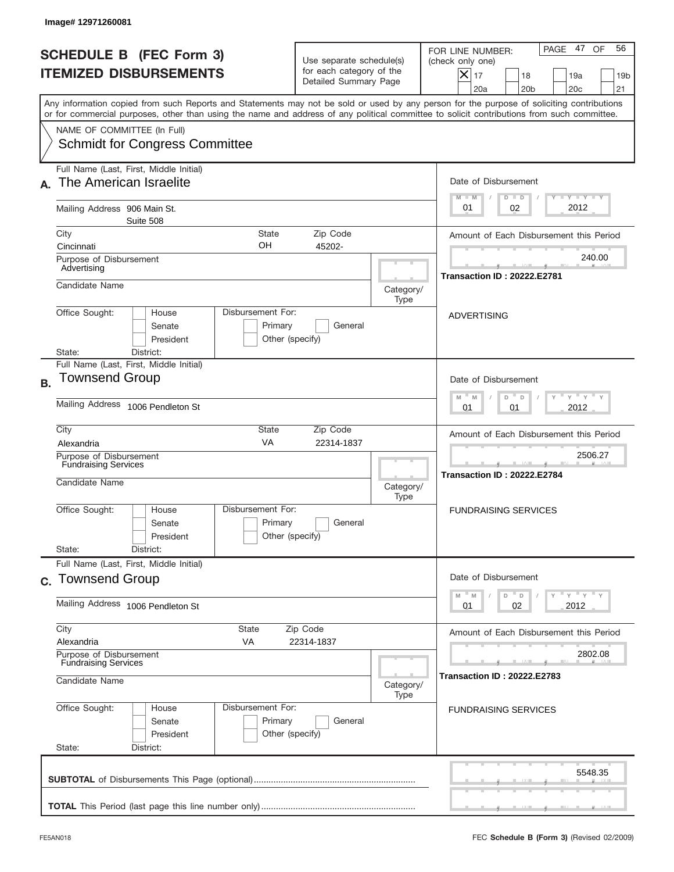|           | Image# 12971260081                                                                                                                                                                                                                                                                      |                                     |                                                                               |                   |                                                                                                                                                             |
|-----------|-----------------------------------------------------------------------------------------------------------------------------------------------------------------------------------------------------------------------------------------------------------------------------------------|-------------------------------------|-------------------------------------------------------------------------------|-------------------|-------------------------------------------------------------------------------------------------------------------------------------------------------------|
|           | <b>SCHEDULE B (FEC Form 3)</b><br><b>ITEMIZED DISBURSEMENTS</b>                                                                                                                                                                                                                         |                                     | Use separate schedule(s)<br>for each category of the<br>Detailed Summary Page |                   | PAGE 47<br>OF<br>56<br>FOR LINE NUMBER:<br>(check only one)<br>$X _{17}$<br>18<br>19a<br>19 <sub>b</sub><br>20 <sub>c</sub><br>20a<br>20 <sub>b</sub><br>21 |
|           | Any information copied from such Reports and Statements may not be sold or used by any person for the purpose of soliciting contributions<br>or for commercial purposes, other than using the name and address of any political committee to solicit contributions from such committee. |                                     |                                                                               |                   |                                                                                                                                                             |
|           | NAME OF COMMITTEE (In Full)<br><b>Schmidt for Congress Committee</b>                                                                                                                                                                                                                    |                                     |                                                                               |                   |                                                                                                                                                             |
|           | Full Name (Last, First, Middle Initial)<br>The American Israelite                                                                                                                                                                                                                       |                                     |                                                                               |                   | Date of Disbursement<br>$T - Y$ $T - Y$<br>$M - M$<br>$D$ $D$                                                                                               |
|           | Mailing Address 906 Main St.<br>Suite 508                                                                                                                                                                                                                                               |                                     |                                                                               |                   | 2012<br>02<br>01                                                                                                                                            |
|           | City<br>State<br>OΗ<br>Cincinnati<br>Purpose of Disbursement                                                                                                                                                                                                                            |                                     | Zip Code<br>45202-                                                            |                   | Amount of Each Disbursement this Period<br>240.00                                                                                                           |
|           | Advertising<br>Candidate Name                                                                                                                                                                                                                                                           |                                     |                                                                               | Category/         | <b>Transaction ID: 20222.E2781</b>                                                                                                                          |
|           | Office Sought:<br>Disbursement For:<br>House<br>Senate<br>President<br>State:<br>District:                                                                                                                                                                                              | Primary<br>Other (specify)          | General                                                                       | Type              | <b>ADVERTISING</b>                                                                                                                                          |
| <b>B.</b> | Full Name (Last, First, Middle Initial)<br>Townsend Group                                                                                                                                                                                                                               |                                     |                                                                               |                   | Date of Disbursement<br>$\cdots$ $\gamma$ $\cdots$ $\gamma$ $\cdots$<br>$-$ M<br>M<br>D<br>$\Box$                                                           |
|           | Mailing Address 1006 Pendleton St                                                                                                                                                                                                                                                       |                                     |                                                                               |                   | 2012<br>01<br>01                                                                                                                                            |
|           | City<br>State<br>VA<br>Alexandria<br>Purpose of Disbursement<br><b>Fundraising Services</b><br>Candidate Name                                                                                                                                                                           |                                     | Zip Code<br>22314-1837                                                        | Category/<br>Type | Amount of Each Disbursement this Period<br>2506.27<br><b>Transaction ID: 20222.E2784</b>                                                                    |
|           | Disbursement For:<br>Office Sought:<br>House<br>Senate<br>President<br>State:<br>District:                                                                                                                                                                                              | Primary<br>Other (specify)          | General                                                                       |                   | <b>FUNDRAISING SERVICES</b>                                                                                                                                 |
|           | Full Name (Last, First, Middle Initial)<br>c. Townsend Group                                                                                                                                                                                                                            |                                     |                                                                               |                   | Date of Disbursement<br>$=\frac{1}{\gamma}+\frac{1}{\gamma}+\frac{1}{\gamma}+\frac{1}{\gamma}$<br>$-M$<br>M<br>D<br>D                                       |
|           | Mailing Address 1006 Pendleton St                                                                                                                                                                                                                                                       | 02<br>2012<br>01                    |                                                                               |                   |                                                                                                                                                             |
|           | City<br>State<br>Alexandria<br>VA<br>Purpose of Disbursement<br><b>Fundraising Services</b>                                                                                                                                                                                             | Zip Code<br>22314-1837              |                                                                               |                   | Amount of Each Disbursement this Period<br>2802.08                                                                                                          |
|           | Candidate Name                                                                                                                                                                                                                                                                          | <b>Transaction ID : 20222.E2783</b> |                                                                               |                   |                                                                                                                                                             |
|           | Office Sought:<br>Disbursement For:<br>House<br>Senate<br>President<br>State:<br>District:                                                                                                                                                                                              | Primary<br>Other (specify)          | General                                                                       |                   | <b>FUNDRAISING SERVICES</b>                                                                                                                                 |
|           |                                                                                                                                                                                                                                                                                         |                                     |                                                                               |                   | 5548.35                                                                                                                                                     |
|           |                                                                                                                                                                                                                                                                                         |                                     |                                                                               |                   |                                                                                                                                                             |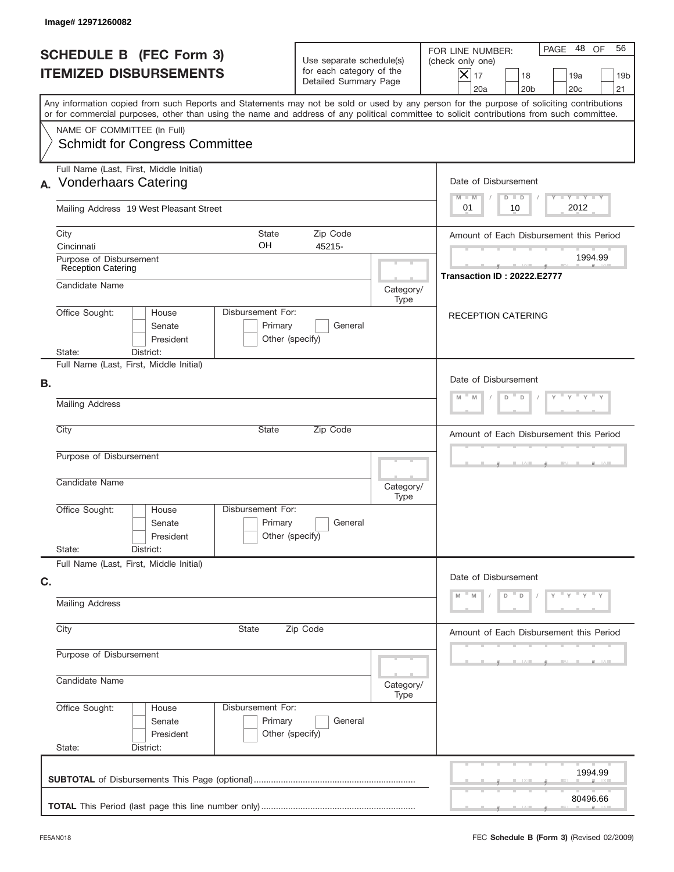| Image# 12971260082                                                                                                                                                                                                                                                                      |                                                                               |                   |                                                                                                                                                                           |  |  |
|-----------------------------------------------------------------------------------------------------------------------------------------------------------------------------------------------------------------------------------------------------------------------------------------|-------------------------------------------------------------------------------|-------------------|---------------------------------------------------------------------------------------------------------------------------------------------------------------------------|--|--|
| <b>SCHEDULE B (FEC Form 3)</b><br><b>ITEMIZED DISBURSEMENTS</b>                                                                                                                                                                                                                         | Use separate schedule(s)<br>for each category of the<br>Detailed Summary Page |                   | PAGE 48 OF<br>56<br>FOR LINE NUMBER:<br>(check only one)<br>$\overline{\mathsf{x}}$ 17<br>18<br>19a<br>19 <sub>b</sub><br>20a<br>20 <sub>b</sub><br>20 <sub>c</sub><br>21 |  |  |
| Any information copied from such Reports and Statements may not be sold or used by any person for the purpose of soliciting contributions<br>or for commercial purposes, other than using the name and address of any political committee to solicit contributions from such committee. |                                                                               |                   |                                                                                                                                                                           |  |  |
| NAME OF COMMITTEE (In Full)<br><b>Schmidt for Congress Committee</b>                                                                                                                                                                                                                    |                                                                               |                   |                                                                                                                                                                           |  |  |
| Full Name (Last, First, Middle Initial)<br><b>Vonderhaars Catering</b><br>А.                                                                                                                                                                                                            |                                                                               |                   | Date of Disbursement<br>Y TY TY TY                                                                                                                                        |  |  |
| Mailing Address 19 West Pleasant Street                                                                                                                                                                                                                                                 |                                                                               |                   | $M - M$<br>$D$ $D$<br>2012<br>01<br>10                                                                                                                                    |  |  |
| City<br>State<br>OН<br>Cincinnati                                                                                                                                                                                                                                                       | Zip Code<br>45215-                                                            |                   | Amount of Each Disbursement this Period                                                                                                                                   |  |  |
| Purpose of Disbursement<br><b>Reception Catering</b>                                                                                                                                                                                                                                    |                                                                               |                   | 1994.99<br><b>Transaction ID: 20222.E2777</b>                                                                                                                             |  |  |
| Candidate Name<br>Disbursement For:<br>Office Sought:<br>House                                                                                                                                                                                                                          |                                                                               | Category/<br>Type |                                                                                                                                                                           |  |  |
| Senate<br>Primary<br>President<br>State:<br>District:                                                                                                                                                                                                                                   | General<br>Other (specify)                                                    |                   | <b>RECEPTION CATERING</b>                                                                                                                                                 |  |  |
| Full Name (Last, First, Middle Initial)<br>В.                                                                                                                                                                                                                                           |                                                                               |                   | Date of Disbursement                                                                                                                                                      |  |  |
| <b>Mailing Address</b>                                                                                                                                                                                                                                                                  | M<br>D<br>M<br>D                                                              |                   |                                                                                                                                                                           |  |  |
| City<br><b>State</b>                                                                                                                                                                                                                                                                    | Zip Code                                                                      |                   | Amount of Each Disbursement this Period                                                                                                                                   |  |  |
| Purpose of Disbursement<br>Candidate Name                                                                                                                                                                                                                                               |                                                                               | Category/<br>Type |                                                                                                                                                                           |  |  |
| Disbursement For:<br>Office Sought:<br>House<br>Primary<br>Senate<br>President                                                                                                                                                                                                          | General<br>Other (specify)                                                    |                   |                                                                                                                                                                           |  |  |
| State:<br>District:<br>Full Name (Last, First, Middle Initial)                                                                                                                                                                                                                          |                                                                               |                   |                                                                                                                                                                           |  |  |
| C.<br><b>Mailing Address</b>                                                                                                                                                                                                                                                            |                                                                               |                   | Date of Disbursement<br>$\cdots$ $\vee$ $\cdots$<br>D<br>D                                                                                                                |  |  |
| City<br>State                                                                                                                                                                                                                                                                           | Zip Code                                                                      |                   |                                                                                                                                                                           |  |  |
| Purpose of Disbursement                                                                                                                                                                                                                                                                 |                                                                               |                   |                                                                                                                                                                           |  |  |
| Candidate Name                                                                                                                                                                                                                                                                          |                                                                               | Category/<br>Type |                                                                                                                                                                           |  |  |
| Office Sought:<br>Disbursement For:<br>House<br>Primary<br>Senate<br>President<br>State:<br>District:                                                                                                                                                                                   | General<br>Other (specify)                                                    |                   |                                                                                                                                                                           |  |  |
|                                                                                                                                                                                                                                                                                         |                                                                               |                   | 1994.99                                                                                                                                                                   |  |  |
|                                                                                                                                                                                                                                                                                         |                                                                               |                   | 80496.66                                                                                                                                                                  |  |  |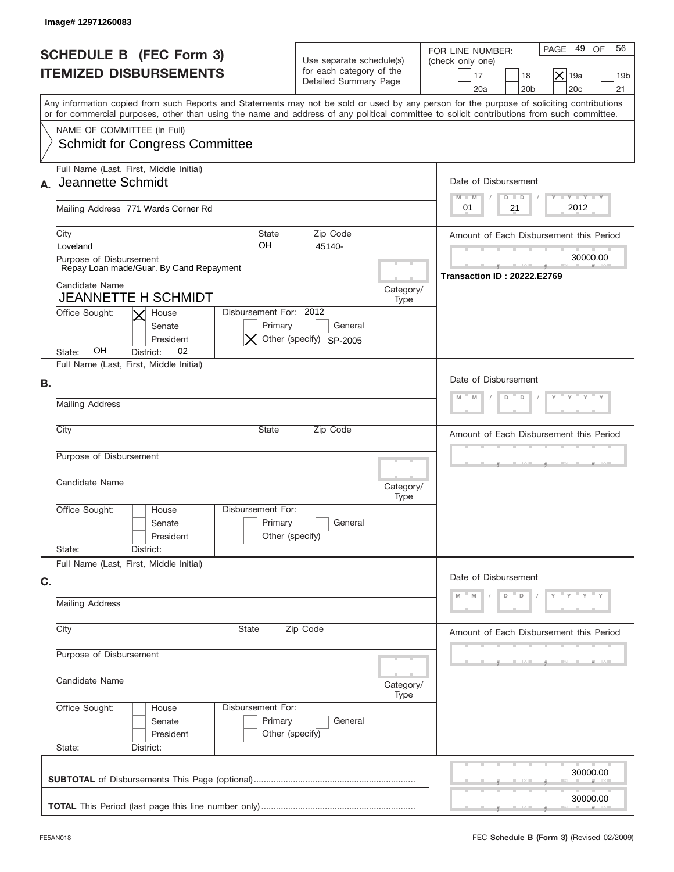| Image#12971260083                                                                                                                                                                                                                                                                       |                                                                               |                                                                                                                                                      |
|-----------------------------------------------------------------------------------------------------------------------------------------------------------------------------------------------------------------------------------------------------------------------------------------|-------------------------------------------------------------------------------|------------------------------------------------------------------------------------------------------------------------------------------------------|
| <b>SCHEDULE B (FEC Form 3)</b><br><b>ITEMIZED DISBURSEMENTS</b>                                                                                                                                                                                                                         | Use separate schedule(s)<br>for each category of the<br>Detailed Summary Page | 49 OF<br>56<br>PAGE<br>FOR LINE NUMBER:<br>(check only one)<br>$\times$<br>17<br>18<br>19a<br>19 <sub>b</sub><br>20a<br>20 <sub>b</sub><br>20c<br>21 |
| Any information copied from such Reports and Statements may not be sold or used by any person for the purpose of soliciting contributions<br>or for commercial purposes, other than using the name and address of any political committee to solicit contributions from such committee. |                                                                               |                                                                                                                                                      |
| NAME OF COMMITTEE (In Full)<br><b>Schmidt for Congress Committee</b>                                                                                                                                                                                                                    |                                                                               |                                                                                                                                                      |
| Full Name (Last, First, Middle Initial)<br>Jeannette Schmidt<br>$\mathbf{A}$                                                                                                                                                                                                            |                                                                               | Date of Disbursement<br>Y TY TY TY<br>$M - M$<br>$D$ $D$                                                                                             |
| Mailing Address 771 Wards Corner Rd                                                                                                                                                                                                                                                     |                                                                               | 2012<br>21<br>01                                                                                                                                     |
| City<br><b>State</b><br>OH<br>Loveland                                                                                                                                                                                                                                                  | Zip Code<br>45140-                                                            | Amount of Each Disbursement this Period                                                                                                              |
| Purpose of Disbursement<br>Repay Loan made/Guar. By Cand Repayment                                                                                                                                                                                                                      |                                                                               | 30000.00<br><b>Transaction ID: 20222.E2769</b>                                                                                                       |
| Candidate Name<br><b>JEANNETTE H SCHMIDT</b><br>Disbursement For: 2012                                                                                                                                                                                                                  | Category/<br>Type                                                             |                                                                                                                                                      |
| Office Sought:<br>House<br>Senate<br>Primary<br>President<br>OН<br>02<br>State:<br>District:                                                                                                                                                                                            | General<br>Other (specify) SP-2005                                            |                                                                                                                                                      |
| Full Name (Last, First, Middle Initial)<br>В.                                                                                                                                                                                                                                           |                                                                               | Date of Disbursement<br>D<br>M<br>M<br>D                                                                                                             |
| <b>Mailing Address</b>                                                                                                                                                                                                                                                                  |                                                                               |                                                                                                                                                      |
| City<br>State                                                                                                                                                                                                                                                                           | Zip Code                                                                      | Amount of Each Disbursement this Period                                                                                                              |
| Purpose of Disbursement<br>Candidate Name                                                                                                                                                                                                                                               | Category/                                                                     |                                                                                                                                                      |
| Disbursement For:<br>Office Sought:<br>House<br>Primary<br>Senate<br>President                                                                                                                                                                                                          | Type<br>General<br>Other (specify)                                            |                                                                                                                                                      |
| State:<br>District:<br>Full Name (Last, First, Middle Initial)                                                                                                                                                                                                                          |                                                                               |                                                                                                                                                      |
| C.                                                                                                                                                                                                                                                                                      |                                                                               | Date of Disbursement<br>Y Y<br>D<br>D                                                                                                                |
| <b>Mailing Address</b>                                                                                                                                                                                                                                                                  |                                                                               |                                                                                                                                                      |
| City<br>State                                                                                                                                                                                                                                                                           | Zip Code                                                                      | Amount of Each Disbursement this Period                                                                                                              |
| Purpose of Disbursement<br>Candidate Name                                                                                                                                                                                                                                               | Category/                                                                     |                                                                                                                                                      |
| Office Sought:<br>Disbursement For:<br>House<br>Primary<br>Senate<br>President<br>State:<br>District:                                                                                                                                                                                   | Type<br>General<br>Other (specify)                                            |                                                                                                                                                      |
|                                                                                                                                                                                                                                                                                         |                                                                               | 30000.00                                                                                                                                             |
|                                                                                                                                                                                                                                                                                         |                                                                               | 30000.00                                                                                                                                             |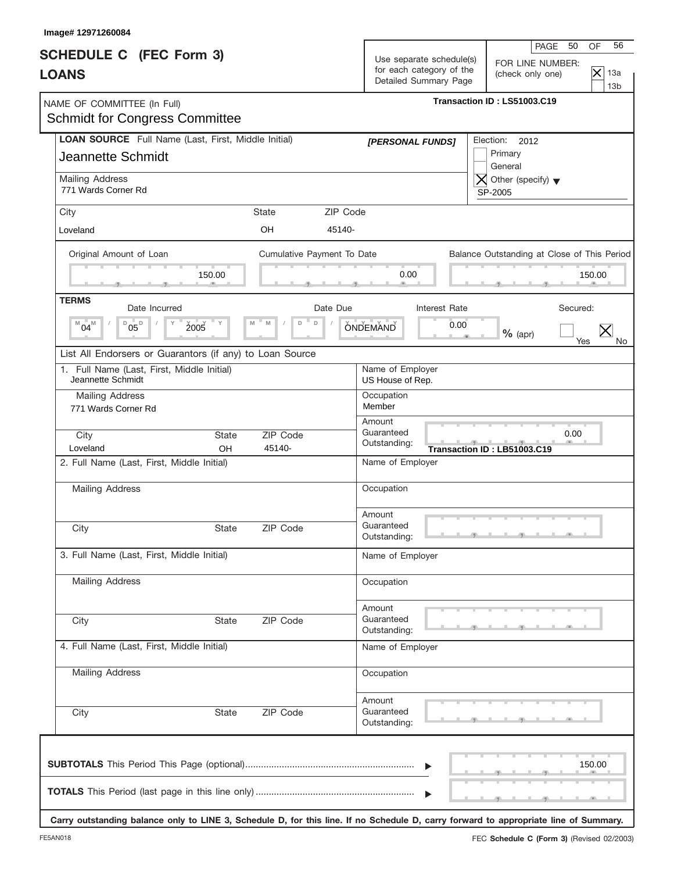| <b>SCHEDULE C</b> (FEC Form 3) |                                                                                                                                                                                                                                     |                                                                                                                           | Use separate schedule(s) |                                                                                                                                                                                                                                                                                             | PAGE<br>50<br>FOR LINE NUMBER:<br>(check only one)                                                                                                                                             | 56<br>OF<br>$\overline{\times}$<br>13a<br>13 <sub>b</sub>                                                                                                                                                           |
|--------------------------------|-------------------------------------------------------------------------------------------------------------------------------------------------------------------------------------------------------------------------------------|---------------------------------------------------------------------------------------------------------------------------|--------------------------|---------------------------------------------------------------------------------------------------------------------------------------------------------------------------------------------------------------------------------------------------------------------------------------------|------------------------------------------------------------------------------------------------------------------------------------------------------------------------------------------------|---------------------------------------------------------------------------------------------------------------------------------------------------------------------------------------------------------------------|
|                                |                                                                                                                                                                                                                                     |                                                                                                                           |                          |                                                                                                                                                                                                                                                                                             |                                                                                                                                                                                                |                                                                                                                                                                                                                     |
|                                |                                                                                                                                                                                                                                     |                                                                                                                           |                          |                                                                                                                                                                                                                                                                                             | Election:<br>2012<br>Primary<br>General                                                                                                                                                        |                                                                                                                                                                                                                     |
|                                |                                                                                                                                                                                                                                     |                                                                                                                           |                          |                                                                                                                                                                                                                                                                                             | $\overline{X}$ Other (specify) $\blacktriangledown$<br>SP-2005                                                                                                                                 |                                                                                                                                                                                                                     |
|                                | State                                                                                                                                                                                                                               |                                                                                                                           |                          |                                                                                                                                                                                                                                                                                             |                                                                                                                                                                                                |                                                                                                                                                                                                                     |
|                                | OH                                                                                                                                                                                                                                  |                                                                                                                           |                          |                                                                                                                                                                                                                                                                                             |                                                                                                                                                                                                |                                                                                                                                                                                                                     |
|                                |                                                                                                                                                                                                                                     |                                                                                                                           |                          |                                                                                                                                                                                                                                                                                             |                                                                                                                                                                                                |                                                                                                                                                                                                                     |
| 150.00                         |                                                                                                                                                                                                                                     |                                                                                                                           | 0.00                     |                                                                                                                                                                                                                                                                                             |                                                                                                                                                                                                | 150.00                                                                                                                                                                                                              |
|                                |                                                                                                                                                                                                                                     |                                                                                                                           |                          |                                                                                                                                                                                                                                                                                             |                                                                                                                                                                                                |                                                                                                                                                                                                                     |
| 2005<br>Y                      | $\mathsf D$<br>M<br>D                                                                                                                                                                                                               |                                                                                                                           |                          | 0.00                                                                                                                                                                                                                                                                                        | $%$ (apr)                                                                                                                                                                                      | Yes<br>No.                                                                                                                                                                                                          |
|                                |                                                                                                                                                                                                                                     |                                                                                                                           |                          |                                                                                                                                                                                                                                                                                             |                                                                                                                                                                                                |                                                                                                                                                                                                                     |
|                                |                                                                                                                                                                                                                                     |                                                                                                                           |                          |                                                                                                                                                                                                                                                                                             |                                                                                                                                                                                                |                                                                                                                                                                                                                     |
|                                |                                                                                                                                                                                                                                     |                                                                                                                           |                          |                                                                                                                                                                                                                                                                                             |                                                                                                                                                                                                |                                                                                                                                                                                                                     |
| <b>State</b>                   | ZIP Code                                                                                                                                                                                                                            |                                                                                                                           |                          |                                                                                                                                                                                                                                                                                             |                                                                                                                                                                                                |                                                                                                                                                                                                                     |
|                                |                                                                                                                                                                                                                                     |                                                                                                                           |                          |                                                                                                                                                                                                                                                                                             |                                                                                                                                                                                                |                                                                                                                                                                                                                     |
|                                |                                                                                                                                                                                                                                     |                                                                                                                           |                          |                                                                                                                                                                                                                                                                                             |                                                                                                                                                                                                |                                                                                                                                                                                                                     |
| State                          | ZIP Code                                                                                                                                                                                                                            |                                                                                                                           |                          |                                                                                                                                                                                                                                                                                             |                                                                                                                                                                                                |                                                                                                                                                                                                                     |
|                                |                                                                                                                                                                                                                                     |                                                                                                                           |                          |                                                                                                                                                                                                                                                                                             |                                                                                                                                                                                                |                                                                                                                                                                                                                     |
|                                |                                                                                                                                                                                                                                     |                                                                                                                           |                          |                                                                                                                                                                                                                                                                                             |                                                                                                                                                                                                |                                                                                                                                                                                                                     |
| <b>State</b>                   | ZIP Code                                                                                                                                                                                                                            |                                                                                                                           |                          |                                                                                                                                                                                                                                                                                             |                                                                                                                                                                                                |                                                                                                                                                                                                                     |
|                                |                                                                                                                                                                                                                                     |                                                                                                                           |                          |                                                                                                                                                                                                                                                                                             |                                                                                                                                                                                                |                                                                                                                                                                                                                     |
|                                |                                                                                                                                                                                                                                     |                                                                                                                           |                          |                                                                                                                                                                                                                                                                                             |                                                                                                                                                                                                |                                                                                                                                                                                                                     |
| State                          | ZIP Code                                                                                                                                                                                                                            |                                                                                                                           |                          |                                                                                                                                                                                                                                                                                             |                                                                                                                                                                                                |                                                                                                                                                                                                                     |
|                                |                                                                                                                                                                                                                                     |                                                                                                                           |                          |                                                                                                                                                                                                                                                                                             |                                                                                                                                                                                                | 150.00                                                                                                                                                                                                              |
|                                |                                                                                                                                                                                                                                     |                                                                                                                           |                          |                                                                                                                                                                                                                                                                                             |                                                                                                                                                                                                |                                                                                                                                                                                                                     |
|                                | <b>Schmidt for Congress Committee</b><br>1. Full Name (Last, First, Middle Initial)<br>OH<br>2. Full Name (Last, First, Middle Initial)<br>3. Full Name (Last, First, Middle Initial)<br>4. Full Name (Last, First, Middle Initial) | LOAN SOURCE Full Name (Last, First, Middle Initial)<br>List All Endorsers or Guarantors (if any) to Loan Source<br>45140- | 45140-<br>Date Due       | ZIP Code<br>Cumulative Payment To Date<br><b>ONDEMAND</b><br>Occupation<br>Member<br>Amount<br>Guaranteed<br>Outstanding:<br>Occupation<br>Amount<br>Guaranteed<br>Outstanding:<br>Occupation<br>Amount<br>Guaranteed<br>Outstanding:<br>Occupation<br>Amount<br>Guaranteed<br>Outstanding: | [PERSONAL FUNDS]<br><b>Interest Rate</b><br>Name of Employer<br>US House of Rep.<br>Name of Employer<br>Name of Employer<br>Name of Employer<br>$\blacktriangleright$<br>$\blacktriangleright$ | for each category of the<br>Detailed Summary Page<br>Transaction ID: LS51003.C19<br>Balance Outstanding at Close of This Period<br>Secured:<br>0.00<br>$\overline{y}$ $\overline{y}$<br>Transaction ID: LB51003.C19 |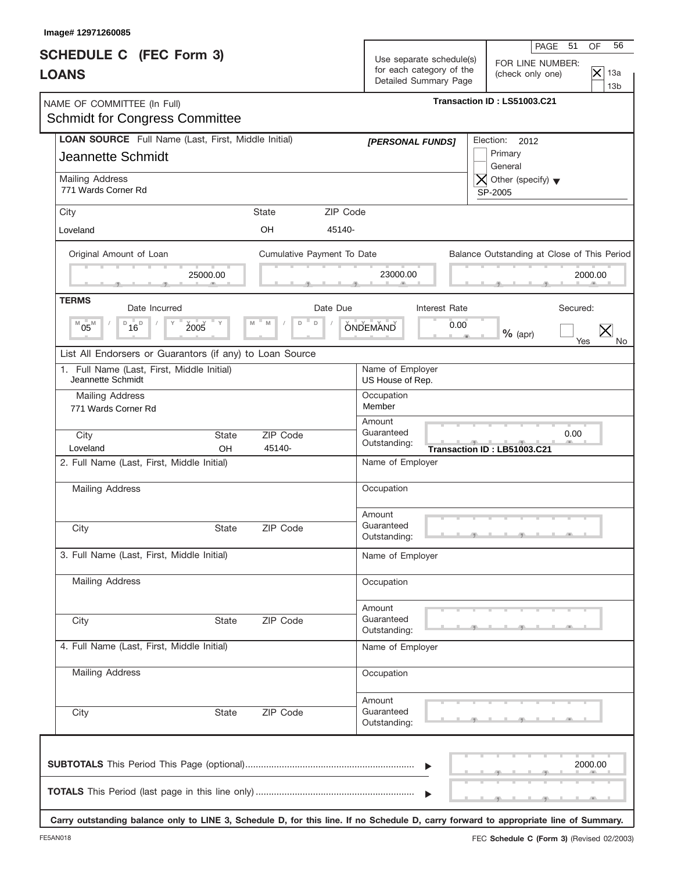| Image# 12971260085                                                                     |                            |                                                                               |                                                                                                                   |
|----------------------------------------------------------------------------------------|----------------------------|-------------------------------------------------------------------------------|-------------------------------------------------------------------------------------------------------------------|
| <b>SCHEDULE C</b> (FEC Form 3)<br><b>LOANS</b>                                         |                            | Use separate schedule(s)<br>for each category of the<br>Detailed Summary Page | 56<br>PAGE<br>OF<br>- 51<br>FOR LINE NUMBER:<br>$\overline{\times}$<br>13a<br>(check only one)<br>13 <sub>b</sub> |
| NAME OF COMMITTEE (In Full)<br><b>Schmidt for Congress Committee</b>                   |                            |                                                                               | Transaction ID: LS51003.C21                                                                                       |
| LOAN SOURCE Full Name (Last, First, Middle Initial)<br><b>Jeannette Schmidt</b>        |                            | [PERSONAL FUNDS]                                                              | Election:<br>2012<br>Primary<br>General                                                                           |
| Mailing Address<br>771 Wards Corner Rd                                                 |                            |                                                                               | $\overline{X}$ Other (specify) $\blacktriangledown$<br>SP-2005                                                    |
| City                                                                                   | ZIP Code<br>State          |                                                                               |                                                                                                                   |
| Loveland                                                                               | <b>OH</b><br>45140-        |                                                                               |                                                                                                                   |
| Original Amount of Loan                                                                | Cumulative Payment To Date |                                                                               | Balance Outstanding at Close of This Period                                                                       |
| 25000.00                                                                               |                            | 23000.00                                                                      | 2000.00                                                                                                           |
| <b>TERMS</b><br>Date Incurred                                                          | Date Due                   | <b>Interest Rate</b>                                                          | Secured:                                                                                                          |
| $^{\text{D}}$ 16 <sup><math>^{\text{D}}</math></sup><br>2005<br>Y<br>M<br>$05^{\rm M}$ | $\mathsf D$<br>M<br>D      | 0.00<br><b>ONDEMAND</b>                                                       | $%$ (apr)<br>Yes<br>No.                                                                                           |
| List All Endorsers or Guarantors (if any) to Loan Source                               |                            |                                                                               |                                                                                                                   |
| 1. Full Name (Last, First, Middle Initial)<br>Jeannette Schmidt                        |                            | Name of Employer<br>US House of Rep.                                          |                                                                                                                   |
| Mailing Address                                                                        |                            | Occupation                                                                    |                                                                                                                   |
| 771 Wards Corner Rd                                                                    |                            | Member                                                                        |                                                                                                                   |
| City<br><b>State</b><br>Loveland<br>OH                                                 | ZIP Code<br>45140-         | Amount<br>Guaranteed<br>Outstanding:                                          | 0.00<br>$\overline{y}$ and $\overline{y}$<br>Transaction ID: LB51003.C21                                          |
| 2. Full Name (Last, First, Middle Initial)                                             |                            | Name of Employer                                                              |                                                                                                                   |
| Mailing Address                                                                        |                            | Occupation                                                                    |                                                                                                                   |
|                                                                                        |                            | Amount                                                                        |                                                                                                                   |
| City<br>State                                                                          | ZIP Code                   | Guaranteed<br>Outstanding:                                                    |                                                                                                                   |
| 3. Full Name (Last, First, Middle Initial)                                             |                            | Name of Employer                                                              |                                                                                                                   |
| Mailing Address                                                                        |                            | Occupation                                                                    |                                                                                                                   |
| City<br><b>State</b>                                                                   | ZIP Code                   | Amount<br>Guaranteed<br>Outstanding:                                          |                                                                                                                   |
| 4. Full Name (Last, First, Middle Initial)                                             |                            | Name of Employer                                                              |                                                                                                                   |
| <b>Mailing Address</b>                                                                 |                            | Occupation                                                                    |                                                                                                                   |
| City<br>State                                                                          | ZIP Code                   | Amount<br>Guaranteed<br>Outstanding:                                          |                                                                                                                   |
|                                                                                        |                            | $\blacktriangleright$                                                         | 2000.00                                                                                                           |

**Carry outstanding balance only to LINE 3, Schedule D, for this line. If no Schedule D, carry forward to appropriate line of Summary.**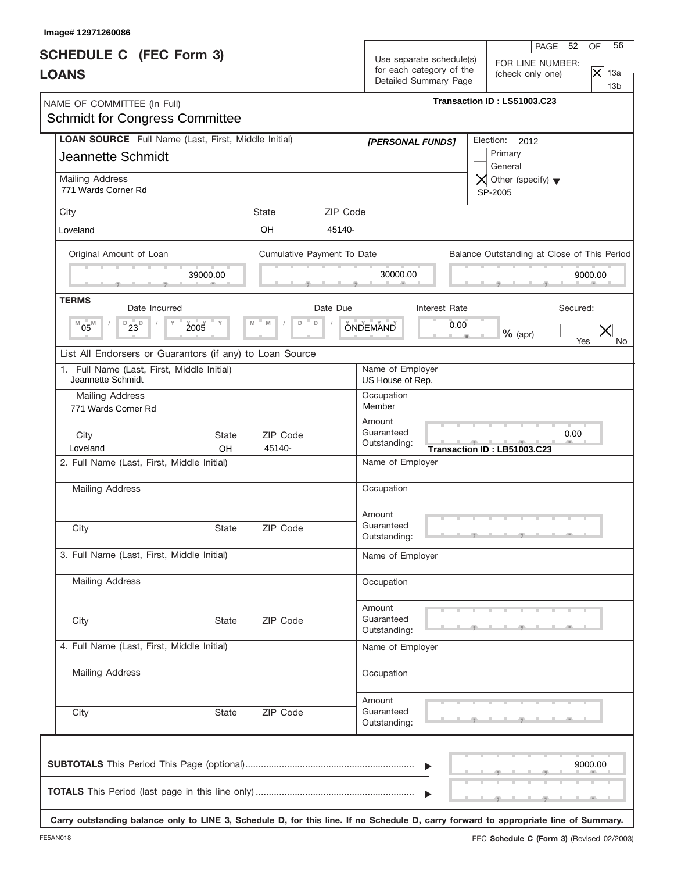| Image# 12971260086                                                              |                                   |                                                                               |                                                                                                                   |
|---------------------------------------------------------------------------------|-----------------------------------|-------------------------------------------------------------------------------|-------------------------------------------------------------------------------------------------------------------|
| <b>SCHEDULE C</b> (FEC Form 3)<br><b>LOANS</b>                                  |                                   | Use separate schedule(s)<br>for each category of the<br>Detailed Summary Page | 56<br>PAGE<br>OF<br>- 52<br>FOR LINE NUMBER:<br>$\overline{\times}$<br>13a<br>(check only one)<br>13 <sub>b</sub> |
| NAME OF COMMITTEE (In Full)<br><b>Schmidt for Congress Committee</b>            |                                   |                                                                               | Transaction ID: LS51003.C23                                                                                       |
| LOAN SOURCE Full Name (Last, First, Middle Initial)<br><b>Jeannette Schmidt</b> |                                   | [PERSONAL FUNDS]                                                              | Election:<br>2012<br>Primary<br>General                                                                           |
| Mailing Address<br>771 Wards Corner Rd                                          |                                   |                                                                               | $\overline{X}$ Other (specify) $\blacktriangledown$<br>SP-2005                                                    |
| City                                                                            | ZIP Code<br>State                 |                                                                               |                                                                                                                   |
| Loveland                                                                        | <b>OH</b><br>45140-               |                                                                               |                                                                                                                   |
| Original Amount of Loan                                                         | Cumulative Payment To Date        |                                                                               | Balance Outstanding at Close of This Period                                                                       |
| 39000.00                                                                        |                                   | 30000.00                                                                      | 9000.00                                                                                                           |
| <b>TERMS</b>                                                                    |                                   |                                                                               | Secured:                                                                                                          |
| Date Incurred<br>$D_{23}$<br>$05^{\rm M}$<br>2005<br>Y<br>M                     | Date Due<br>$\mathsf D$<br>M<br>D | <b>Interest Rate</b><br>0.00<br><b>ONDEMAND</b>                               | $%$ (apr)<br>Yes<br>No.                                                                                           |
| List All Endorsers or Guarantors (if any) to Loan Source                        |                                   |                                                                               |                                                                                                                   |
| 1. Full Name (Last, First, Middle Initial)<br>Jeannette Schmidt                 |                                   | Name of Employer<br>US House of Rep.                                          |                                                                                                                   |
| Mailing Address                                                                 |                                   | Occupation                                                                    |                                                                                                                   |
| 771 Wards Corner Rd                                                             |                                   | Member<br>Amount                                                              |                                                                                                                   |
| City<br><b>State</b><br>Loveland<br>OH                                          | ZIP Code<br>45140-                | Guaranteed<br>Outstanding:                                                    | 0.00<br>$-7 - 1 - 7$<br>Transaction ID: LB51003.C23                                                               |
| 2. Full Name (Last, First, Middle Initial)                                      |                                   | Name of Employer                                                              |                                                                                                                   |
| Mailing Address                                                                 |                                   | Occupation                                                                    |                                                                                                                   |
| City<br>State                                                                   | ZIP Code                          | Amount<br>Guaranteed                                                          |                                                                                                                   |
| 3. Full Name (Last, First, Middle Initial)                                      |                                   | Outstanding:<br>Name of Employer                                              |                                                                                                                   |
|                                                                                 |                                   |                                                                               |                                                                                                                   |
| <b>Mailing Address</b>                                                          |                                   | Occupation                                                                    |                                                                                                                   |
| City<br><b>State</b>                                                            | ZIP Code                          | Amount<br>Guaranteed<br>Outstanding:                                          |                                                                                                                   |
| 4. Full Name (Last, First, Middle Initial)                                      |                                   | Name of Employer                                                              |                                                                                                                   |
| <b>Mailing Address</b>                                                          |                                   | Occupation                                                                    |                                                                                                                   |
| City<br>State                                                                   | ZIP Code                          | Amount<br>Guaranteed<br>Outstanding:                                          |                                                                                                                   |
|                                                                                 |                                   | $\blacktriangleright$                                                         | 9000.00                                                                                                           |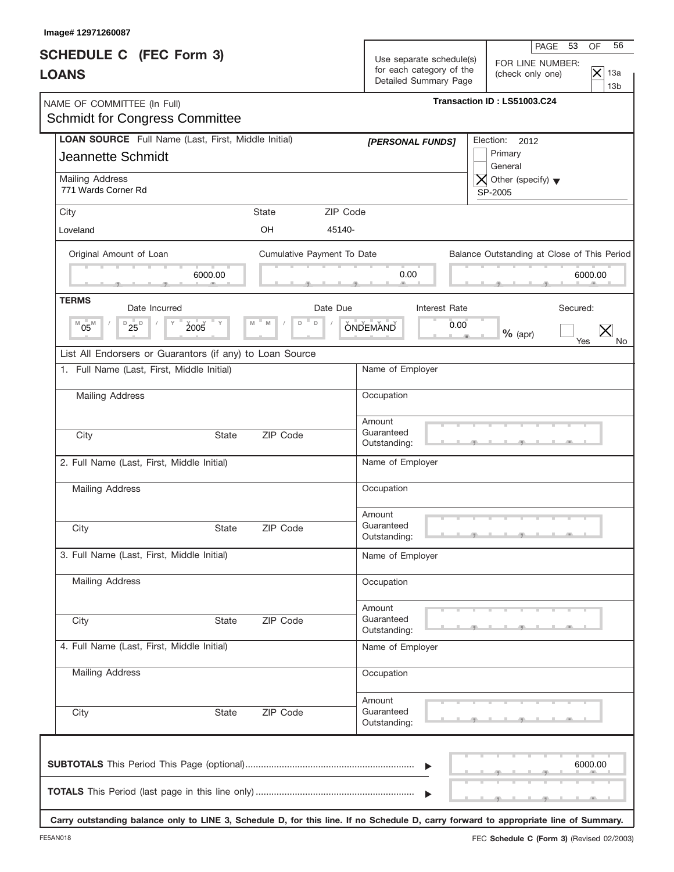| Image# 12971260087                                                              |                            |                                                                               |                                                                                                              |  |  |
|---------------------------------------------------------------------------------|----------------------------|-------------------------------------------------------------------------------|--------------------------------------------------------------------------------------------------------------|--|--|
| <b>SCHEDULE C</b> (FEC Form 3)<br><b>LOANS</b>                                  |                            | Use separate schedule(s)<br>for each category of the<br>Detailed Summary Page | 56<br>PAGE 53<br>OF<br>FOR LINE NUMBER:<br>$\overline{\times}$<br>13a<br>(check only one)<br>13 <sub>b</sub> |  |  |
| NAME OF COMMITTEE (In Full)<br><b>Schmidt for Congress Committee</b>            |                            | Transaction ID: LS51003.C24                                                   |                                                                                                              |  |  |
| LOAN SOURCE Full Name (Last, First, Middle Initial)<br><b>Jeannette Schmidt</b> |                            | [PERSONAL FUNDS]                                                              | Election:<br>2012<br>Primary<br>General                                                                      |  |  |
| Mailing Address<br>771 Wards Corner Rd                                          |                            |                                                                               | $\overline{X}$ Other (specify) $\blacktriangledown$<br>SP-2005                                               |  |  |
| City                                                                            | ZIP Code<br><b>State</b>   |                                                                               |                                                                                                              |  |  |
| Loveland                                                                        | OH<br>45140-               |                                                                               |                                                                                                              |  |  |
| Original Amount of Loan                                                         | Cumulative Payment To Date |                                                                               | Balance Outstanding at Close of This Period                                                                  |  |  |
| 6000.00                                                                         |                            | 0.00                                                                          | 6000.00                                                                                                      |  |  |
| <b>TERMS</b><br>Date Incurred                                                   | Date Due                   | Interest Rate                                                                 | Secured:                                                                                                     |  |  |
| $D_{25}D_{D}$<br>2005<br>= y<br>$^{M}05^{M}$                                    | $\mathsf D$<br>M<br>D      | <b>ONDEMAND</b><br>0.00                                                       | $%$ (apr)<br>Yes<br>No.                                                                                      |  |  |
| List All Endorsers or Guarantors (if any) to Loan Source                        |                            |                                                                               |                                                                                                              |  |  |
| 1. Full Name (Last, First, Middle Initial)                                      |                            | Name of Employer                                                              |                                                                                                              |  |  |
| Mailing Address                                                                 |                            | Occupation                                                                    |                                                                                                              |  |  |
|                                                                                 |                            | Amount                                                                        |                                                                                                              |  |  |
| City<br><b>State</b>                                                            | ZIP Code                   | Guaranteed<br>Outstanding:                                                    |                                                                                                              |  |  |
| 2. Full Name (Last, First, Middle Initial)                                      |                            | Name of Employer                                                              |                                                                                                              |  |  |
| Mailing Address                                                                 |                            | Occupation                                                                    |                                                                                                              |  |  |
|                                                                                 |                            | Amount                                                                        |                                                                                                              |  |  |
| City<br>State                                                                   | ZIP Code                   | Guaranteed<br>Outstanding:                                                    |                                                                                                              |  |  |
| 3. Full Name (Last, First, Middle Initial)                                      |                            | Name of Employer                                                              |                                                                                                              |  |  |
| Mailing Address                                                                 |                            | Occupation                                                                    |                                                                                                              |  |  |
|                                                                                 |                            | Amount                                                                        |                                                                                                              |  |  |
| City<br>State                                                                   | ZIP Code                   | Guaranteed<br>Outstanding:                                                    |                                                                                                              |  |  |
| 4. Full Name (Last, First, Middle Initial)                                      |                            | Name of Employer                                                              |                                                                                                              |  |  |
| <b>Mailing Address</b>                                                          |                            | Occupation                                                                    |                                                                                                              |  |  |
| City<br>State                                                                   | ZIP Code                   | Amount<br>Guaranteed<br>Outstanding:                                          |                                                                                                              |  |  |
|                                                                                 |                            | $\blacktriangleright$                                                         | 6000.00                                                                                                      |  |  |

**Carry outstanding balance only to LINE 3, Schedule D, for this line. If no Schedule D, carry forward to appropriate line of Summary.**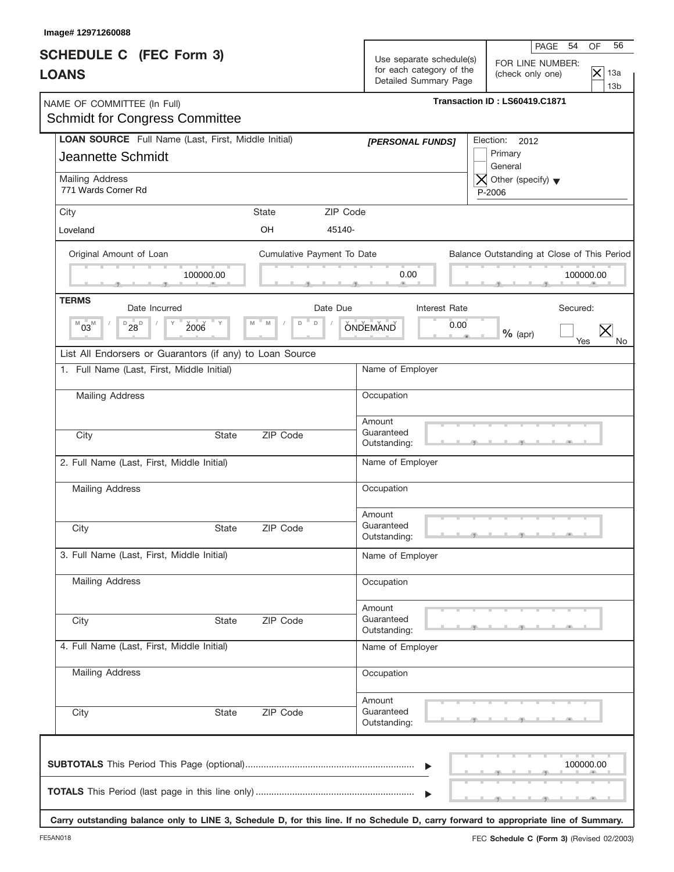| Image# 12971260088                                                              |                            |                                                                                                                                                                                                   |
|---------------------------------------------------------------------------------|----------------------------|---------------------------------------------------------------------------------------------------------------------------------------------------------------------------------------------------|
| <b>SCHEDULE C</b> (FEC Form 3)<br><b>LOANS</b>                                  |                            | 56<br>PAGE 54<br>OF<br>Use separate schedule(s)<br>FOR LINE NUMBER:<br>for each category of the<br>$\overline{\mathsf{x}}$<br>13a<br>(check only one)<br>Detailed Summary Page<br>13 <sub>b</sub> |
| NAME OF COMMITTEE (In Full)<br><b>Schmidt for Congress Committee</b>            |                            | Transaction ID: LS60419.C1871                                                                                                                                                                     |
| LOAN SOURCE Full Name (Last, First, Middle Initial)<br><b>Jeannette Schmidt</b> |                            | Election:<br>2012<br>[PERSONAL FUNDS]<br>Primary<br>General                                                                                                                                       |
| Mailing Address<br>771 Wards Corner Rd                                          |                            | $\bigtimes$ Other (specify) $\blacktriangledown$<br>P-2006                                                                                                                                        |
| City                                                                            | State                      | ZIP Code                                                                                                                                                                                          |
| Loveland                                                                        | <b>OH</b>                  | 45140-                                                                                                                                                                                            |
| Original Amount of Loan<br>100000.00                                            | Cumulative Payment To Date | Balance Outstanding at Close of This Period<br>0.00<br>100000.00                                                                                                                                  |
| <b>TERMS</b><br>Date Incurred                                                   |                            | Date Due<br>Interest Rate<br>Secured:                                                                                                                                                             |
| $D_{28}$<br>2006<br>$^{M}03^{M}$                                                | = Y<br>$\Box$<br>M<br>D    | <b>ONDEMAND</b><br>0.00<br>$%$ (apr)<br>Yes<br>No.                                                                                                                                                |
| List All Endorsers or Guarantors (if any) to Loan Source                        |                            |                                                                                                                                                                                                   |
| 1. Full Name (Last, First, Middle Initial)                                      |                            | Name of Employer                                                                                                                                                                                  |
| Mailing Address                                                                 |                            | Occupation                                                                                                                                                                                        |
| City                                                                            | ZIP Code<br><b>State</b>   | Amount<br>Guaranteed<br>Outstanding:                                                                                                                                                              |
| 2. Full Name (Last, First, Middle Initial)                                      |                            | Name of Employer                                                                                                                                                                                  |
| Mailing Address                                                                 |                            | Occupation                                                                                                                                                                                        |
| City                                                                            | ZIP Code<br>State          | Amount<br>Guaranteed<br>Outstanding:                                                                                                                                                              |
| 3. Full Name (Last, First, Middle Initial)                                      |                            | Name of Employer                                                                                                                                                                                  |
| <b>Mailing Address</b>                                                          |                            | Occupation                                                                                                                                                                                        |
| City                                                                            | ZIP Code<br>State          | Amount<br>Guaranteed<br>Outstanding:                                                                                                                                                              |
| 4. Full Name (Last, First, Middle Initial)                                      |                            | Name of Employer                                                                                                                                                                                  |
| <b>Mailing Address</b>                                                          |                            | Occupation                                                                                                                                                                                        |
| City                                                                            | ZIP Code<br>State          | Amount<br>Guaranteed<br>Outstanding:                                                                                                                                                              |
|                                                                                 |                            | 100000.00                                                                                                                                                                                         |

**Carry outstanding balance only to LINE 3, Schedule D, for this line. If no Schedule D, carry forward to appropriate line of Summary.**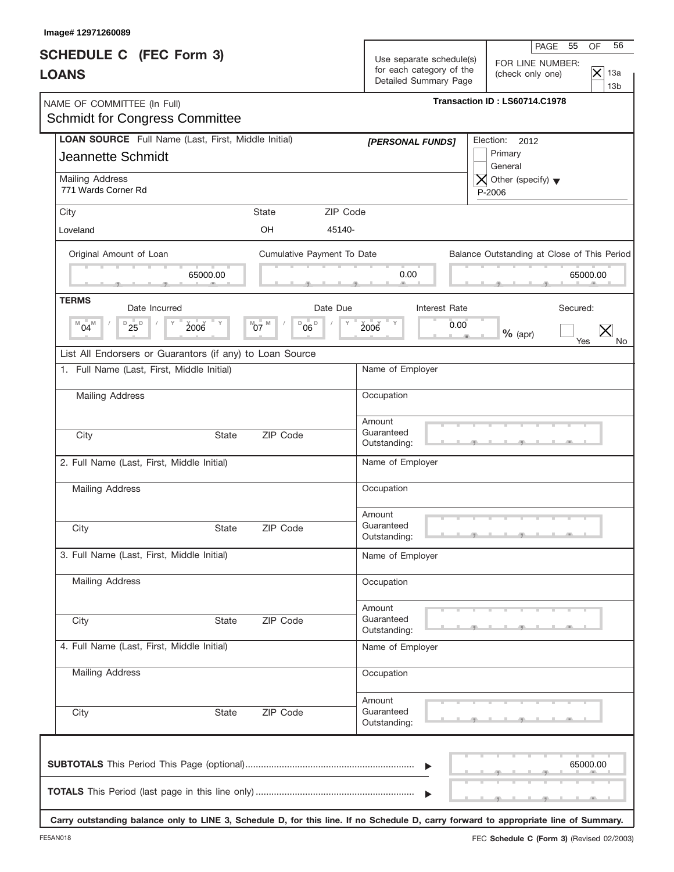| Image# 12971260089                                                              |                                            |                                                                               |                                                                                                                 |
|---------------------------------------------------------------------------------|--------------------------------------------|-------------------------------------------------------------------------------|-----------------------------------------------------------------------------------------------------------------|
| <b>SCHEDULE C</b> (FEC Form 3)<br><b>LOANS</b>                                  |                                            | Use separate schedule(s)<br>for each category of the<br>Detailed Summary Page | 56<br>PAGE<br>OF<br>55<br>FOR LINE NUMBER:<br>$\overline{\times}$<br>13a<br>(check only one)<br>13 <sub>b</sub> |
| NAME OF COMMITTEE (In Full)<br><b>Schmidt for Congress Committee</b>            |                                            |                                                                               | Transaction ID: LS60714.C1978                                                                                   |
| LOAN SOURCE Full Name (Last, First, Middle Initial)<br><b>Jeannette Schmidt</b> |                                            | [PERSONAL FUNDS]                                                              | Election:<br>2012<br>Primary<br>General                                                                         |
| Mailing Address<br>771 Wards Corner Rd                                          |                                            |                                                                               | $\overline{X}$ Other (specify) $\blacktriangledown$<br>P-2006                                                   |
| City                                                                            | ZIP Code<br><b>State</b>                   |                                                                               |                                                                                                                 |
| Loveland                                                                        | OH<br>45140-                               |                                                                               |                                                                                                                 |
| Original Amount of Loan                                                         | Cumulative Payment To Date                 |                                                                               | Balance Outstanding at Close of This Period                                                                     |
| 65000.00                                                                        |                                            | 0.00                                                                          | 65000.00                                                                                                        |
| <b>TERMS</b><br>Date Incurred                                                   | Date Due                                   | Interest Rate                                                                 | Secured:                                                                                                        |
| $D_{25}$<br>2006<br><b>ΓΥ</b><br>M<br>$04^{\mathsf{M}}$                         | M<br>$^{\circ}$ 06 $^{\circ}$<br>$^{M}$ 07 | 2006<br>0.00                                                                  | $%$ (apr)<br>Yes<br>No.                                                                                         |
| List All Endorsers or Guarantors (if any) to Loan Source                        |                                            |                                                                               |                                                                                                                 |
| 1. Full Name (Last, First, Middle Initial)                                      |                                            | Name of Employer                                                              |                                                                                                                 |
| Mailing Address                                                                 |                                            | Occupation                                                                    |                                                                                                                 |
| City<br><b>State</b>                                                            | ZIP Code                                   | Amount<br>Guaranteed                                                          |                                                                                                                 |
|                                                                                 |                                            | Outstanding:                                                                  |                                                                                                                 |
| 2. Full Name (Last, First, Middle Initial)                                      |                                            | Name of Employer                                                              |                                                                                                                 |
| Mailing Address                                                                 |                                            | Occupation                                                                    |                                                                                                                 |
| City<br>State                                                                   | ZIP Code                                   | Amount<br>Guaranteed<br>Outstanding:                                          |                                                                                                                 |
| 3. Full Name (Last, First, Middle Initial)                                      |                                            | Name of Employer                                                              |                                                                                                                 |
| <b>Mailing Address</b>                                                          |                                            | Occupation                                                                    |                                                                                                                 |
| City<br><b>State</b>                                                            | ZIP Code                                   | Amount<br>Guaranteed<br>Outstanding:                                          |                                                                                                                 |
| 4. Full Name (Last, First, Middle Initial)                                      |                                            | Name of Employer                                                              |                                                                                                                 |
| <b>Mailing Address</b>                                                          |                                            | Occupation                                                                    |                                                                                                                 |
| City<br>State                                                                   | ZIP Code                                   | Amount<br>Guaranteed<br>Outstanding:                                          |                                                                                                                 |
|                                                                                 |                                            | $\blacktriangleright$                                                         | 65000.00                                                                                                        |